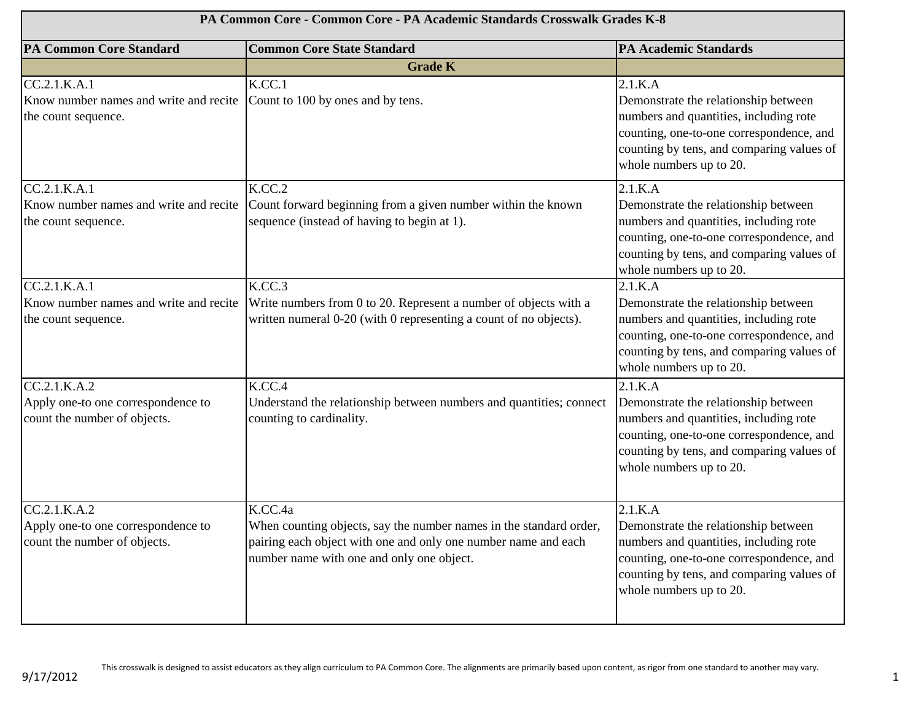| PA Common Core - Common Core - PA Academic Standards Crosswalk Grades K-8          |                                                                                                                                                                                              |                                                                                                                                                                                                               |
|------------------------------------------------------------------------------------|----------------------------------------------------------------------------------------------------------------------------------------------------------------------------------------------|---------------------------------------------------------------------------------------------------------------------------------------------------------------------------------------------------------------|
| <b>PA Common Core Standard</b>                                                     | <b>Common Core State Standard</b>                                                                                                                                                            | <b>PA Academic Standards</b>                                                                                                                                                                                  |
|                                                                                    | <b>Grade K</b>                                                                                                                                                                               |                                                                                                                                                                                                               |
| CC.2.1.K.A.1<br>Know number names and write and recite<br>the count sequence.      | K.CC.1<br>Count to 100 by ones and by tens.                                                                                                                                                  | 2.1.K.A<br>Demonstrate the relationship between<br>numbers and quantities, including rote<br>counting, one-to-one correspondence, and<br>counting by tens, and comparing values of<br>whole numbers up to 20. |
| CC.2.1.K.A.1<br>Know number names and write and recite<br>the count sequence.      | K.CC.2<br>Count forward beginning from a given number within the known<br>sequence (instead of having to begin at 1).                                                                        | 2.1.K.A<br>Demonstrate the relationship between<br>numbers and quantities, including rote<br>counting, one-to-one correspondence, and<br>counting by tens, and comparing values of<br>whole numbers up to 20. |
| CC.2.1.K.A.1<br>Know number names and write and recite<br>the count sequence.      | K.CC.3<br>Write numbers from 0 to 20. Represent a number of objects with a<br>written numeral 0-20 (with 0 representing a count of no objects).                                              | 2.1.K.A<br>Demonstrate the relationship between<br>numbers and quantities, including rote<br>counting, one-to-one correspondence, and<br>counting by tens, and comparing values of<br>whole numbers up to 20. |
| CC.2.1.K.A.2<br>Apply one-to one correspondence to<br>count the number of objects. | K.CC.4<br>Understand the relationship between numbers and quantities; connect<br>counting to cardinality.                                                                                    | 2.1.K.A<br>Demonstrate the relationship between<br>numbers and quantities, including rote<br>counting, one-to-one correspondence, and<br>counting by tens, and comparing values of<br>whole numbers up to 20. |
| CC.2.1.K.A.2<br>Apply one-to one correspondence to<br>count the number of objects. | K.CC.4a<br>When counting objects, say the number names in the standard order,<br>pairing each object with one and only one number name and each<br>number name with one and only one object. | 2.1.K.A<br>Demonstrate the relationship between<br>numbers and quantities, including rote<br>counting, one-to-one correspondence, and<br>counting by tens, and comparing values of<br>whole numbers up to 20. |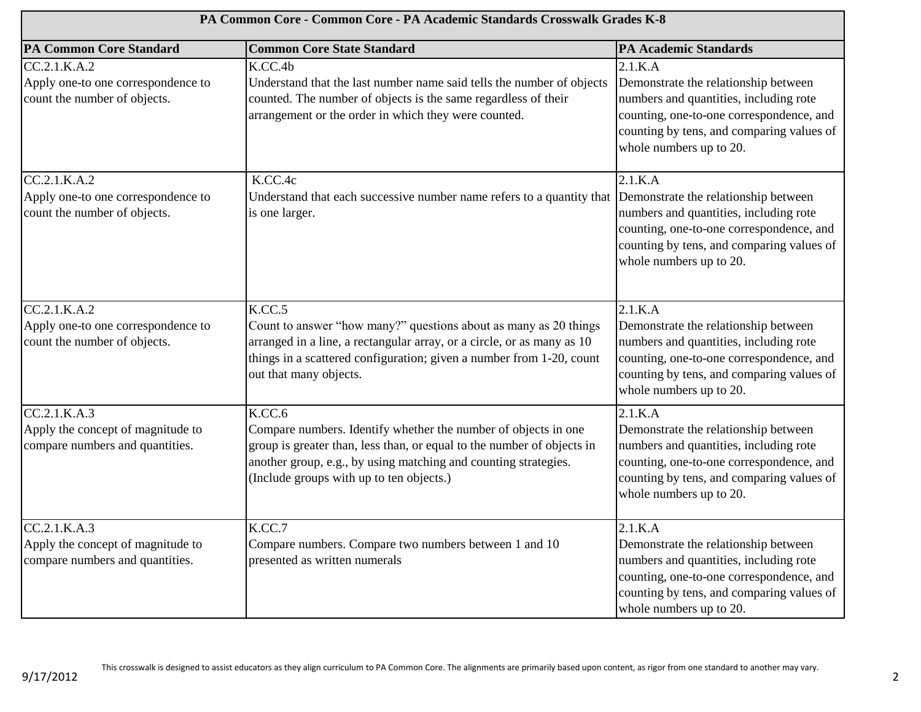| PA Common Core - Common Core - PA Academic Standards Crosswalk Grades K-8            |                                                                                                                                                                                                                                                                   |                                                                                                                                                                                                               |
|--------------------------------------------------------------------------------------|-------------------------------------------------------------------------------------------------------------------------------------------------------------------------------------------------------------------------------------------------------------------|---------------------------------------------------------------------------------------------------------------------------------------------------------------------------------------------------------------|
| <b>PA Common Core Standard</b>                                                       | <b>Common Core State Standard</b>                                                                                                                                                                                                                                 | <b>PA Academic Standards</b>                                                                                                                                                                                  |
| CC.2.1.K.A.2<br>Apply one-to one correspondence to<br>count the number of objects.   | K.CC.4b<br>Understand that the last number name said tells the number of objects<br>counted. The number of objects is the same regardless of their<br>arrangement or the order in which they were counted.                                                        | 2.1.K.A<br>Demonstrate the relationship between<br>numbers and quantities, including rote<br>counting, one-to-one correspondence, and<br>counting by tens, and comparing values of<br>whole numbers up to 20. |
| CC.2.1.K.A.2<br>Apply one-to one correspondence to<br>count the number of objects.   | K.CC.4c<br>Understand that each successive number name refers to a quantity that<br>is one larger.                                                                                                                                                                | 2.1.K.A<br>Demonstrate the relationship between<br>numbers and quantities, including rote<br>counting, one-to-one correspondence, and<br>counting by tens, and comparing values of<br>whole numbers up to 20. |
| CC.2.1.K.A.2<br>Apply one-to one correspondence to<br>count the number of objects.   | K.CC.5<br>Count to answer "how many?" questions about as many as 20 things<br>arranged in a line, a rectangular array, or a circle, or as many as 10<br>things in a scattered configuration; given a number from 1-20, count<br>out that many objects.            | 2.1.K.A<br>Demonstrate the relationship between<br>numbers and quantities, including rote<br>counting, one-to-one correspondence, and<br>counting by tens, and comparing values of<br>whole numbers up to 20. |
| CC.2.1.K.A.3<br>Apply the concept of magnitude to<br>compare numbers and quantities. | K.CC.6<br>Compare numbers. Identify whether the number of objects in one<br>group is greater than, less than, or equal to the number of objects in<br>another group, e.g., by using matching and counting strategies.<br>(Include groups with up to ten objects.) | 2.1.K.A<br>Demonstrate the relationship between<br>numbers and quantities, including rote<br>counting, one-to-one correspondence, and<br>counting by tens, and comparing values of<br>whole numbers up to 20. |
| CC.2.1.K.A.3<br>Apply the concept of magnitude to<br>compare numbers and quantities. | K.CC.7<br>Compare numbers. Compare two numbers between 1 and 10<br>presented as written numerals                                                                                                                                                                  | 2.1.K.A<br>Demonstrate the relationship between<br>numbers and quantities, including rote<br>counting, one-to-one correspondence, and<br>counting by tens, and comparing values of<br>whole numbers up to 20. |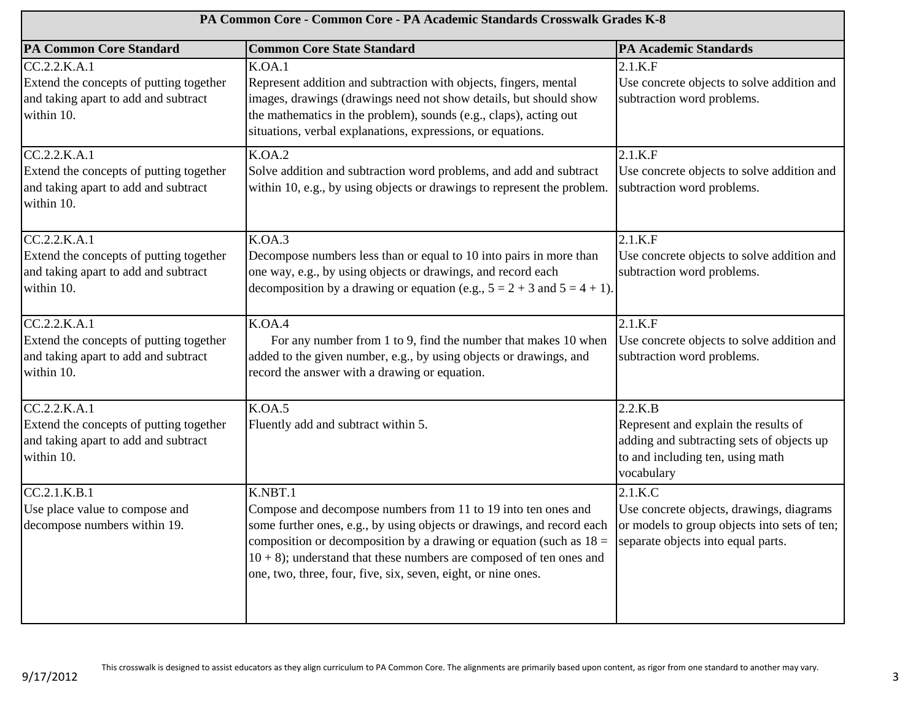| PA Common Core - Common Core - PA Academic Standards Crosswalk Grades K-8                                     |                                                                                                                                                                                                                                                                                                                                                                                                           |                                                                                                                                                |
|---------------------------------------------------------------------------------------------------------------|-----------------------------------------------------------------------------------------------------------------------------------------------------------------------------------------------------------------------------------------------------------------------------------------------------------------------------------------------------------------------------------------------------------|------------------------------------------------------------------------------------------------------------------------------------------------|
| <b>PA Common Core Standard</b>                                                                                | <b>Common Core State Standard</b>                                                                                                                                                                                                                                                                                                                                                                         | <b>PA Academic Standards</b>                                                                                                                   |
| CC.2.2.K.A.1<br>Extend the concepts of putting together<br>and taking apart to add and subtract<br>within 10. | K.OA.1<br>Represent addition and subtraction with objects, fingers, mental<br>images, drawings (drawings need not show details, but should show<br>the mathematics in the problem), sounds (e.g., claps), acting out<br>situations, verbal explanations, expressions, or equations.                                                                                                                       | 2.1.K.F<br>Use concrete objects to solve addition and<br>subtraction word problems.                                                            |
| CC.2.2.K.A.1<br>Extend the concepts of putting together<br>and taking apart to add and subtract<br>within 10. | K.OA.2<br>Solve addition and subtraction word problems, and add and subtract<br>within 10, e.g., by using objects or drawings to represent the problem.                                                                                                                                                                                                                                                   | 2.1.K.F<br>Use concrete objects to solve addition and<br>subtraction word problems.                                                            |
| CC.2.2.K.A.1<br>Extend the concepts of putting together<br>and taking apart to add and subtract<br>within 10. | K.OA.3<br>Decompose numbers less than or equal to 10 into pairs in more than<br>one way, e.g., by using objects or drawings, and record each<br>decomposition by a drawing or equation (e.g., $5 = 2 + 3$ and $5 = 4 + 1$ ).                                                                                                                                                                              | 2.1.K.F<br>Use concrete objects to solve addition and<br>subtraction word problems.                                                            |
| CC.2.2.K.A.1<br>Extend the concepts of putting together<br>and taking apart to add and subtract<br>within 10. | K.OA.4<br>For any number from 1 to 9, find the number that makes 10 when<br>added to the given number, e.g., by using objects or drawings, and<br>record the answer with a drawing or equation.                                                                                                                                                                                                           | 2.1.K.F<br>Use concrete objects to solve addition and<br>subtraction word problems.                                                            |
| CC.2.2.K.A.1<br>Extend the concepts of putting together<br>and taking apart to add and subtract<br>within 10. | K.OA.5<br>Fluently add and subtract within 5.                                                                                                                                                                                                                                                                                                                                                             | 2.2.K.B<br>Represent and explain the results of<br>adding and subtracting sets of objects up<br>to and including ten, using math<br>vocabulary |
| CC.2.1.K.B.1<br>Use place value to compose and<br>decompose numbers within 19.                                | K.NBT.1<br>Compose and decompose numbers from 11 to 19 into ten ones and<br>some further ones, e.g., by using objects or drawings, and record each<br>composition or decomposition by a drawing or equation (such as $18 =$ separate objects into equal parts.<br>$10 + 8$ ); understand that these numbers are composed of ten ones and<br>one, two, three, four, five, six, seven, eight, or nine ones. | 2.1.K.C<br>Use concrete objects, drawings, diagrams<br>or models to group objects into sets of ten;                                            |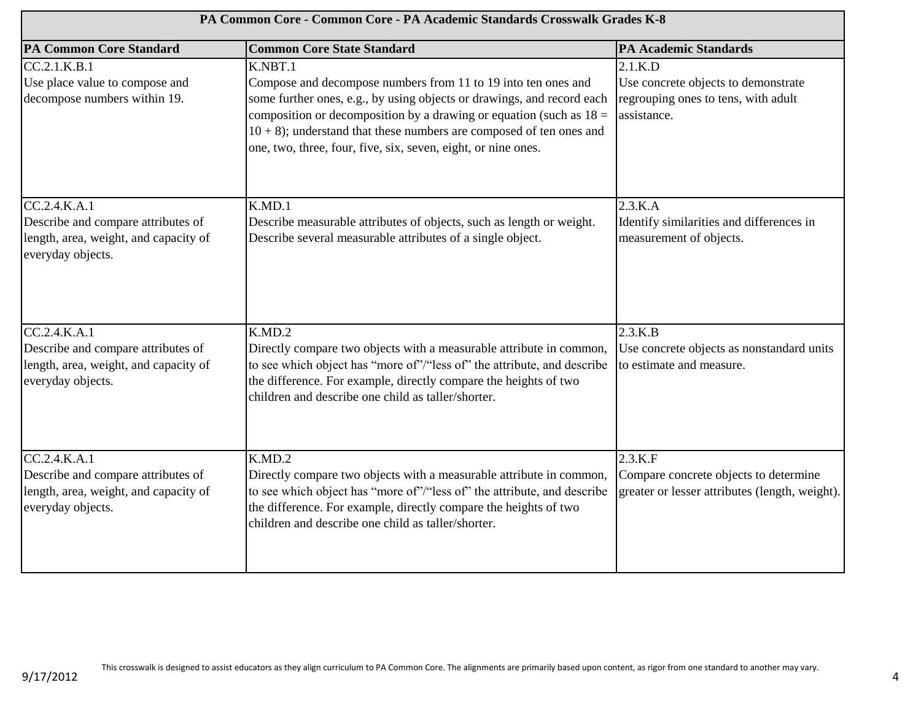| PA Common Core - Common Core - PA Academic Standards Crosswalk Grades K-8                                        |                                                                                                                                                                                                                                                                                                                                                                        |                                                                                                         |
|------------------------------------------------------------------------------------------------------------------|------------------------------------------------------------------------------------------------------------------------------------------------------------------------------------------------------------------------------------------------------------------------------------------------------------------------------------------------------------------------|---------------------------------------------------------------------------------------------------------|
| <b>PA Common Core Standard</b>                                                                                   | <b>Common Core State Standard</b>                                                                                                                                                                                                                                                                                                                                      | <b>PA Academic Standards</b>                                                                            |
| CC.2.1.K.B.1<br>Use place value to compose and<br>decompose numbers within 19.                                   | K.NBT.1<br>Compose and decompose numbers from 11 to 19 into ten ones and<br>some further ones, e.g., by using objects or drawings, and record each<br>composition or decomposition by a drawing or equation (such as $18 =$<br>$10 + 8$ ); understand that these numbers are composed of ten ones and<br>one, two, three, four, five, six, seven, eight, or nine ones. | $2.1$ .K.D<br>Use concrete objects to demonstrate<br>regrouping ones to tens, with adult<br>assistance. |
| CC.2.4.K.A.1<br>Describe and compare attributes of<br>length, area, weight, and capacity of<br>everyday objects. | K.MD.1<br>Describe measurable attributes of objects, such as length or weight.<br>Describe several measurable attributes of a single object.                                                                                                                                                                                                                           | 2.3.K.A<br>Identify similarities and differences in<br>measurement of objects.                          |
| CC.2.4.K.A.1<br>Describe and compare attributes of<br>length, area, weight, and capacity of<br>everyday objects. | K.MD.2<br>Directly compare two objects with a measurable attribute in common,<br>to see which object has "more of"/"less of" the attribute, and describe<br>the difference. For example, directly compare the heights of two<br>children and describe one child as taller/shorter.                                                                                     | 2.3.K.B<br>Use concrete objects as nonstandard units<br>to estimate and measure.                        |
| CC.2.4.K.A.1<br>Describe and compare attributes of<br>length, area, weight, and capacity of<br>everyday objects. | K.MD.2<br>Directly compare two objects with a measurable attribute in common,<br>to see which object has "more of"/"less of" the attribute, and describe<br>the difference. For example, directly compare the heights of two<br>children and describe one child as taller/shorter.                                                                                     | 2.3.K.F<br>Compare concrete objects to determine<br>greater or lesser attributes (length, weight).      |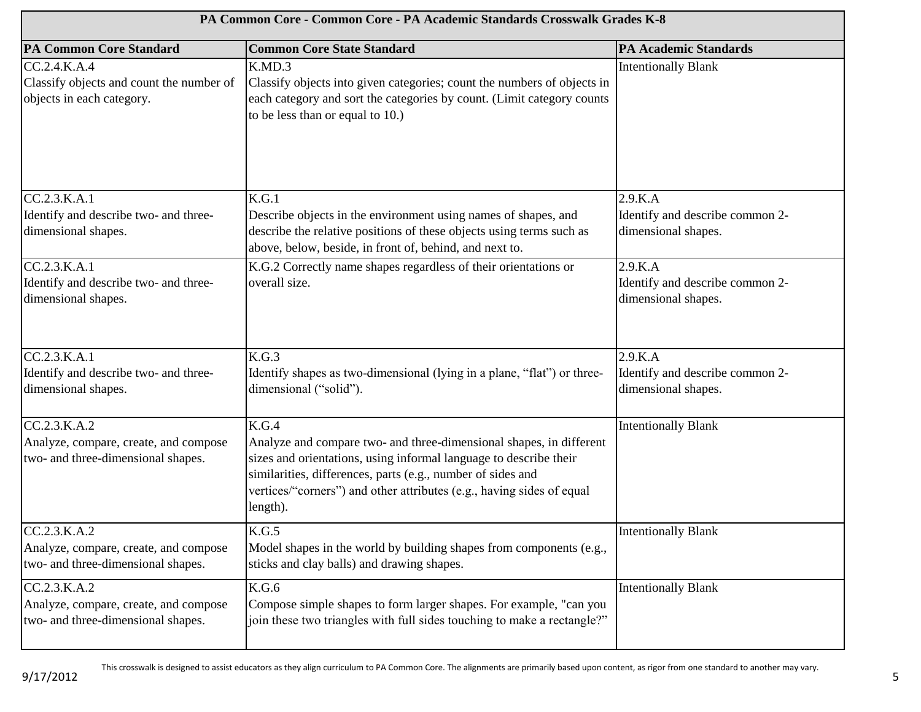| PA Common Core - Common Core - PA Academic Standards Crosswalk Grades K-8                   |                                                                                                                                                                                                                                                                                                       |                                                                   |
|---------------------------------------------------------------------------------------------|-------------------------------------------------------------------------------------------------------------------------------------------------------------------------------------------------------------------------------------------------------------------------------------------------------|-------------------------------------------------------------------|
| <b>PA Common Core Standard</b>                                                              | <b>Common Core State Standard</b>                                                                                                                                                                                                                                                                     | <b>PA Academic Standards</b>                                      |
| CC.2.4.K.A.4<br>Classify objects and count the number of<br>objects in each category.       | K.MD.3<br>Classify objects into given categories; count the numbers of objects in<br>each category and sort the categories by count. (Limit category counts<br>to be less than or equal to 10.)                                                                                                       | <b>Intentionally Blank</b>                                        |
| CC.2.3.K.A.1<br>Identify and describe two- and three-<br>dimensional shapes.                | K.G.1<br>Describe objects in the environment using names of shapes, and<br>describe the relative positions of these objects using terms such as<br>above, below, beside, in front of, behind, and next to.                                                                                            | 2.9.K.A<br>Identify and describe common 2-<br>dimensional shapes. |
| CC.2.3.K.A.1<br>Identify and describe two- and three-<br>dimensional shapes.                | K.G.2 Correctly name shapes regardless of their orientations or<br>overall size.                                                                                                                                                                                                                      | 2.9.K.A<br>Identify and describe common 2-<br>dimensional shapes. |
| CC.2.3.K.A.1<br>Identify and describe two- and three-<br>dimensional shapes.                | K.G.3<br>Identify shapes as two-dimensional (lying in a plane, "flat") or three-<br>dimensional ("solid").                                                                                                                                                                                            | 2.9.K.A<br>Identify and describe common 2-<br>dimensional shapes. |
| CC.2.3.K.A.2<br>Analyze, compare, create, and compose<br>two- and three-dimensional shapes. | K.G.4<br>Analyze and compare two- and three-dimensional shapes, in different<br>sizes and orientations, using informal language to describe their<br>similarities, differences, parts (e.g., number of sides and<br>vertices/"corners") and other attributes (e.g., having sides of equal<br>length). | <b>Intentionally Blank</b>                                        |
| CC.2.3.K.A.2<br>Analyze, compare, create, and compose<br>two- and three-dimensional shapes. | K.G.5<br>Model shapes in the world by building shapes from components (e.g.,<br>sticks and clay balls) and drawing shapes.                                                                                                                                                                            | <b>Intentionally Blank</b>                                        |
| CC.2.3.K.A.2<br>Analyze, compare, create, and compose<br>two- and three-dimensional shapes. | K.G.6<br>Compose simple shapes to form larger shapes. For example, "can you<br>join these two triangles with full sides touching to make a rectangle?"                                                                                                                                                | <b>Intentionally Blank</b>                                        |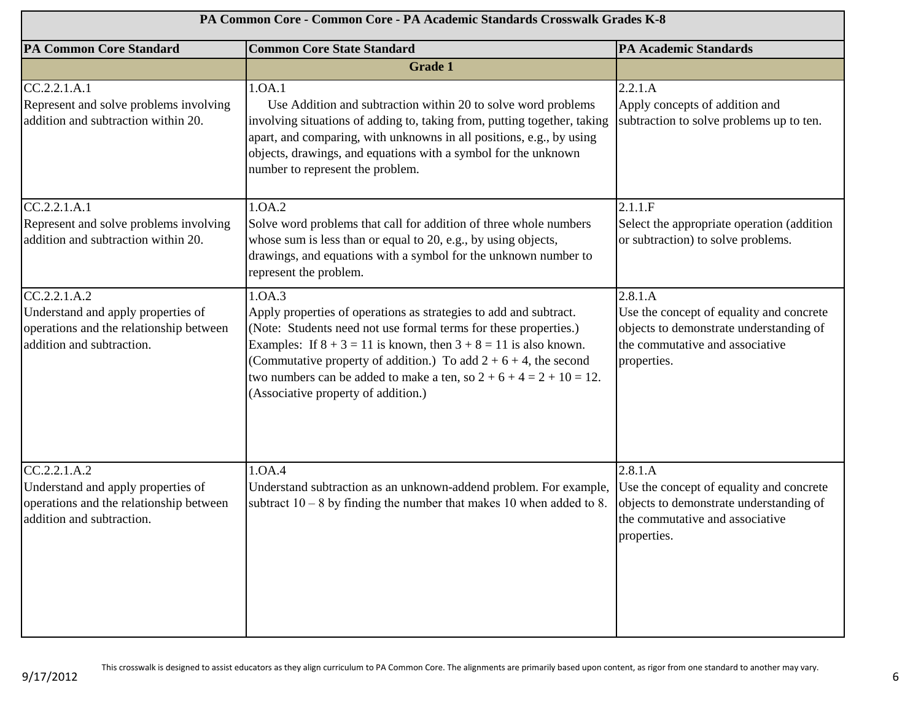| PA Common Core - Common Core - PA Academic Standards Crosswalk Grades K-8                                                  |                                                                                                                                                                                                                                                                                                                                                                                                                 |                                                                                                                                                  |
|----------------------------------------------------------------------------------------------------------------------------|-----------------------------------------------------------------------------------------------------------------------------------------------------------------------------------------------------------------------------------------------------------------------------------------------------------------------------------------------------------------------------------------------------------------|--------------------------------------------------------------------------------------------------------------------------------------------------|
| <b>PA Common Core Standard</b>                                                                                             | <b>Common Core State Standard</b>                                                                                                                                                                                                                                                                                                                                                                               | <b>PA Academic Standards</b>                                                                                                                     |
|                                                                                                                            | <b>Grade 1</b>                                                                                                                                                                                                                                                                                                                                                                                                  |                                                                                                                                                  |
| CC.2.2.1.A.1<br>Represent and solve problems involving<br>addition and subtraction within 20.                              | 1.0A.1<br>Use Addition and subtraction within 20 to solve word problems<br>involving situations of adding to, taking from, putting together, taking<br>apart, and comparing, with unknowns in all positions, e.g., by using<br>objects, drawings, and equations with a symbol for the unknown<br>number to represent the problem.                                                                               | 2.2.1.A<br>Apply concepts of addition and<br>subtraction to solve problems up to ten.                                                            |
| CC.2.2.1.A.1<br>Represent and solve problems involving<br>addition and subtraction within 20.                              | 1.0A.2<br>Solve word problems that call for addition of three whole numbers<br>whose sum is less than or equal to 20, e.g., by using objects,<br>drawings, and equations with a symbol for the unknown number to<br>represent the problem.                                                                                                                                                                      | 2.1.1.F<br>Select the appropriate operation (addition<br>or subtraction) to solve problems.                                                      |
| CC.2.2.1.A.2<br>Understand and apply properties of<br>operations and the relationship between<br>addition and subtraction. | 1.0A.3<br>Apply properties of operations as strategies to add and subtract.<br>(Note: Students need not use formal terms for these properties.)<br>Examples: If $8 + 3 = 11$ is known, then $3 + 8 = 11$ is also known.<br>(Commutative property of addition.) To add $2 + 6 + 4$ , the second<br>two numbers can be added to make a ten, so $2 + 6 + 4 = 2 + 10 = 12$ .<br>(Associative property of addition.) | 2.8.1.A<br>Use the concept of equality and concrete<br>objects to demonstrate understanding of<br>the commutative and associative<br>properties. |
| CC.2.2.1.A.2<br>Understand and apply properties of<br>operations and the relationship between<br>addition and subtraction. | 1.OA.4<br>Understand subtraction as an unknown-addend problem. For example,<br>subtract $10 - 8$ by finding the number that makes 10 when added to 8.                                                                                                                                                                                                                                                           | 2.8.1.A<br>Use the concept of equality and concrete<br>objects to demonstrate understanding of<br>the commutative and associative<br>properties. |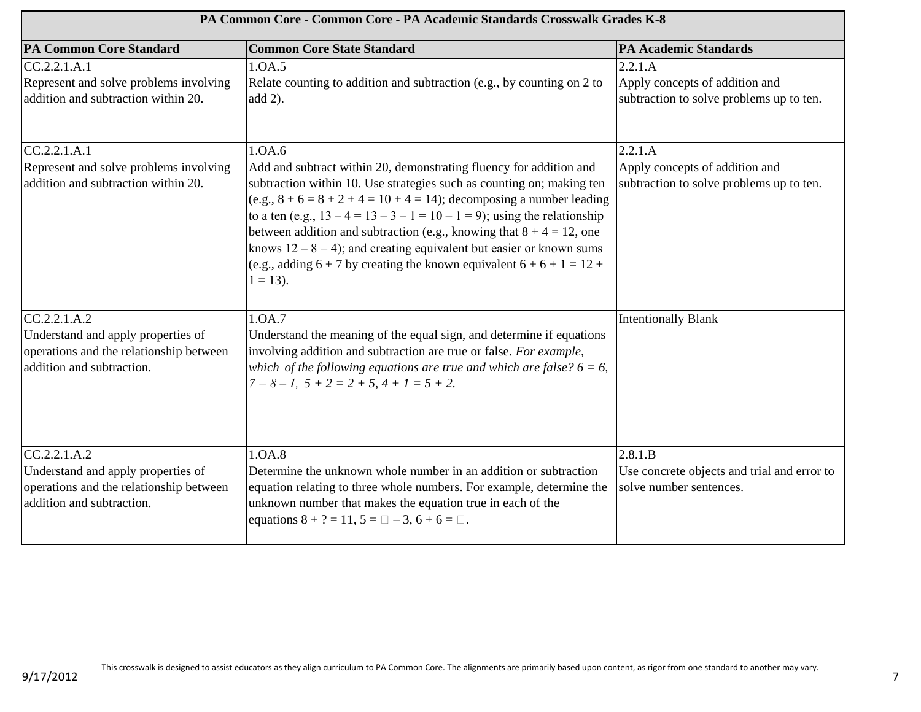| PA Common Core - Common Core - PA Academic Standards Crosswalk Grades K-8                                                  |                                                                                                                                                                                                                                                                                                                                                                                                                                                                                                                                                                  |                                                                                       |
|----------------------------------------------------------------------------------------------------------------------------|------------------------------------------------------------------------------------------------------------------------------------------------------------------------------------------------------------------------------------------------------------------------------------------------------------------------------------------------------------------------------------------------------------------------------------------------------------------------------------------------------------------------------------------------------------------|---------------------------------------------------------------------------------------|
| <b>PA Common Core Standard</b>                                                                                             | <b>Common Core State Standard</b>                                                                                                                                                                                                                                                                                                                                                                                                                                                                                                                                | <b>PA Academic Standards</b>                                                          |
| CC.2.2.1.A.1<br>Represent and solve problems involving<br>addition and subtraction within 20.                              | 1.0A.5<br>Relate counting to addition and subtraction (e.g., by counting on 2 to<br>$add 2$ ).                                                                                                                                                                                                                                                                                                                                                                                                                                                                   | 2.2.1.A<br>Apply concepts of addition and<br>subtraction to solve problems up to ten. |
| CC.2.2.1.A.1<br>Represent and solve problems involving<br>addition and subtraction within 20.                              | 1.0A.6<br>Add and subtract within 20, demonstrating fluency for addition and<br>subtraction within 10. Use strategies such as counting on; making ten<br>(e.g., $8 + 6 = 8 + 2 + 4 = 10 + 4 = 14$ ); decomposing a number leading<br>to a ten (e.g., $13 - 4 = 13 - 3 - 1 = 10 - 1 = 9$ ); using the relationship<br>between addition and subtraction (e.g., knowing that $8 + 4 = 12$ , one<br>knows $12 - 8 = 4$ ; and creating equivalent but easier or known sums<br>(e.g., adding $6 + 7$ by creating the known equivalent $6 + 6 + 1 = 12 +$<br>$1 = 13$ . | 2.2.1.A<br>Apply concepts of addition and<br>subtraction to solve problems up to ten. |
| CC.2.2.1.A.2<br>Understand and apply properties of<br>operations and the relationship between<br>addition and subtraction. | 1.0A.7<br>Understand the meaning of the equal sign, and determine if equations<br>involving addition and subtraction are true or false. For example,<br>which of the following equations are true and which are false? $6 = 6$ ,<br>$7 = 8 - 1$ , $5 + 2 = 2 + 5$ , $4 + 1 = 5 + 2$ .                                                                                                                                                                                                                                                                            | <b>Intentionally Blank</b>                                                            |
| CC.2.2.1.A.2<br>Understand and apply properties of<br>operations and the relationship between<br>addition and subtraction. | 1.0A.8<br>Determine the unknown whole number in an addition or subtraction<br>equation relating to three whole numbers. For example, determine the<br>unknown number that makes the equation true in each of the<br>equations $8 + ? = 11$ , $5 = \square - 3$ , $6 + 6 = \square$ .                                                                                                                                                                                                                                                                             | 2.8.1.B<br>Use concrete objects and trial and error to<br>solve number sentences.     |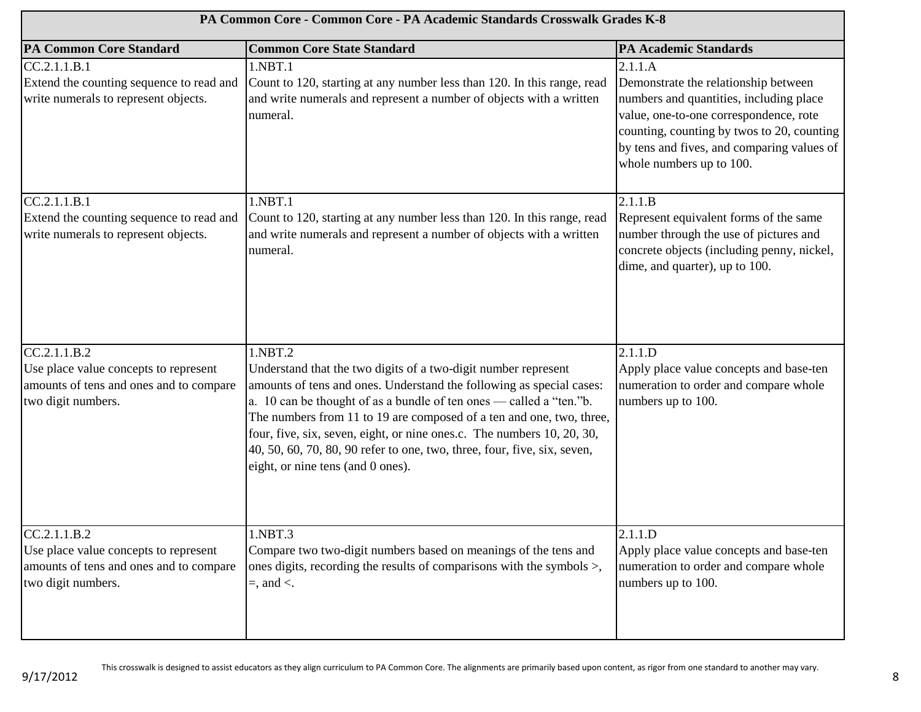| PA Common Core - Common Core - PA Academic Standards Crosswalk Grades K-8                                              |                                                                                                                                                                                                                                                                                                                                                                                                                                                                                             |                                                                                                                                                                                                                                                              |
|------------------------------------------------------------------------------------------------------------------------|---------------------------------------------------------------------------------------------------------------------------------------------------------------------------------------------------------------------------------------------------------------------------------------------------------------------------------------------------------------------------------------------------------------------------------------------------------------------------------------------|--------------------------------------------------------------------------------------------------------------------------------------------------------------------------------------------------------------------------------------------------------------|
| <b>PA Common Core Standard</b>                                                                                         | <b>Common Core State Standard</b>                                                                                                                                                                                                                                                                                                                                                                                                                                                           | <b>PA Academic Standards</b>                                                                                                                                                                                                                                 |
| CC.2.1.1.B.1<br>Extend the counting sequence to read and<br>write numerals to represent objects.                       | 1.NBT.1<br>Count to 120, starting at any number less than 120. In this range, read<br>and write numerals and represent a number of objects with a written<br>numeral.                                                                                                                                                                                                                                                                                                                       | 2.1.1.A<br>Demonstrate the relationship between<br>numbers and quantities, including place<br>value, one-to-one correspondence, rote<br>counting, counting by twos to 20, counting<br>by tens and fives, and comparing values of<br>whole numbers up to 100. |
| CC.2.1.1.B.1<br>Extend the counting sequence to read and<br>write numerals to represent objects.                       | 1.NBT.1<br>Count to 120, starting at any number less than 120. In this range, read<br>and write numerals and represent a number of objects with a written<br>numeral.                                                                                                                                                                                                                                                                                                                       | 2.1.1.B<br>Represent equivalent forms of the same<br>number through the use of pictures and<br>concrete objects (including penny, nickel,<br>dime, and quarter), up to 100.                                                                                  |
| CC.2.1.1.B.2<br>Use place value concepts to represent<br>amounts of tens and ones and to compare<br>two digit numbers. | 1.NBT.2<br>Understand that the two digits of a two-digit number represent<br>amounts of tens and ones. Understand the following as special cases:<br>a. 10 can be thought of as a bundle of ten ones — called a "ten."b.<br>The numbers from 11 to 19 are composed of a ten and one, two, three,<br>four, five, six, seven, eight, or nine ones.c. The numbers 10, 20, 30,<br>40, 50, 60, 70, 80, 90 refer to one, two, three, four, five, six, seven,<br>eight, or nine tens (and 0 ones). | 2.1.1.D<br>Apply place value concepts and base-ten<br>numeration to order and compare whole<br>numbers up to 100.                                                                                                                                            |
| CC.2.1.1.B.2<br>Use place value concepts to represent<br>amounts of tens and ones and to compare<br>two digit numbers. | 1.NBT.3<br>Compare two two-digit numbers based on meanings of the tens and<br>ones digits, recording the results of comparisons with the symbols >,<br>$=$ , and $\lt$ .                                                                                                                                                                                                                                                                                                                    | 2.1.1.D<br>Apply place value concepts and base-ten<br>numeration to order and compare whole<br>numbers up to 100.                                                                                                                                            |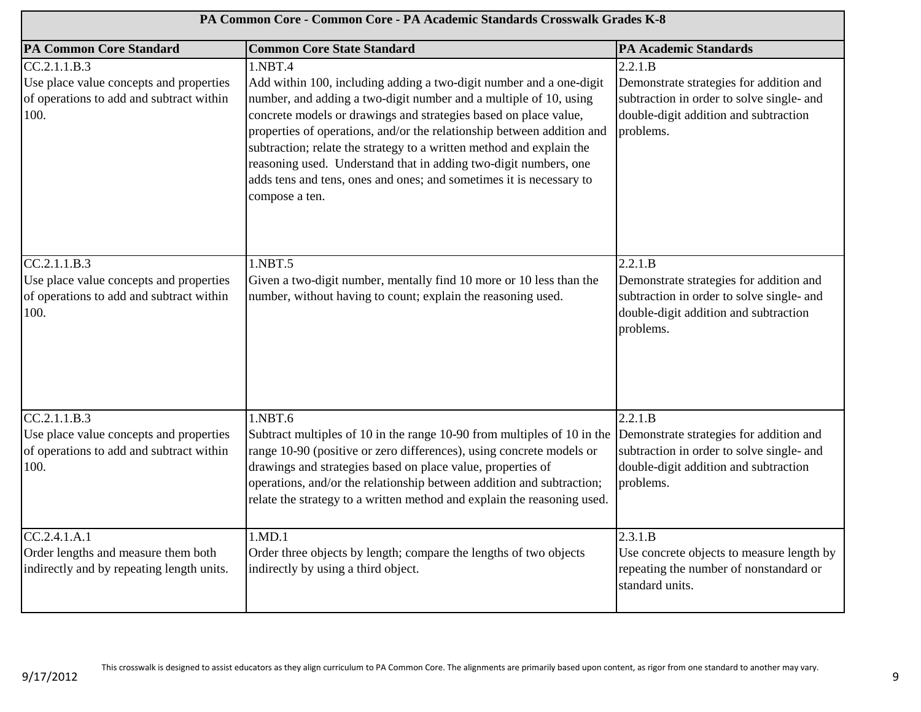| PA Common Core - Common Core - PA Academic Standards Crosswalk Grades K-8                                   |                                                                                                                                                                                                                                                                                                                                                                                                                                                                                                                                        |                                                                                                                                                       |
|-------------------------------------------------------------------------------------------------------------|----------------------------------------------------------------------------------------------------------------------------------------------------------------------------------------------------------------------------------------------------------------------------------------------------------------------------------------------------------------------------------------------------------------------------------------------------------------------------------------------------------------------------------------|-------------------------------------------------------------------------------------------------------------------------------------------------------|
| <b>PA Common Core Standard</b>                                                                              | <b>Common Core State Standard</b>                                                                                                                                                                                                                                                                                                                                                                                                                                                                                                      | <b>PA Academic Standards</b>                                                                                                                          |
| CC.2.1.1.B.3<br>Use place value concepts and properties<br>of operations to add and subtract within<br>100. | 1.NBT.4<br>Add within 100, including adding a two-digit number and a one-digit<br>number, and adding a two-digit number and a multiple of 10, using<br>concrete models or drawings and strategies based on place value,<br>properties of operations, and/or the relationship between addition and<br>subtraction; relate the strategy to a written method and explain the<br>reasoning used. Understand that in adding two-digit numbers, one<br>adds tens and tens, ones and ones; and sometimes it is necessary to<br>compose a ten. | 2.2.1.B<br>Demonstrate strategies for addition and<br>subtraction in order to solve single- and<br>double-digit addition and subtraction<br>problems. |
| CC.2.1.1.B.3<br>Use place value concepts and properties<br>of operations to add and subtract within<br>100. | 1.NBT.5<br>Given a two-digit number, mentally find 10 more or 10 less than the<br>number, without having to count; explain the reasoning used.                                                                                                                                                                                                                                                                                                                                                                                         | 2.2.1.B<br>Demonstrate strategies for addition and<br>subtraction in order to solve single- and<br>double-digit addition and subtraction<br>problems. |
| CC.2.1.1.B.3<br>Use place value concepts and properties<br>of operations to add and subtract within<br>100. | 1.NBT.6<br>Subtract multiples of 10 in the range 10-90 from multiples of 10 in the<br>range 10-90 (positive or zero differences), using concrete models or<br>drawings and strategies based on place value, properties of<br>operations, and/or the relationship between addition and subtraction;<br>relate the strategy to a written method and explain the reasoning used.                                                                                                                                                          | 2.2.1.B<br>Demonstrate strategies for addition and<br>subtraction in order to solve single- and<br>double-digit addition and subtraction<br>problems. |
| CC.2.4.1.A.1<br>Order lengths and measure them both<br>indirectly and by repeating length units.            | 1.MD.1<br>Order three objects by length; compare the lengths of two objects<br>indirectly by using a third object.                                                                                                                                                                                                                                                                                                                                                                                                                     | 2.3.1.B<br>Use concrete objects to measure length by<br>repeating the number of nonstandard or<br>standard units.                                     |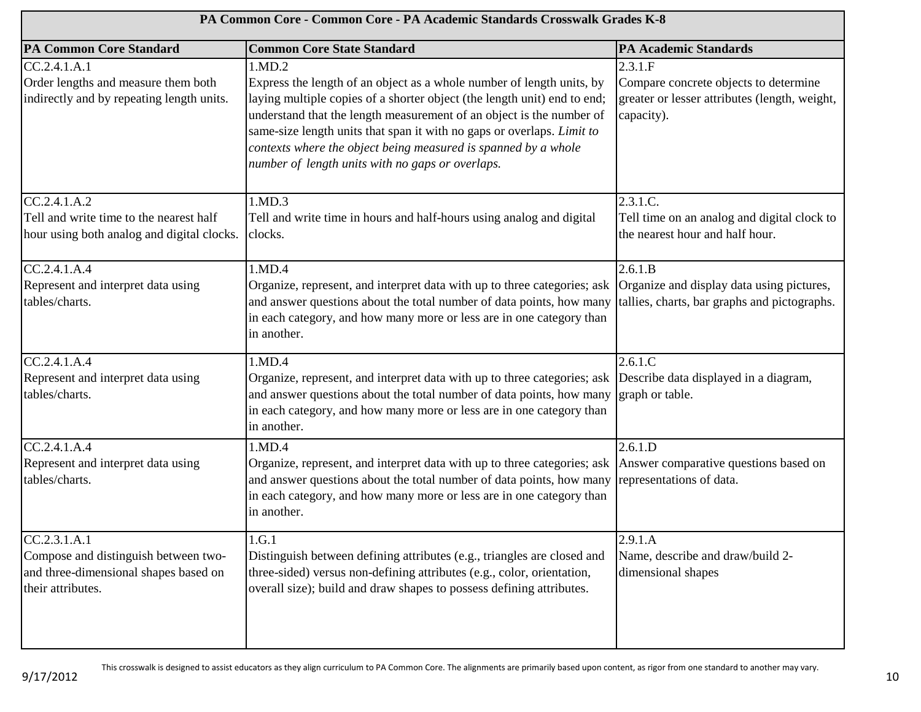| PA Common Core - Common Core - PA Academic Standards Crosswalk Grades K-8                                          |                                                                                                                                                                                                                                                                                                                                                                                                                                     |                                                                                                                 |
|--------------------------------------------------------------------------------------------------------------------|-------------------------------------------------------------------------------------------------------------------------------------------------------------------------------------------------------------------------------------------------------------------------------------------------------------------------------------------------------------------------------------------------------------------------------------|-----------------------------------------------------------------------------------------------------------------|
| <b>PA Common Core Standard</b>                                                                                     | <b>Common Core State Standard</b>                                                                                                                                                                                                                                                                                                                                                                                                   | <b>PA Academic Standards</b>                                                                                    |
| CC.2.4.1.A.1<br>Order lengths and measure them both<br>indirectly and by repeating length units.                   | 1.MD.2<br>Express the length of an object as a whole number of length units, by<br>laying multiple copies of a shorter object (the length unit) end to end;<br>understand that the length measurement of an object is the number of<br>same-size length units that span it with no gaps or overlaps. Limit to<br>contexts where the object being measured is spanned by a whole<br>number of length units with no gaps or overlaps. | 2.3.1.F<br>Compare concrete objects to determine<br>greater or lesser attributes (length, weight,<br>capacity). |
| CC.2.4.1.A.2<br>Tell and write time to the nearest half<br>hour using both analog and digital clocks.              | 1.MD.3<br>Tell and write time in hours and half-hours using analog and digital<br>clocks.                                                                                                                                                                                                                                                                                                                                           | 2.3.1.C.<br>Tell time on an analog and digital clock to<br>the nearest hour and half hour.                      |
| CC.2.4.1.A.4<br>Represent and interpret data using<br>tables/charts.                                               | 1.MD.4<br>Organize, represent, and interpret data with up to three categories; ask Organize and display data using pictures,<br>and answer questions about the total number of data points, how many<br>in each category, and how many more or less are in one category than<br>in another.                                                                                                                                         | 2.6.1.B<br>tallies, charts, bar graphs and pictographs.                                                         |
| CC.2.4.1.A.4<br>Represent and interpret data using<br>tables/charts.                                               | 1.MD.4<br>Organize, represent, and interpret data with up to three categories; ask Describe data displayed in a diagram,<br>and answer questions about the total number of data points, how many<br>in each category, and how many more or less are in one category than<br>in another.                                                                                                                                             | 2.6.1.C<br>graph or table.                                                                                      |
| CC.2.4.1.A.4<br>Represent and interpret data using<br>tables/charts.                                               | 1.MD.4<br>Organize, represent, and interpret data with up to three categories; ask Answer comparative questions based on<br>and answer questions about the total number of data points, how many<br>in each category, and how many more or less are in one category than<br>in another.                                                                                                                                             | 2.6.1.D<br>representations of data.                                                                             |
| CC.2.3.1.A.1<br>Compose and distinguish between two-<br>and three-dimensional shapes based on<br>their attributes. | 1.G.1<br>Distinguish between defining attributes (e.g., triangles are closed and<br>three-sided) versus non-defining attributes (e.g., color, orientation,<br>overall size); build and draw shapes to possess defining attributes.                                                                                                                                                                                                  | 2.9.1.A<br>Name, describe and draw/build 2-<br>dimensional shapes                                               |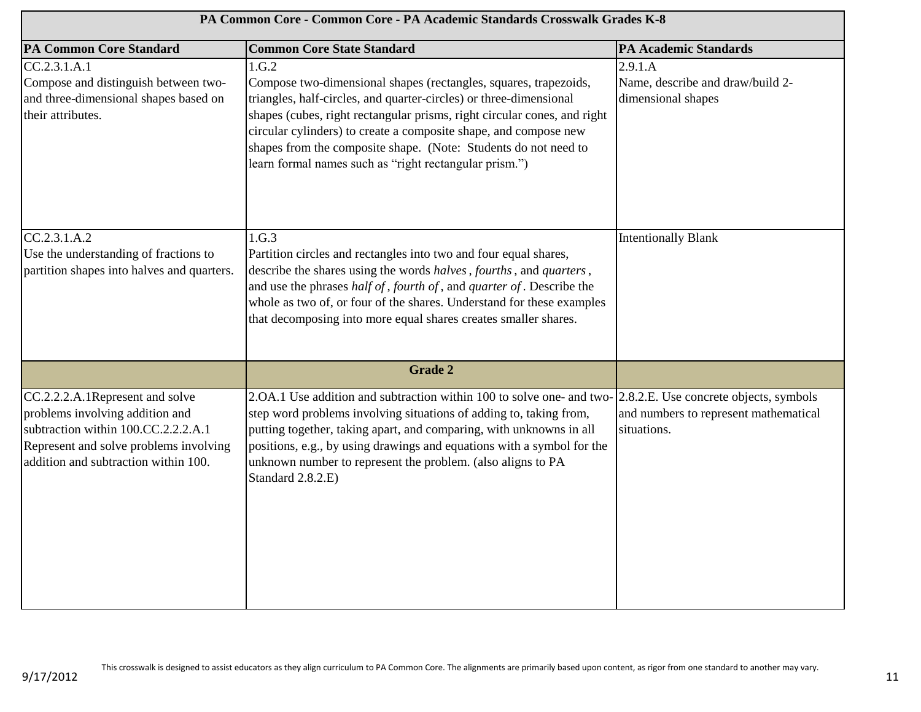| PA Common Core - Common Core - PA Academic Standards Crosswalk Grades K-8                                                                                                                   |                                                                                                                                                                                                                                                                                                                                                                                                                              |                                                                                                |
|---------------------------------------------------------------------------------------------------------------------------------------------------------------------------------------------|------------------------------------------------------------------------------------------------------------------------------------------------------------------------------------------------------------------------------------------------------------------------------------------------------------------------------------------------------------------------------------------------------------------------------|------------------------------------------------------------------------------------------------|
| <b>PA Common Core Standard</b>                                                                                                                                                              | <b>Common Core State Standard</b>                                                                                                                                                                                                                                                                                                                                                                                            | <b>PA Academic Standards</b>                                                                   |
| CC.2.3.1.A.1<br>Compose and distinguish between two-<br>and three-dimensional shapes based on<br>their attributes.                                                                          | 1.G.2<br>Compose two-dimensional shapes (rectangles, squares, trapezoids,<br>triangles, half-circles, and quarter-circles) or three-dimensional<br>shapes (cubes, right rectangular prisms, right circular cones, and right<br>circular cylinders) to create a composite shape, and compose new<br>shapes from the composite shape. (Note: Students do not need to<br>learn formal names such as "right rectangular prism.") | 2.9.1.A<br>Name, describe and draw/build 2-<br>dimensional shapes                              |
| CC.2.3.1.A.2<br>Use the understanding of fractions to<br>partition shapes into halves and quarters.                                                                                         | 1.G.3<br>Partition circles and rectangles into two and four equal shares,<br>describe the shares using the words halves, fourths, and quarters,<br>and use the phrases half of, fourth of, and quarter of. Describe the<br>whole as two of, or four of the shares. Understand for these examples<br>that decomposing into more equal shares creates smaller shares.                                                          | <b>Intentionally Blank</b>                                                                     |
|                                                                                                                                                                                             | <b>Grade 2</b>                                                                                                                                                                                                                                                                                                                                                                                                               |                                                                                                |
| CC.2.2.2.A.1Represent and solve<br>problems involving addition and<br>subtraction within 100.CC.2.2.2.A.1<br>Represent and solve problems involving<br>addition and subtraction within 100. | 2.OA.1 Use addition and subtraction within 100 to solve one- and two-<br>step word problems involving situations of adding to, taking from,<br>putting together, taking apart, and comparing, with unknowns in all<br>positions, e.g., by using drawings and equations with a symbol for the<br>unknown number to represent the problem. (also aligns to PA<br>Standard 2.8.2.E)                                             | 2.8.2.E. Use concrete objects, symbols<br>and numbers to represent mathematical<br>situations. |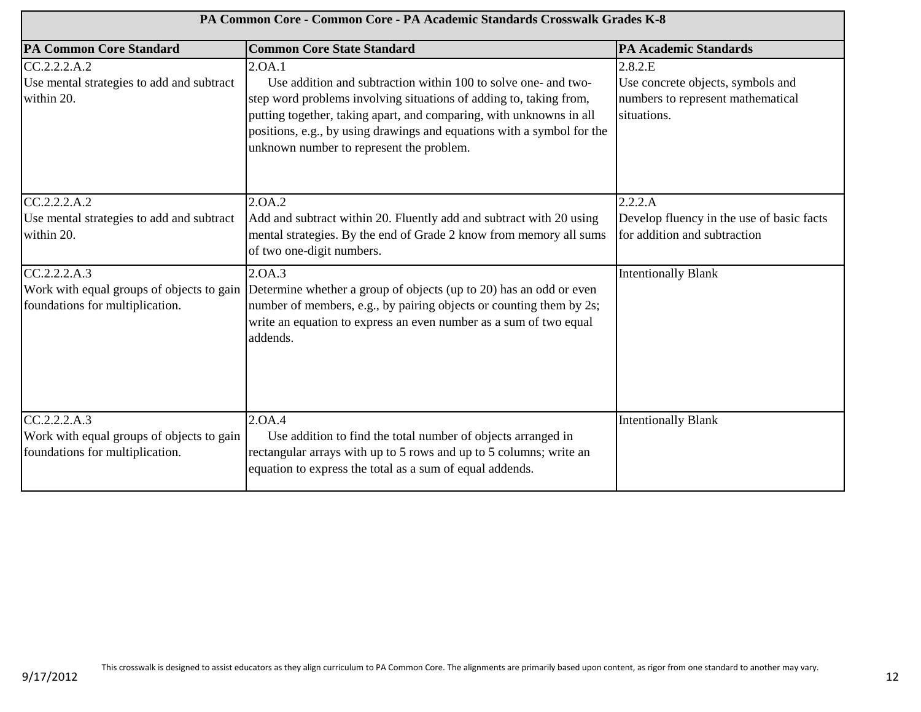| PA Common Core - Common Core - PA Academic Standards Crosswalk Grades K-8                    |                                                                                                                                                                                                                                                                                                                                             |                                                                                                  |
|----------------------------------------------------------------------------------------------|---------------------------------------------------------------------------------------------------------------------------------------------------------------------------------------------------------------------------------------------------------------------------------------------------------------------------------------------|--------------------------------------------------------------------------------------------------|
| <b>PA Common Core Standard</b>                                                               | <b>Common Core State Standard</b>                                                                                                                                                                                                                                                                                                           | <b>PA Academic Standards</b>                                                                     |
| CC.2.2.2.A.2<br>Use mental strategies to add and subtract<br>within 20.                      | 2.0A.1<br>Use addition and subtraction within 100 to solve one- and two-<br>step word problems involving situations of adding to, taking from,<br>putting together, taking apart, and comparing, with unknowns in all<br>positions, e.g., by using drawings and equations with a symbol for the<br>unknown number to represent the problem. | 2.8.2.E<br>Use concrete objects, symbols and<br>numbers to represent mathematical<br>situations. |
| CC.2.2.2.A.2<br>Use mental strategies to add and subtract<br>within 20.                      | 2.0A.2<br>Add and subtract within 20. Fluently add and subtract with 20 using<br>mental strategies. By the end of Grade 2 know from memory all sums<br>of two one-digit numbers.                                                                                                                                                            | 2.2.2.A<br>Develop fluency in the use of basic facts<br>for addition and subtraction             |
| CC.2.2.2.A.3<br>Work with equal groups of objects to gain<br>foundations for multiplication. | 2.0A.3<br>Determine whether a group of objects (up to 20) has an odd or even<br>number of members, e.g., by pairing objects or counting them by 2s;<br>write an equation to express an even number as a sum of two equal<br>addends.                                                                                                        | <b>Intentionally Blank</b>                                                                       |
| CC.2.2.2.A.3<br>Work with equal groups of objects to gain<br>foundations for multiplication. | 2.OA.4<br>Use addition to find the total number of objects arranged in<br>rectangular arrays with up to 5 rows and up to 5 columns; write an<br>equation to express the total as a sum of equal addends.                                                                                                                                    | <b>Intentionally Blank</b>                                                                       |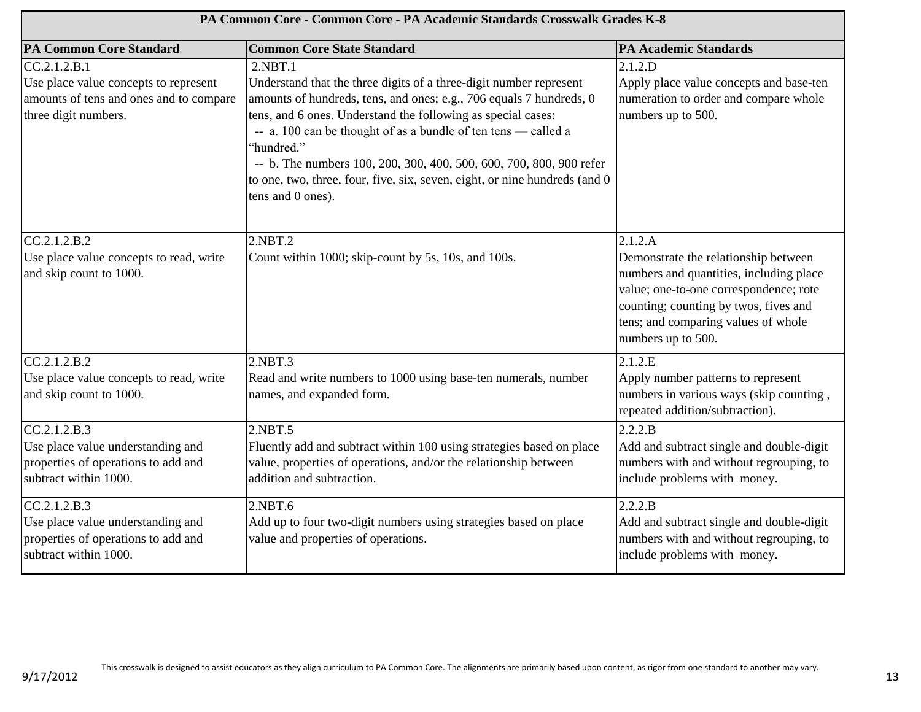| PA Common Core - Common Core - PA Academic Standards Crosswalk Grades K-8                                                |                                                                                                                                                                                                                                                                                                                                                                                                                                                                                 |                                                                                                                                                                                                                                            |
|--------------------------------------------------------------------------------------------------------------------------|---------------------------------------------------------------------------------------------------------------------------------------------------------------------------------------------------------------------------------------------------------------------------------------------------------------------------------------------------------------------------------------------------------------------------------------------------------------------------------|--------------------------------------------------------------------------------------------------------------------------------------------------------------------------------------------------------------------------------------------|
| <b>PA Common Core Standard</b>                                                                                           | <b>Common Core State Standard</b>                                                                                                                                                                                                                                                                                                                                                                                                                                               | <b>PA Academic Standards</b>                                                                                                                                                                                                               |
| CC.2.1.2.B.1<br>Use place value concepts to represent<br>amounts of tens and ones and to compare<br>three digit numbers. | 2.NBT.1<br>Understand that the three digits of a three-digit number represent<br>amounts of hundreds, tens, and ones; e.g., 706 equals 7 hundreds, 0<br>tens, and 6 ones. Understand the following as special cases:<br>-- a. 100 can be thought of as a bundle of ten tens -- called a<br>'hundred."<br>-- b. The numbers 100, 200, 300, 400, 500, 600, 700, 800, 900 refer<br>to one, two, three, four, five, six, seven, eight, or nine hundreds (and 0<br>tens and 0 ones). | 2.1.2.D<br>Apply place value concepts and base-ten<br>numeration to order and compare whole<br>numbers up to 500.                                                                                                                          |
| CC.2.1.2.B.2<br>Use place value concepts to read, write<br>and skip count to 1000.                                       | 2.NBT.2<br>Count within 1000; skip-count by 5s, 10s, and 100s.                                                                                                                                                                                                                                                                                                                                                                                                                  | 2.1.2.A<br>Demonstrate the relationship between<br>numbers and quantities, including place<br>value; one-to-one correspondence; rote<br>counting; counting by twos, fives and<br>tens; and comparing values of whole<br>numbers up to 500. |
| CC.2.1.2.B.2<br>Use place value concepts to read, write<br>and skip count to 1000.                                       | 2.NBT.3<br>Read and write numbers to 1000 using base-ten numerals, number<br>names, and expanded form.                                                                                                                                                                                                                                                                                                                                                                          | 2.1.2.E<br>Apply number patterns to represent<br>numbers in various ways (skip counting,<br>repeated addition/subtraction).                                                                                                                |
| CC.2.1.2.B.3<br>Use place value understanding and<br>properties of operations to add and<br>subtract within 1000.        | 2.NBT.5<br>Fluently add and subtract within 100 using strategies based on place<br>value, properties of operations, and/or the relationship between<br>addition and subtraction.                                                                                                                                                                                                                                                                                                | 2.2.2.B<br>Add and subtract single and double-digit<br>numbers with and without regrouping, to<br>include problems with money.                                                                                                             |
| CC.2.1.2.B.3<br>Use place value understanding and<br>properties of operations to add and<br>subtract within 1000.        | 2.NBT.6<br>Add up to four two-digit numbers using strategies based on place<br>value and properties of operations.                                                                                                                                                                                                                                                                                                                                                              | 2.2.2.B<br>Add and subtract single and double-digit<br>numbers with and without regrouping, to<br>include problems with money.                                                                                                             |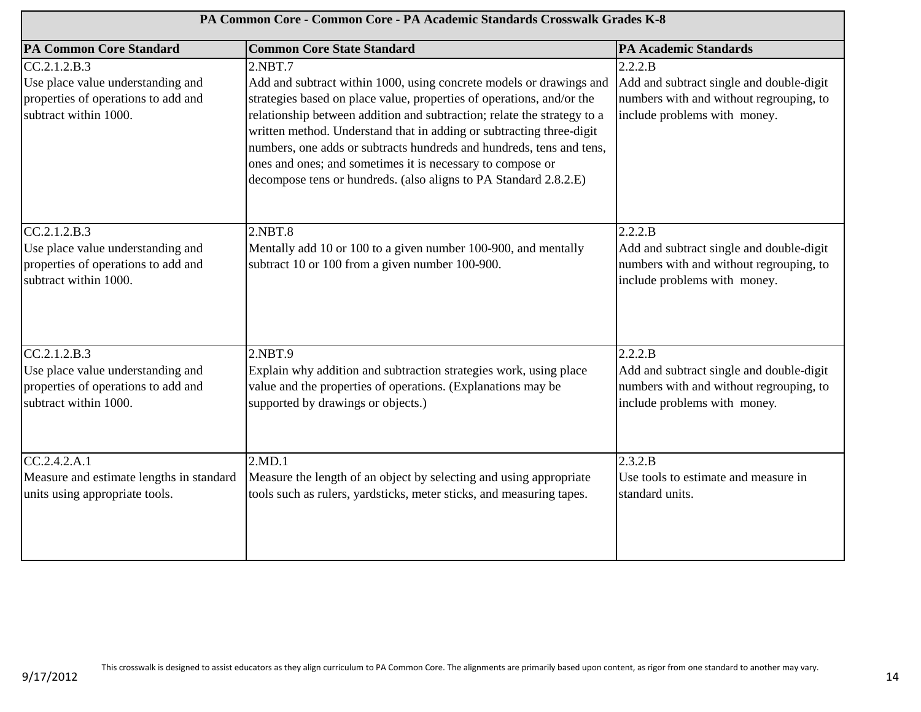| PA Common Core - Common Core - PA Academic Standards Crosswalk Grades K-8                                         |                                                                                                                                                                                                                                                                                                                                                                                                                                                                                                                      |                                                                                                                                |
|-------------------------------------------------------------------------------------------------------------------|----------------------------------------------------------------------------------------------------------------------------------------------------------------------------------------------------------------------------------------------------------------------------------------------------------------------------------------------------------------------------------------------------------------------------------------------------------------------------------------------------------------------|--------------------------------------------------------------------------------------------------------------------------------|
| <b>PA Common Core Standard</b>                                                                                    | <b>Common Core State Standard</b>                                                                                                                                                                                                                                                                                                                                                                                                                                                                                    | <b>PA Academic Standards</b>                                                                                                   |
| CC.2.1.2.B.3<br>Use place value understanding and<br>properties of operations to add and<br>subtract within 1000. | 2.NBT.7<br>Add and subtract within 1000, using concrete models or drawings and<br>strategies based on place value, properties of operations, and/or the<br>relationship between addition and subtraction; relate the strategy to a<br>written method. Understand that in adding or subtracting three-digit<br>numbers, one adds or subtracts hundreds and hundreds, tens and tens,<br>ones and ones; and sometimes it is necessary to compose or<br>decompose tens or hundreds. (also aligns to PA Standard 2.8.2.E) | 2.2.2.B<br>Add and subtract single and double-digit<br>numbers with and without regrouping, to<br>include problems with money. |
| CC.2.1.2.B.3<br>Use place value understanding and<br>properties of operations to add and<br>subtract within 1000. | 2.NBT.8<br>Mentally add 10 or 100 to a given number 100-900, and mentally<br>subtract 10 or 100 from a given number 100-900.                                                                                                                                                                                                                                                                                                                                                                                         | 2.2.2.B<br>Add and subtract single and double-digit<br>numbers with and without regrouping, to<br>include problems with money. |
| CC.2.1.2.B.3<br>Use place value understanding and<br>properties of operations to add and<br>subtract within 1000. | 2.NBT.9<br>Explain why addition and subtraction strategies work, using place<br>value and the properties of operations. (Explanations may be<br>supported by drawings or objects.)                                                                                                                                                                                                                                                                                                                                   | 2.2.2.B<br>Add and subtract single and double-digit<br>numbers with and without regrouping, to<br>include problems with money. |
| CC.2.4.2.A.1<br>Measure and estimate lengths in standard<br>units using appropriate tools.                        | 2.MD.1<br>Measure the length of an object by selecting and using appropriate<br>tools such as rulers, yardsticks, meter sticks, and measuring tapes.                                                                                                                                                                                                                                                                                                                                                                 | 2.3.2.B<br>Use tools to estimate and measure in<br>standard units.                                                             |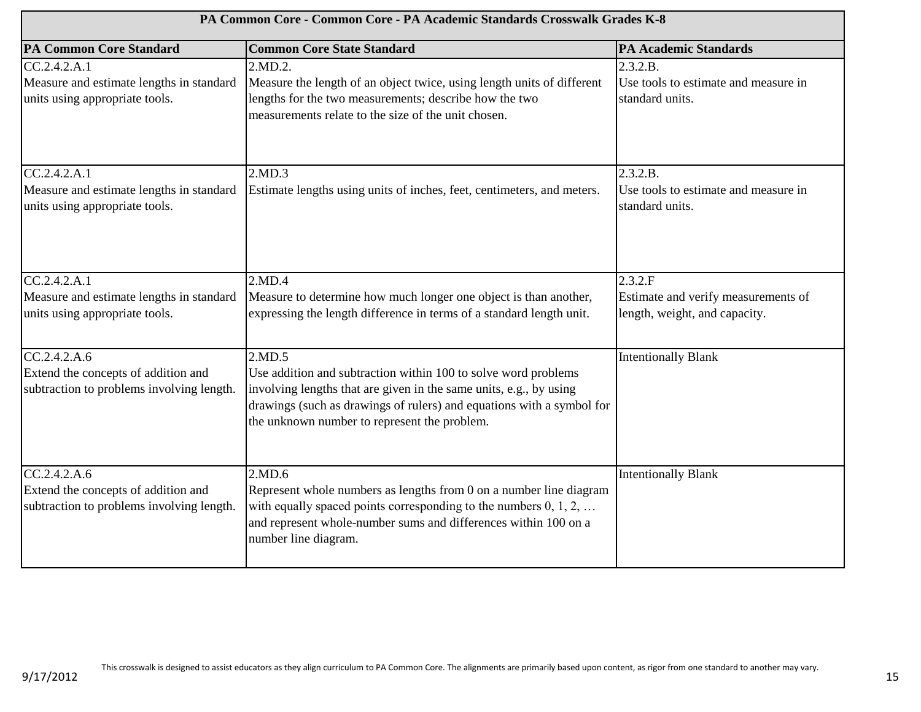| PA Common Core - Common Core - PA Academic Standards Crosswalk Grades K-8                        |                                                                                                                                                                                                                                                                         |                                                                                 |
|--------------------------------------------------------------------------------------------------|-------------------------------------------------------------------------------------------------------------------------------------------------------------------------------------------------------------------------------------------------------------------------|---------------------------------------------------------------------------------|
| <b>PA Common Core Standard</b>                                                                   | <b>Common Core State Standard</b>                                                                                                                                                                                                                                       | <b>PA Academic Standards</b>                                                    |
| CC.2.4.2.A.1<br>Measure and estimate lengths in standard<br>units using appropriate tools.       | 2.MD.2.<br>Measure the length of an object twice, using length units of different<br>lengths for the two measurements; describe how the two<br>measurements relate to the size of the unit chosen.                                                                      | 2.3.2.B.<br>Use tools to estimate and measure in<br>standard units.             |
| CC.2.4.2.A.1<br>Measure and estimate lengths in standard<br>units using appropriate tools.       | 2.MD.3<br>Estimate lengths using units of inches, feet, centimeters, and meters.                                                                                                                                                                                        | 2.3.2.B.<br>Use tools to estimate and measure in<br>standard units.             |
| CC.2.4.2.A.1<br>Measure and estimate lengths in standard<br>units using appropriate tools.       | 2.MD.4<br>Measure to determine how much longer one object is than another,<br>expressing the length difference in terms of a standard length unit.                                                                                                                      | 2.3.2.F<br>Estimate and verify measurements of<br>length, weight, and capacity. |
| CC.2.4.2.A.6<br>Extend the concepts of addition and<br>subtraction to problems involving length. | 2.MD.5<br>Use addition and subtraction within 100 to solve word problems<br>involving lengths that are given in the same units, e.g., by using<br>drawings (such as drawings of rulers) and equations with a symbol for<br>the unknown number to represent the problem. | <b>Intentionally Blank</b>                                                      |
| CC.2.4.2.A.6<br>Extend the concepts of addition and<br>subtraction to problems involving length. | 2.MD.6<br>Represent whole numbers as lengths from 0 on a number line diagram<br>with equally spaced points corresponding to the numbers $0, 1, 2, \ldots$<br>and represent whole-number sums and differences within 100 on a<br>number line diagram.                    | <b>Intentionally Blank</b>                                                      |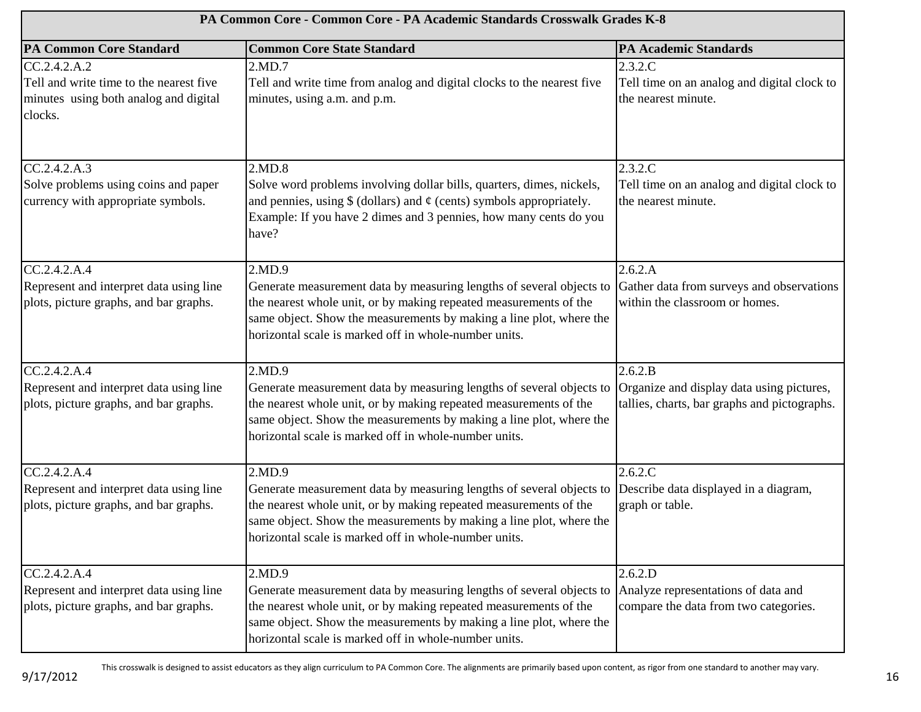| PA Common Core - Common Core - PA Academic Standards Crosswalk Grades K-8                                   |                                                                                                                                                                                                                                                                                     |                                                                                                      |
|-------------------------------------------------------------------------------------------------------------|-------------------------------------------------------------------------------------------------------------------------------------------------------------------------------------------------------------------------------------------------------------------------------------|------------------------------------------------------------------------------------------------------|
| <b>PA Common Core Standard</b>                                                                              | <b>Common Core State Standard</b>                                                                                                                                                                                                                                                   | <b>PA Academic Standards</b>                                                                         |
| CC.2.4.2.A.2<br>Tell and write time to the nearest five<br>minutes using both analog and digital<br>clocks. | 2.MD.7<br>Tell and write time from analog and digital clocks to the nearest five<br>minutes, using a.m. and p.m.                                                                                                                                                                    | 2.3.2.C<br>Tell time on an analog and digital clock to<br>the nearest minute.                        |
| CC.2.4.2.A.3<br>Solve problems using coins and paper<br>currency with appropriate symbols.                  | 2.MD.8<br>Solve word problems involving dollar bills, quarters, dimes, nickels,<br>and pennies, using $\oint$ (dollars) and $\phi$ (cents) symbols appropriately.<br>Example: If you have 2 dimes and 3 pennies, how many cents do you<br>have?                                     | 2.3.2.C<br>Tell time on an analog and digital clock to<br>the nearest minute.                        |
| CC.2.4.2.A.4<br>Represent and interpret data using line<br>plots, picture graphs, and bar graphs.           | 2.MD.9<br>Generate measurement data by measuring lengths of several objects to<br>the nearest whole unit, or by making repeated measurements of the<br>same object. Show the measurements by making a line plot, where the<br>horizontal scale is marked off in whole-number units. | 2.6.2.A<br>Gather data from surveys and observations<br>within the classroom or homes.               |
| CC.2.4.2.A.4<br>Represent and interpret data using line<br>plots, picture graphs, and bar graphs.           | 2.MD.9<br>Generate measurement data by measuring lengths of several objects to<br>the nearest whole unit, or by making repeated measurements of the<br>same object. Show the measurements by making a line plot, where the<br>horizontal scale is marked off in whole-number units. | 2.6.2.B<br>Organize and display data using pictures,<br>tallies, charts, bar graphs and pictographs. |
| CC.2.4.2.A.4<br>Represent and interpret data using line<br>plots, picture graphs, and bar graphs.           | 2.MD.9<br>Generate measurement data by measuring lengths of several objects to<br>the nearest whole unit, or by making repeated measurements of the<br>same object. Show the measurements by making a line plot, where the<br>horizontal scale is marked off in whole-number units. | 2.6.2.C<br>Describe data displayed in a diagram,<br>graph or table.                                  |
| CC.2.4.2.A.4<br>Represent and interpret data using line<br>plots, picture graphs, and bar graphs.           | 2.MD.9<br>Generate measurement data by measuring lengths of several objects to<br>the nearest whole unit, or by making repeated measurements of the<br>same object. Show the measurements by making a line plot, where the<br>horizontal scale is marked off in whole-number units. | 2.6.2.D<br>Analyze representations of data and<br>compare the data from two categories.              |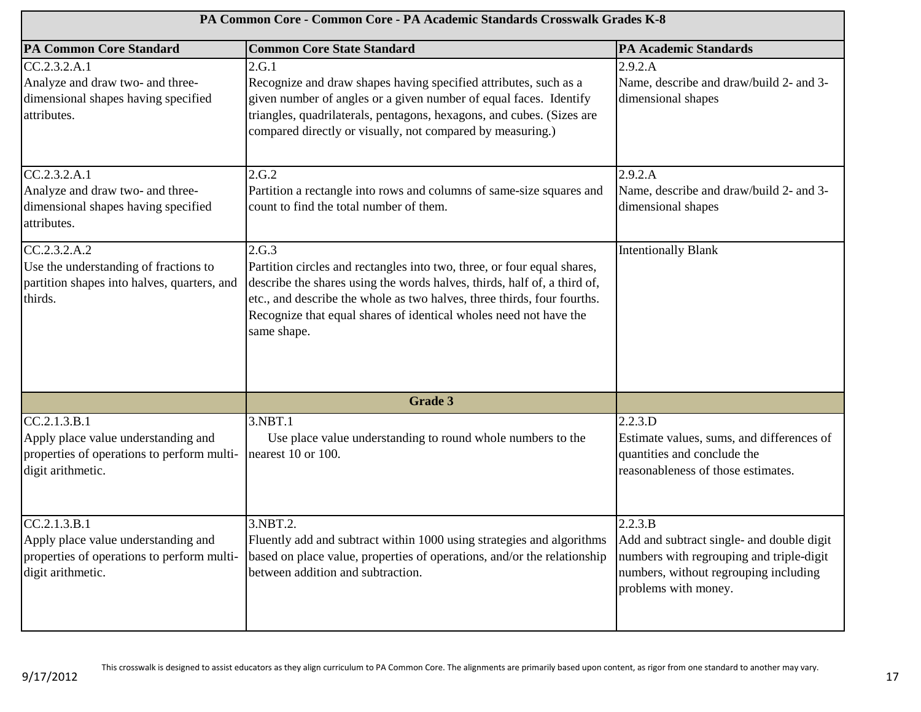| PA Common Core - Common Core - PA Academic Standards Crosswalk Grades K-8                                              |                                                                                                                                                                                                                                                                                                                             |                                                                                                                                                                   |
|------------------------------------------------------------------------------------------------------------------------|-----------------------------------------------------------------------------------------------------------------------------------------------------------------------------------------------------------------------------------------------------------------------------------------------------------------------------|-------------------------------------------------------------------------------------------------------------------------------------------------------------------|
| <b>PA Common Core Standard</b>                                                                                         | <b>Common Core State Standard</b>                                                                                                                                                                                                                                                                                           | <b>PA Academic Standards</b>                                                                                                                                      |
| CC.2.3.2.A.1<br>Analyze and draw two- and three-<br>dimensional shapes having specified<br>attributes.                 | 2.G.1<br>Recognize and draw shapes having specified attributes, such as a<br>given number of angles or a given number of equal faces. Identify<br>triangles, quadrilaterals, pentagons, hexagons, and cubes. (Sizes are<br>compared directly or visually, not compared by measuring.)                                       | 2.9.2.A<br>Name, describe and draw/build 2- and 3-<br>dimensional shapes                                                                                          |
| CC.2.3.2.A.1<br>Analyze and draw two- and three-<br>dimensional shapes having specified<br>attributes.                 | 2.G.2<br>Partition a rectangle into rows and columns of same-size squares and<br>count to find the total number of them.                                                                                                                                                                                                    | 2.9.2.A<br>Name, describe and draw/build 2- and 3-<br>dimensional shapes                                                                                          |
| CC.2.3.2.A.2<br>Use the understanding of fractions to<br>partition shapes into halves, quarters, and<br>thirds.        | 2.G.3<br>Partition circles and rectangles into two, three, or four equal shares,<br>describe the shares using the words halves, thirds, half of, a third of,<br>etc., and describe the whole as two halves, three thirds, four fourths.<br>Recognize that equal shares of identical wholes need not have the<br>same shape. | <b>Intentionally Blank</b>                                                                                                                                        |
|                                                                                                                        | <b>Grade 3</b>                                                                                                                                                                                                                                                                                                              |                                                                                                                                                                   |
| CC.2.1.3.B.1<br>Apply place value understanding and<br>properties of operations to perform multi-<br>digit arithmetic. | 3.NBT.1<br>Use place value understanding to round whole numbers to the<br>nearest 10 or 100.                                                                                                                                                                                                                                | 2.2.3.D<br>Estimate values, sums, and differences of<br>quantities and conclude the<br>reasonableness of those estimates.                                         |
| CC.2.1.3.B.1<br>Apply place value understanding and<br>properties of operations to perform multi-<br>digit arithmetic. | 3.NBT.2.<br>Fluently add and subtract within 1000 using strategies and algorithms<br>based on place value, properties of operations, and/or the relationship<br>between addition and subtraction.                                                                                                                           | 2.2.3.B<br>Add and subtract single- and double digit<br>numbers with regrouping and triple-digit<br>numbers, without regrouping including<br>problems with money. |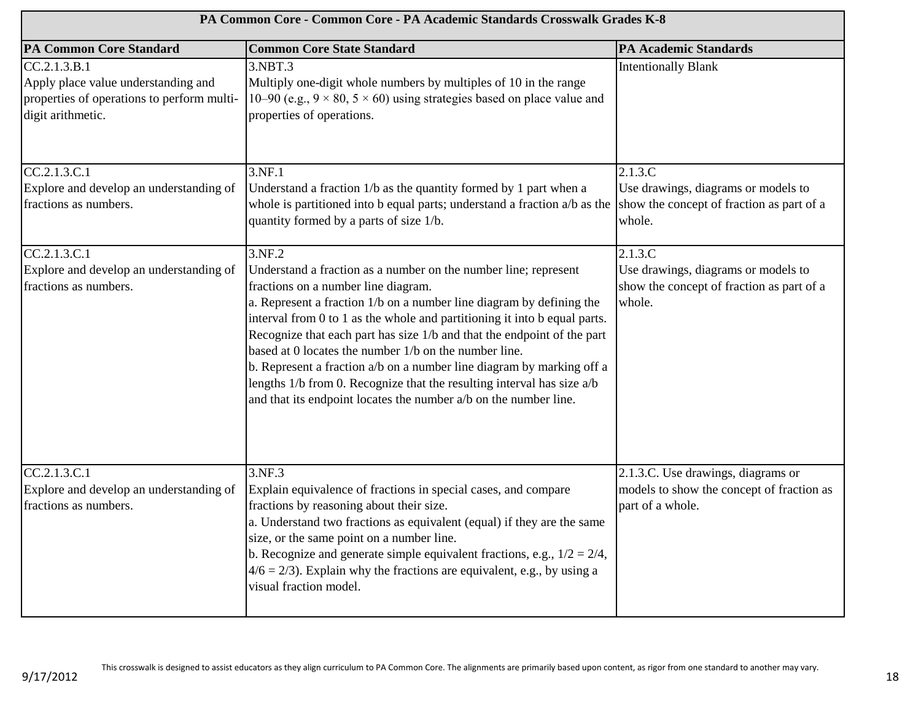| PA Common Core - Common Core - PA Academic Standards Crosswalk Grades K-8                                              |                                                                                                                                                                                                                                                                                                                                                                                                                                                                                                                                                                                                                                  |                                                                                                       |
|------------------------------------------------------------------------------------------------------------------------|----------------------------------------------------------------------------------------------------------------------------------------------------------------------------------------------------------------------------------------------------------------------------------------------------------------------------------------------------------------------------------------------------------------------------------------------------------------------------------------------------------------------------------------------------------------------------------------------------------------------------------|-------------------------------------------------------------------------------------------------------|
| <b>PA Common Core Standard</b>                                                                                         | <b>Common Core State Standard</b>                                                                                                                                                                                                                                                                                                                                                                                                                                                                                                                                                                                                | <b>PA Academic Standards</b>                                                                          |
| CC.2.1.3.B.1<br>Apply place value understanding and<br>properties of operations to perform multi-<br>digit arithmetic. | 3.NBT.3<br>Multiply one-digit whole numbers by multiples of 10 in the range<br>10–90 (e.g., $9 \times 80$ , $5 \times 60$ ) using strategies based on place value and<br>properties of operations.                                                                                                                                                                                                                                                                                                                                                                                                                               | <b>Intentionally Blank</b>                                                                            |
| CC.2.1.3.C.1<br>Explore and develop an understanding of<br>fractions as numbers.                                       | 3.NF.1<br>Understand a fraction 1/b as the quantity formed by 1 part when a<br>whole is partitioned into b equal parts; understand a fraction $a/b$ as the<br>quantity formed by a parts of size 1/b.                                                                                                                                                                                                                                                                                                                                                                                                                            | 2.1.3.C<br>Use drawings, diagrams or models to<br>show the concept of fraction as part of a<br>whole. |
| CC.2.1.3.C.1<br>Explore and develop an understanding of<br>fractions as numbers.                                       | 3.NF.2<br>Understand a fraction as a number on the number line; represent<br>fractions on a number line diagram.<br>a. Represent a fraction 1/b on a number line diagram by defining the<br>interval from 0 to 1 as the whole and partitioning it into b equal parts.<br>Recognize that each part has size 1/b and that the endpoint of the part<br>based at 0 locates the number 1/b on the number line.<br>b. Represent a fraction a/b on a number line diagram by marking off a<br>lengths 1/b from 0. Recognize that the resulting interval has size a/b<br>and that its endpoint locates the number a/b on the number line. | 2.1.3.C<br>Use drawings, diagrams or models to<br>show the concept of fraction as part of a<br>whole. |
| CC.2.1.3.C.1<br>Explore and develop an understanding of<br>fractions as numbers.                                       | 3.NF.3<br>Explain equivalence of fractions in special cases, and compare<br>fractions by reasoning about their size.<br>a. Understand two fractions as equivalent (equal) if they are the same<br>size, or the same point on a number line.<br>b. Recognize and generate simple equivalent fractions, e.g., $1/2 = 2/4$ ,<br>$4/6 = 2/3$ ). Explain why the fractions are equivalent, e.g., by using a<br>visual fraction model.                                                                                                                                                                                                 | 2.1.3.C. Use drawings, diagrams or<br>models to show the concept of fraction as<br>part of a whole.   |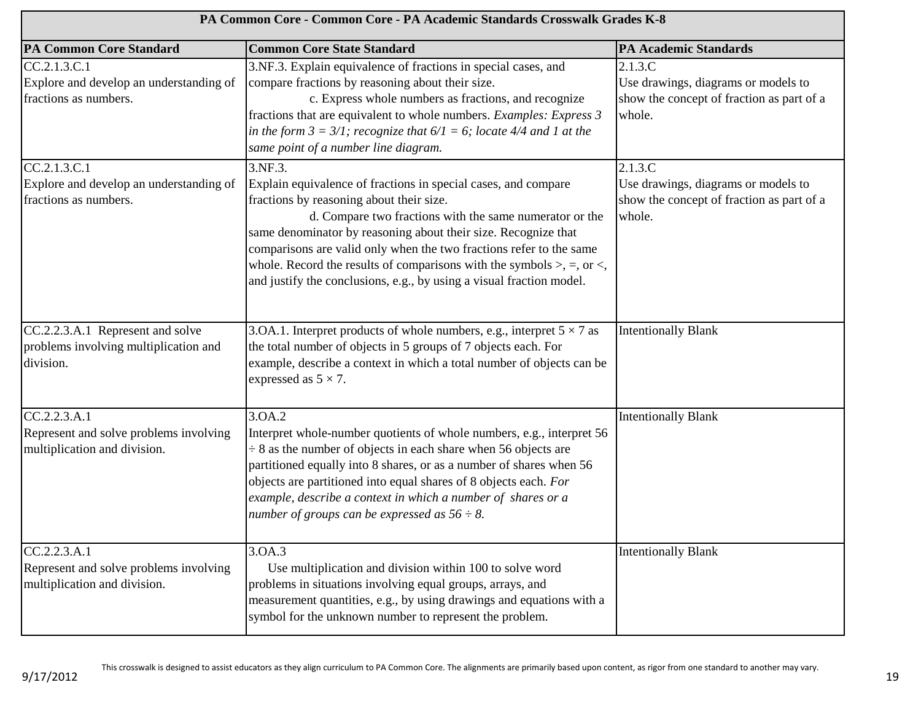| PA Common Core - Common Core - PA Academic Standards Crosswalk Grades K-8              |                                                                                                                                                                                                                                                                                                                                                                                                                                                                                       |                                                                                                       |
|----------------------------------------------------------------------------------------|---------------------------------------------------------------------------------------------------------------------------------------------------------------------------------------------------------------------------------------------------------------------------------------------------------------------------------------------------------------------------------------------------------------------------------------------------------------------------------------|-------------------------------------------------------------------------------------------------------|
| <b>PA Common Core Standard</b>                                                         | <b>Common Core State Standard</b>                                                                                                                                                                                                                                                                                                                                                                                                                                                     | <b>PA Academic Standards</b>                                                                          |
| CC.2.1.3.C.1<br>Explore and develop an understanding of<br>fractions as numbers.       | 3.NF.3. Explain equivalence of fractions in special cases, and<br>compare fractions by reasoning about their size.<br>c. Express whole numbers as fractions, and recognize<br>fractions that are equivalent to whole numbers. Examples: Express 3<br>in the form $3 = 3/1$ ; recognize that $6/1 = 6$ ; locate 4/4 and 1 at the<br>same point of a number line diagram.                                                                                                               | 2.1.3.C<br>Use drawings, diagrams or models to<br>show the concept of fraction as part of a<br>whole. |
| CC.2.1.3.C.1<br>Explore and develop an understanding of<br>fractions as numbers.       | 3.NF.3.<br>Explain equivalence of fractions in special cases, and compare<br>fractions by reasoning about their size.<br>d. Compare two fractions with the same numerator or the<br>same denominator by reasoning about their size. Recognize that<br>comparisons are valid only when the two fractions refer to the same<br>whole. Record the results of comparisons with the symbols $>$ , $=$ , or $\lt$ ,<br>and justify the conclusions, e.g., by using a visual fraction model. | 2.1.3.C<br>Use drawings, diagrams or models to<br>show the concept of fraction as part of a<br>whole. |
| CC.2.2.3.A.1 Represent and solve<br>problems involving multiplication and<br>division. | 3.OA.1. Interpret products of whole numbers, e.g., interpret $5 \times 7$ as<br>the total number of objects in 5 groups of 7 objects each. For<br>example, describe a context in which a total number of objects can be<br>expressed as $5 \times 7$ .                                                                                                                                                                                                                                | <b>Intentionally Blank</b>                                                                            |
| CC.2.2.3.A.1<br>Represent and solve problems involving<br>multiplication and division. | 3.OA.2<br>Interpret whole-number quotients of whole numbers, e.g., interpret 56<br>$\div$ 8 as the number of objects in each share when 56 objects are<br>partitioned equally into 8 shares, or as a number of shares when 56<br>objects are partitioned into equal shares of 8 objects each. For<br>example, describe a context in which a number of shares or a<br>number of groups can be expressed as $56 \div 8$ .                                                               | <b>Intentionally Blank</b>                                                                            |
| CC.2.2.3.A.1<br>Represent and solve problems involving<br>multiplication and division. | 3.0A.3<br>Use multiplication and division within 100 to solve word<br>problems in situations involving equal groups, arrays, and<br>measurement quantities, e.g., by using drawings and equations with a<br>symbol for the unknown number to represent the problem.                                                                                                                                                                                                                   | <b>Intentionally Blank</b>                                                                            |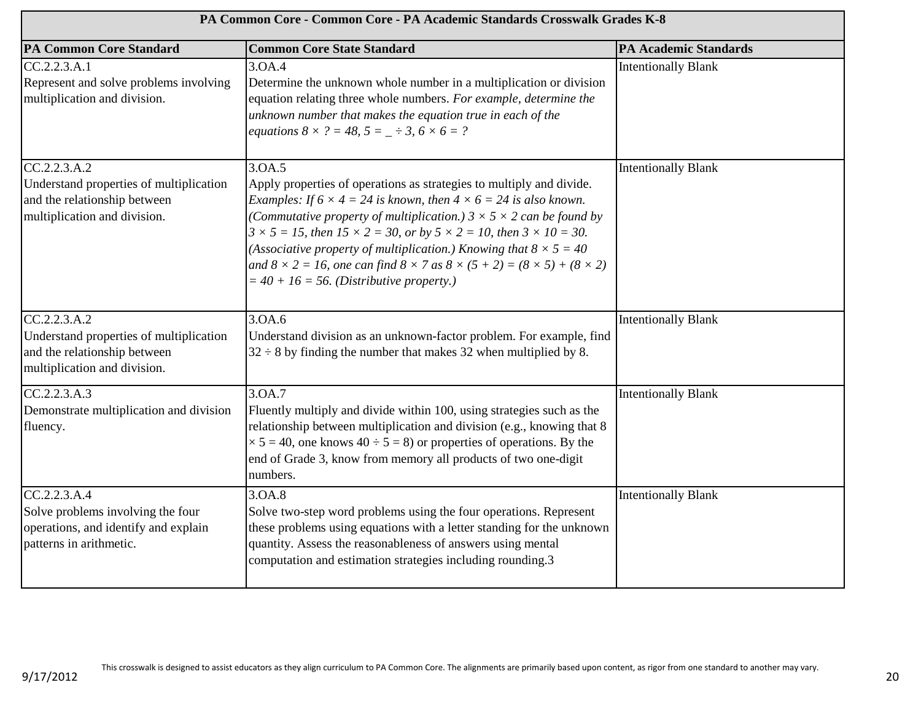| PA Common Core - Common Core - PA Academic Standards Crosswalk Grades K-8                                                |                                                                                                                                                                                                                                                                                                                                                                                                                                                                                                                                                                                                                  |                              |
|--------------------------------------------------------------------------------------------------------------------------|------------------------------------------------------------------------------------------------------------------------------------------------------------------------------------------------------------------------------------------------------------------------------------------------------------------------------------------------------------------------------------------------------------------------------------------------------------------------------------------------------------------------------------------------------------------------------------------------------------------|------------------------------|
| <b>PA Common Core Standard</b>                                                                                           | <b>Common Core State Standard</b>                                                                                                                                                                                                                                                                                                                                                                                                                                                                                                                                                                                | <b>PA Academic Standards</b> |
| CC.2.2.3. A.1<br>Represent and solve problems involving<br>multiplication and division.                                  | 3.OA.4<br>Determine the unknown whole number in a multiplication or division<br>equation relating three whole numbers. For example, determine the<br>unknown number that makes the equation true in each of the<br>equations $8 \times ? = 48$ , $5 = -3$ , $6 \times 6 = ?$                                                                                                                                                                                                                                                                                                                                     | <b>Intentionally Blank</b>   |
| CC.2.2.3.A.2<br>Understand properties of multiplication<br>and the relationship between<br>multiplication and division.  | 3.OA.5<br>Apply properties of operations as strategies to multiply and divide.<br><i>Examples: If</i> $6 \times 4 = 24$ <i>is known, then</i> $4 \times 6 = 24$ <i>is also known.</i><br>(Commutative property of multiplication.) $3 \times 5 \times 2$ can be found by<br>$3 \times 5 = 15$ , then $15 \times 2 = 30$ , or by $5 \times 2 = 10$ , then $3 \times 10 = 30$ .<br>(Associative property of multiplication.) Knowing that $8 \times 5 = 40$<br>and $8 \times 2 = 16$ , one can find $8 \times 7$ as $8 \times (5 + 2) = (8 \times 5) + (8 \times 2)$<br>$=$ 40 + 16 = 56. (Distributive property.) | <b>Intentionally Blank</b>   |
| CC.2.2.3. A.2<br>Understand properties of multiplication<br>and the relationship between<br>multiplication and division. | 3.OA.6<br>Understand division as an unknown-factor problem. For example, find<br>$32 \div 8$ by finding the number that makes 32 when multiplied by 8.                                                                                                                                                                                                                                                                                                                                                                                                                                                           | <b>Intentionally Blank</b>   |
| CC.2.2.3.A.3<br>Demonstrate multiplication and division<br>fluency.                                                      | 3.0A.7<br>Fluently multiply and divide within 100, using strategies such as the<br>relationship between multiplication and division (e.g., knowing that 8<br>$\times$ 5 = 40, one knows 40 ÷ 5 = 8) or properties of operations. By the<br>end of Grade 3, know from memory all products of two one-digit<br>numbers.                                                                                                                                                                                                                                                                                            | <b>Intentionally Blank</b>   |
| CC.2.2.3.A.4<br>Solve problems involving the four<br>operations, and identify and explain<br>patterns in arithmetic.     | 3.OA.8<br>Solve two-step word problems using the four operations. Represent<br>these problems using equations with a letter standing for the unknown<br>quantity. Assess the reasonableness of answers using mental<br>computation and estimation strategies including rounding.3                                                                                                                                                                                                                                                                                                                                | <b>Intentionally Blank</b>   |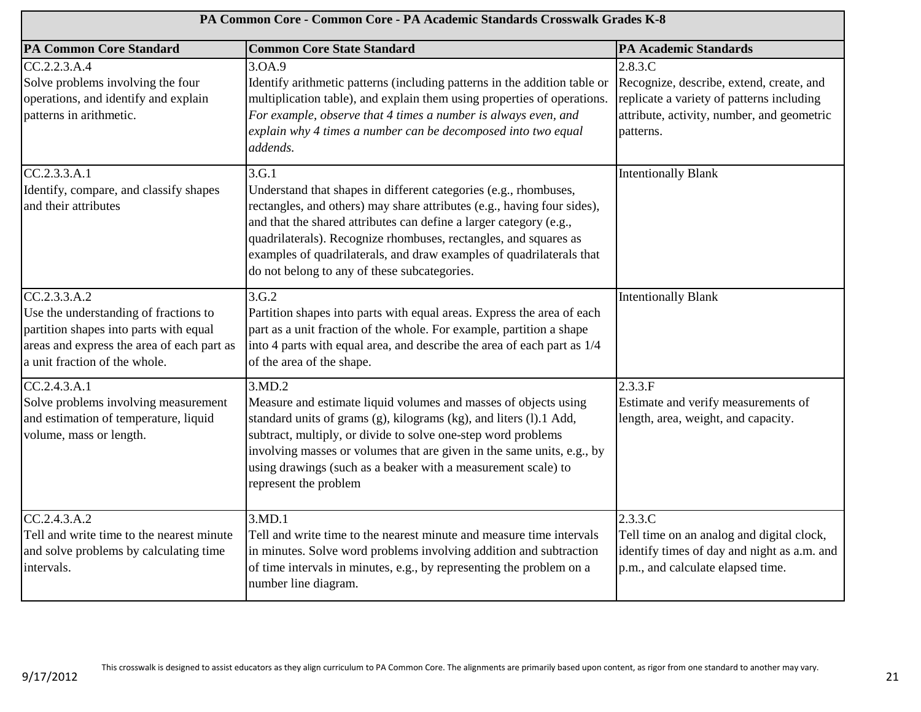| PA Common Core - Common Core - PA Academic Standards Crosswalk Grades K-8                                                                                                      |                                                                                                                                                                                                                                                                                                                                                                                                                        |                                                                                                                                                             |
|--------------------------------------------------------------------------------------------------------------------------------------------------------------------------------|------------------------------------------------------------------------------------------------------------------------------------------------------------------------------------------------------------------------------------------------------------------------------------------------------------------------------------------------------------------------------------------------------------------------|-------------------------------------------------------------------------------------------------------------------------------------------------------------|
| <b>PA Common Core Standard</b>                                                                                                                                                 | <b>Common Core State Standard</b>                                                                                                                                                                                                                                                                                                                                                                                      | <b>PA Academic Standards</b>                                                                                                                                |
| CC.2.2.3.A.4<br>Solve problems involving the four<br>operations, and identify and explain<br>patterns in arithmetic.                                                           | 3.OA.9<br>Identify arithmetic patterns (including patterns in the addition table or<br>multiplication table), and explain them using properties of operations.<br>For example, observe that 4 times a number is always even, and<br>explain why 4 times a number can be decomposed into two equal<br>addends.                                                                                                          | 2.8.3.C<br>Recognize, describe, extend, create, and<br>replicate a variety of patterns including<br>attribute, activity, number, and geometric<br>patterns. |
| CC.2.3.3.A.1<br>Identify, compare, and classify shapes<br>and their attributes                                                                                                 | 3.G.1<br>Understand that shapes in different categories (e.g., rhombuses,<br>rectangles, and others) may share attributes (e.g., having four sides),<br>and that the shared attributes can define a larger category (e.g.,<br>quadrilaterals). Recognize rhombuses, rectangles, and squares as<br>examples of quadrilaterals, and draw examples of quadrilaterals that<br>do not belong to any of these subcategories. | <b>Intentionally Blank</b>                                                                                                                                  |
| CC.2.3.3.A.2<br>Use the understanding of fractions to<br>partition shapes into parts with equal<br>areas and express the area of each part as<br>a unit fraction of the whole. | 3.G.2<br>Partition shapes into parts with equal areas. Express the area of each<br>part as a unit fraction of the whole. For example, partition a shape<br>into 4 parts with equal area, and describe the area of each part as 1/4<br>of the area of the shape.                                                                                                                                                        | <b>Intentionally Blank</b>                                                                                                                                  |
| CC.2.4.3. A.1<br>Solve problems involving measurement<br>and estimation of temperature, liquid<br>volume, mass or length.                                                      | 3.MD.2<br>Measure and estimate liquid volumes and masses of objects using<br>standard units of grams (g), kilograms (kg), and liters (l).1 Add,<br>subtract, multiply, or divide to solve one-step word problems<br>involving masses or volumes that are given in the same units, e.g., by<br>using drawings (such as a beaker with a measurement scale) to<br>represent the problem                                   | 2.3.3.F<br>Estimate and verify measurements of<br>length, area, weight, and capacity.                                                                       |
| CC.2.4.3.A.2<br>Tell and write time to the nearest minute<br>and solve problems by calculating time<br>intervals.                                                              | 3.MD.1<br>Tell and write time to the nearest minute and measure time intervals<br>in minutes. Solve word problems involving addition and subtraction<br>of time intervals in minutes, e.g., by representing the problem on a<br>number line diagram.                                                                                                                                                                   | 2.3.3.C<br>Tell time on an analog and digital clock,<br>identify times of day and night as a.m. and<br>p.m., and calculate elapsed time.                    |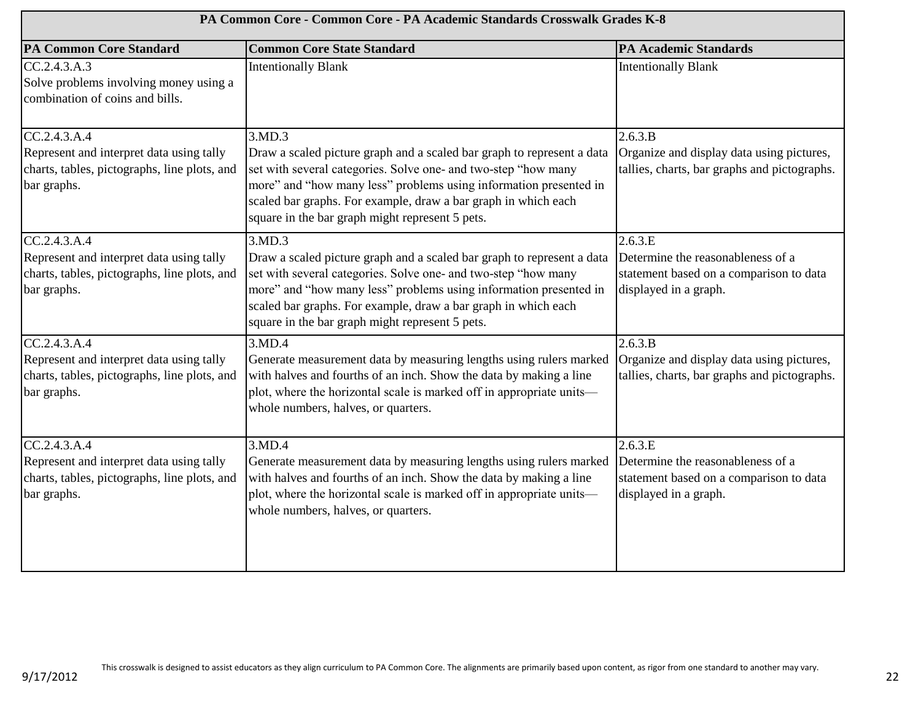| PA Common Core - Common Core - PA Academic Standards Crosswalk Grades K-8                                               |                                                                                                                                                                                                                                                                                                                                              |                                                                                                                  |
|-------------------------------------------------------------------------------------------------------------------------|----------------------------------------------------------------------------------------------------------------------------------------------------------------------------------------------------------------------------------------------------------------------------------------------------------------------------------------------|------------------------------------------------------------------------------------------------------------------|
| <b>PA Common Core Standard</b>                                                                                          | <b>Common Core State Standard</b>                                                                                                                                                                                                                                                                                                            | <b>PA Academic Standards</b>                                                                                     |
| CC.2.4.3.A.3<br>Solve problems involving money using a<br>combination of coins and bills.                               | <b>Intentionally Blank</b>                                                                                                                                                                                                                                                                                                                   | <b>Intentionally Blank</b>                                                                                       |
| CC.2.4.3.A.4<br>Represent and interpret data using tally<br>charts, tables, pictographs, line plots, and<br>bar graphs. | 3.MD.3<br>Draw a scaled picture graph and a scaled bar graph to represent a data<br>set with several categories. Solve one- and two-step "how many<br>more" and "how many less" problems using information presented in                                                                                                                      | 2.6.3.B<br>Organize and display data using pictures,<br>tallies, charts, bar graphs and pictographs.             |
|                                                                                                                         | scaled bar graphs. For example, draw a bar graph in which each<br>square in the bar graph might represent 5 pets.                                                                                                                                                                                                                            |                                                                                                                  |
| CC.2.4.3.A.4<br>Represent and interpret data using tally<br>charts, tables, pictographs, line plots, and<br>bar graphs. | 3.MD.3<br>Draw a scaled picture graph and a scaled bar graph to represent a data<br>set with several categories. Solve one- and two-step "how many<br>more" and "how many less" problems using information presented in<br>scaled bar graphs. For example, draw a bar graph in which each<br>square in the bar graph might represent 5 pets. | 2.6.3.E<br>Determine the reasonableness of a<br>statement based on a comparison to data<br>displayed in a graph. |
| CC.2.4.3.A.4<br>Represent and interpret data using tally<br>charts, tables, pictographs, line plots, and<br>bar graphs. | 3.MD.4<br>Generate measurement data by measuring lengths using rulers marked<br>with halves and fourths of an inch. Show the data by making a line<br>plot, where the horizontal scale is marked off in appropriate units-<br>whole numbers, halves, or quarters.                                                                            | 2.6.3.B<br>Organize and display data using pictures,<br>tallies, charts, bar graphs and pictographs.             |
| CC.2.4.3.A.4<br>Represent and interpret data using tally<br>charts, tables, pictographs, line plots, and<br>bar graphs. | 3.MD.4<br>Generate measurement data by measuring lengths using rulers marked<br>with halves and fourths of an inch. Show the data by making a line<br>plot, where the horizontal scale is marked off in appropriate units-<br>whole numbers, halves, or quarters.                                                                            | 2.6.3.E<br>Determine the reasonableness of a<br>statement based on a comparison to data<br>displayed in a graph. |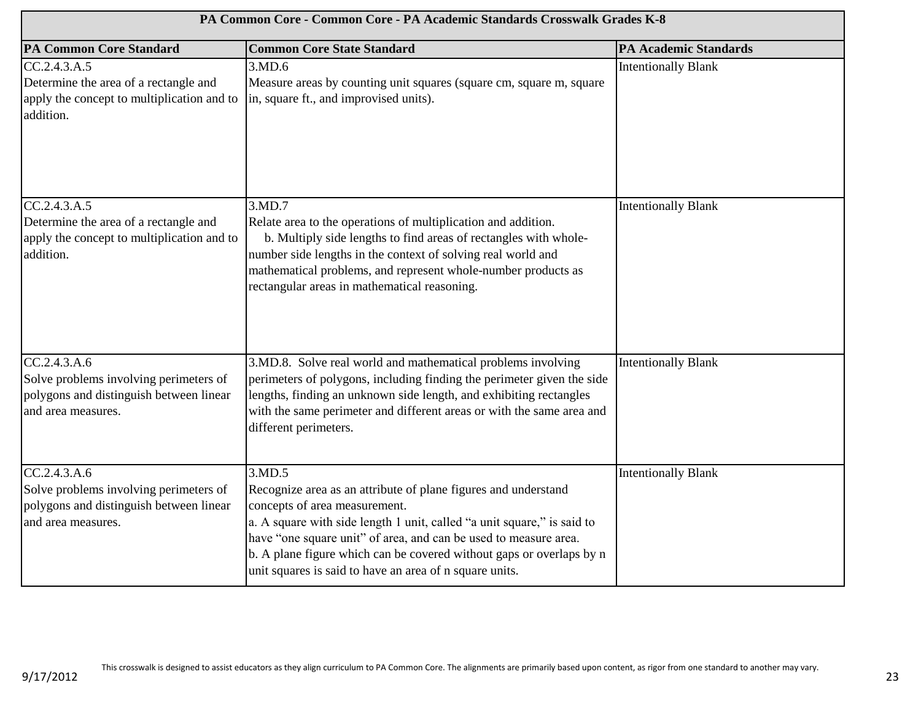| PA Common Core - Common Core - PA Academic Standards Crosswalk Grades K-8                                                |                                                                                                                                                                                                                                                                                                                                                                                             |                            |
|--------------------------------------------------------------------------------------------------------------------------|---------------------------------------------------------------------------------------------------------------------------------------------------------------------------------------------------------------------------------------------------------------------------------------------------------------------------------------------------------------------------------------------|----------------------------|
| <b>PA Common Core Standard</b>                                                                                           | <b>Common Core State Standard</b>                                                                                                                                                                                                                                                                                                                                                           | PA Academic Standards      |
| CC.2.4.3.A.5<br>Determine the area of a rectangle and<br>apply the concept to multiplication and to<br>addition.         | 3.MD.6<br>Measure areas by counting unit squares (square cm, square m, square<br>in, square ft., and improvised units).                                                                                                                                                                                                                                                                     | <b>Intentionally Blank</b> |
| CC.2.4.3.A.5<br>Determine the area of a rectangle and<br>apply the concept to multiplication and to<br>addition.         | 3.MD.7<br>Relate area to the operations of multiplication and addition.<br>b. Multiply side lengths to find areas of rectangles with whole-<br>number side lengths in the context of solving real world and<br>mathematical problems, and represent whole-number products as<br>rectangular areas in mathematical reasoning.                                                                | <b>Intentionally Blank</b> |
| CC.2.4.3. A.6<br>Solve problems involving perimeters of<br>polygons and distinguish between linear<br>and area measures. | 3.MD.8. Solve real world and mathematical problems involving<br>perimeters of polygons, including finding the perimeter given the side<br>lengths, finding an unknown side length, and exhibiting rectangles<br>with the same perimeter and different areas or with the same area and<br>different perimeters.                                                                              | <b>Intentionally Blank</b> |
| CC.2.4.3.A.6<br>Solve problems involving perimeters of<br>polygons and distinguish between linear<br>and area measures.  | 3.MD.5<br>Recognize area as an attribute of plane figures and understand<br>concepts of area measurement.<br>a. A square with side length 1 unit, called "a unit square," is said to<br>have "one square unit" of area, and can be used to measure area.<br>b. A plane figure which can be covered without gaps or overlaps by n<br>unit squares is said to have an area of n square units. | <b>Intentionally Blank</b> |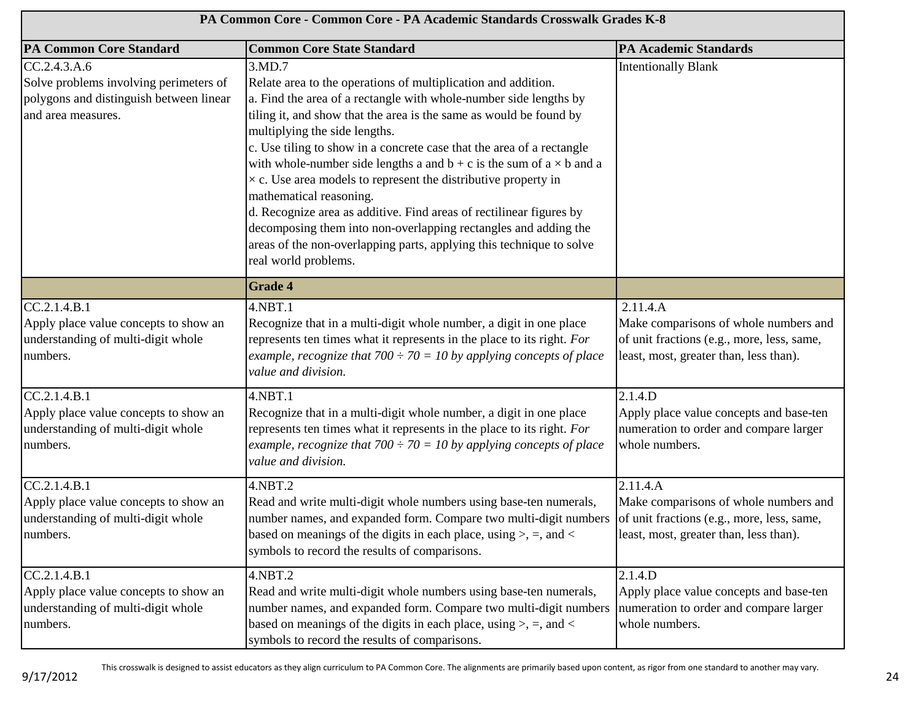| PA Common Core - Common Core - PA Academic Standards Crosswalk Grades K-8                                               |                                                                                                                                                                                                                                                                                                                                                                                                                                                                                                                                                                                                                                                                                                                                                             |                                                                                                                                           |
|-------------------------------------------------------------------------------------------------------------------------|-------------------------------------------------------------------------------------------------------------------------------------------------------------------------------------------------------------------------------------------------------------------------------------------------------------------------------------------------------------------------------------------------------------------------------------------------------------------------------------------------------------------------------------------------------------------------------------------------------------------------------------------------------------------------------------------------------------------------------------------------------------|-------------------------------------------------------------------------------------------------------------------------------------------|
| <b>PA Common Core Standard</b>                                                                                          | <b>Common Core State Standard</b>                                                                                                                                                                                                                                                                                                                                                                                                                                                                                                                                                                                                                                                                                                                           | <b>PA Academic Standards</b>                                                                                                              |
| CC.2.4.3.A.6<br>Solve problems involving perimeters of<br>polygons and distinguish between linear<br>and area measures. | 3.MD.7<br>Relate area to the operations of multiplication and addition.<br>a. Find the area of a rectangle with whole-number side lengths by<br>tiling it, and show that the area is the same as would be found by<br>multiplying the side lengths.<br>c. Use tiling to show in a concrete case that the area of a rectangle<br>with whole-number side lengths a and $b + c$ is the sum of $a \times b$ and a<br>$\times$ c. Use area models to represent the distributive property in<br>mathematical reasoning.<br>d. Recognize area as additive. Find areas of rectilinear figures by<br>decomposing them into non-overlapping rectangles and adding the<br>areas of the non-overlapping parts, applying this technique to solve<br>real world problems. | <b>Intentionally Blank</b>                                                                                                                |
|                                                                                                                         | <b>Grade 4</b>                                                                                                                                                                                                                                                                                                                                                                                                                                                                                                                                                                                                                                                                                                                                              |                                                                                                                                           |
| CC.2.1.4.B.1<br>Apply place value concepts to show an<br>understanding of multi-digit whole<br>numbers.                 | $4.$ NBT $.1$<br>Recognize that in a multi-digit whole number, a digit in one place<br>represents ten times what it represents in the place to its right. For<br>example, recognize that $700 \div 70 = 10$ by applying concepts of place<br>value and division.                                                                                                                                                                                                                                                                                                                                                                                                                                                                                            | 2.11.4.A<br>Make comparisons of whole numbers and<br>of unit fractions (e.g., more, less, same,<br>least, most, greater than, less than). |
| $CC.2.1.4. \overline{B.1}$<br>Apply place value concepts to show an<br>understanding of multi-digit whole<br>numbers.   | 4.NBT.1<br>Recognize that in a multi-digit whole number, a digit in one place<br>represents ten times what it represents in the place to its right. For<br>example, recognize that $700 \div 70 = 10$ by applying concepts of place<br>value and division.                                                                                                                                                                                                                                                                                                                                                                                                                                                                                                  | 2.1.4.D<br>Apply place value concepts and base-ten<br>numeration to order and compare larger<br>whole numbers.                            |
| CC.2.1.4.B.1<br>Apply place value concepts to show an<br>understanding of multi-digit whole<br>numbers.                 | 4.NBT.2<br>Read and write multi-digit whole numbers using base-ten numerals,<br>number names, and expanded form. Compare two multi-digit numbers<br>based on meanings of the digits in each place, using $>$ , $=$ , and $<$<br>symbols to record the results of comparisons.                                                                                                                                                                                                                                                                                                                                                                                                                                                                               | 2.11.4.A<br>Make comparisons of whole numbers and<br>of unit fractions (e.g., more, less, same,<br>least, most, greater than, less than). |
| CC.2.1.4.B.1<br>Apply place value concepts to show an<br>understanding of multi-digit whole<br>numbers.                 | 4.NBT.2<br>Read and write multi-digit whole numbers using base-ten numerals,<br>number names, and expanded form. Compare two multi-digit numbers<br>based on meanings of the digits in each place, using $>$ , =, and <<br>symbols to record the results of comparisons.                                                                                                                                                                                                                                                                                                                                                                                                                                                                                    | 2.1.4.D<br>Apply place value concepts and base-ten<br>numeration to order and compare larger<br>whole numbers.                            |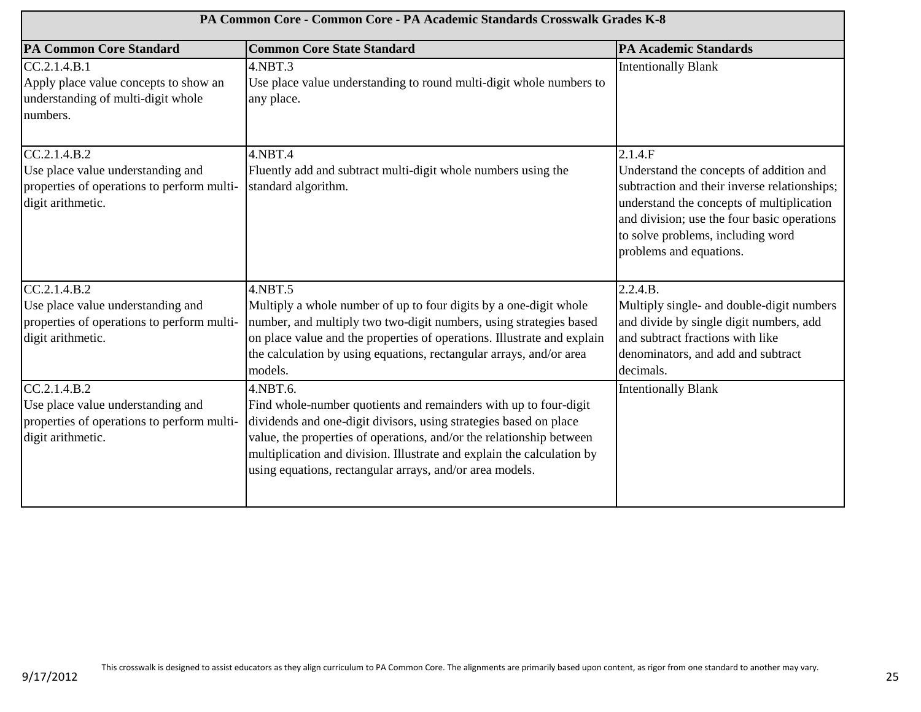| PA Common Core - Common Core - PA Academic Standards Crosswalk Grades K-8                                             |                                                                                                                                                                                                                                                                                                                                                                 |                                                                                                                                                                                                                                                                |
|-----------------------------------------------------------------------------------------------------------------------|-----------------------------------------------------------------------------------------------------------------------------------------------------------------------------------------------------------------------------------------------------------------------------------------------------------------------------------------------------------------|----------------------------------------------------------------------------------------------------------------------------------------------------------------------------------------------------------------------------------------------------------------|
| <b>PA Common Core Standard</b>                                                                                        | <b>Common Core State Standard</b>                                                                                                                                                                                                                                                                                                                               | <b>PA Academic Standards</b>                                                                                                                                                                                                                                   |
| $CC.2.1.4. \overline{B.1}$<br>Apply place value concepts to show an<br>understanding of multi-digit whole<br>numbers. | $4.$ NBT $.3$<br>Use place value understanding to round multi-digit whole numbers to<br>any place.                                                                                                                                                                                                                                                              | <b>Intentionally Blank</b>                                                                                                                                                                                                                                     |
| CC.2.1.4.B.2<br>Use place value understanding and<br>properties of operations to perform multi-<br>digit arithmetic.  | 4.NBT.4<br>Fluently add and subtract multi-digit whole numbers using the<br>standard algorithm.                                                                                                                                                                                                                                                                 | 2.1.4.F<br>Understand the concepts of addition and<br>subtraction and their inverse relationships;<br>understand the concepts of multiplication<br>and division; use the four basic operations<br>to solve problems, including word<br>problems and equations. |
| CC.2.1.4.B.2<br>Use place value understanding and<br>properties of operations to perform multi-<br>digit arithmetic.  | 4.NBT.5<br>Multiply a whole number of up to four digits by a one-digit whole<br>number, and multiply two two-digit numbers, using strategies based<br>on place value and the properties of operations. Illustrate and explain<br>the calculation by using equations, rectangular arrays, and/or area<br>models.                                                 | 2.2.4.B.<br>Multiply single- and double-digit numbers<br>and divide by single digit numbers, add<br>and subtract fractions with like<br>denominators, and add and subtract<br>decimals.                                                                        |
| CC.2.1.4.B.2<br>Use place value understanding and<br>properties of operations to perform multi-<br>digit arithmetic.  | 4.NBT.6.<br>Find whole-number quotients and remainders with up to four-digit<br>dividends and one-digit divisors, using strategies based on place<br>value, the properties of operations, and/or the relationship between<br>multiplication and division. Illustrate and explain the calculation by<br>using equations, rectangular arrays, and/or area models. | <b>Intentionally Blank</b>                                                                                                                                                                                                                                     |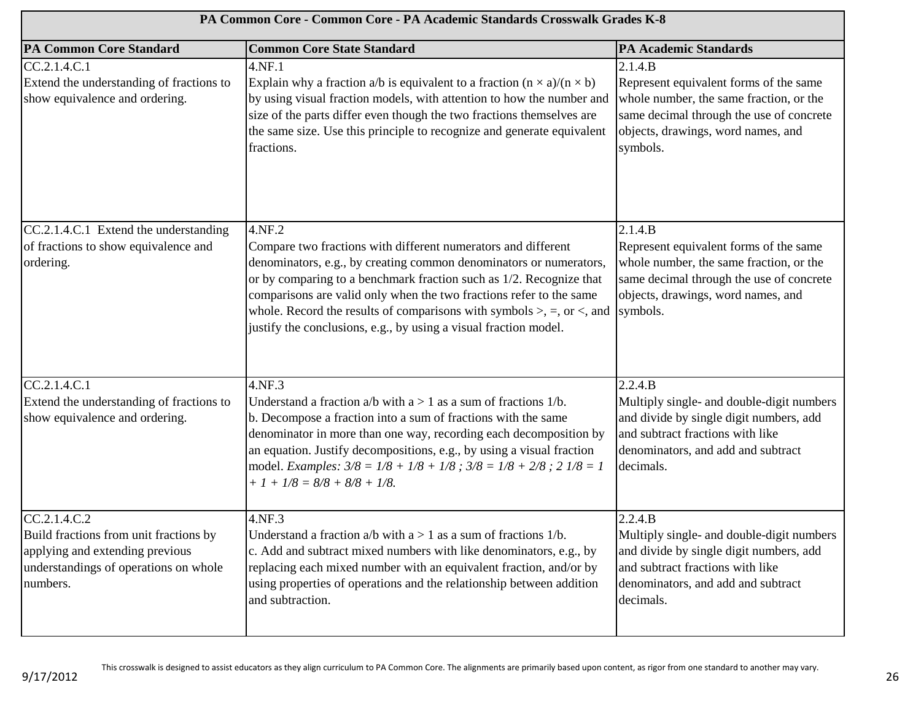| PA Common Core - Common Core - PA Academic Standards Crosswalk Grades K-8                                                                      |                                                                                                                                                                                                                                                                                                                                                                                                                                               |                                                                                                                                                                                            |
|------------------------------------------------------------------------------------------------------------------------------------------------|-----------------------------------------------------------------------------------------------------------------------------------------------------------------------------------------------------------------------------------------------------------------------------------------------------------------------------------------------------------------------------------------------------------------------------------------------|--------------------------------------------------------------------------------------------------------------------------------------------------------------------------------------------|
| <b>PA Common Core Standard</b>                                                                                                                 | <b>Common Core State Standard</b>                                                                                                                                                                                                                                                                                                                                                                                                             | <b>PA Academic Standards</b>                                                                                                                                                               |
| CC.2.1.4.C.1<br>Extend the understanding of fractions to<br>show equivalence and ordering.                                                     | 4.NF.1<br>Explain why a fraction a/b is equivalent to a fraction $(n \times a)/(n \times b)$<br>by using visual fraction models, with attention to how the number and<br>size of the parts differ even though the two fractions themselves are<br>the same size. Use this principle to recognize and generate equivalent<br>fractions.                                                                                                        | 2.1.4.B<br>Represent equivalent forms of the same<br>whole number, the same fraction, or the<br>same decimal through the use of concrete<br>objects, drawings, word names, and<br>symbols. |
| CC.2.1.4.C.1 Extend the understanding<br>of fractions to show equivalence and<br>ordering.                                                     | 4.NF.2<br>Compare two fractions with different numerators and different<br>denominators, e.g., by creating common denominators or numerators,<br>or by comparing to a benchmark fraction such as 1/2. Recognize that<br>comparisons are valid only when the two fractions refer to the same<br>whole. Record the results of comparisons with symbols $\ge$ , =, or <, and<br>justify the conclusions, e.g., by using a visual fraction model. | 2.1.4.B<br>Represent equivalent forms of the same<br>whole number, the same fraction, or the<br>same decimal through the use of concrete<br>objects, drawings, word names, and<br>symbols. |
| CC.2.1.4.C.1<br>Extend the understanding of fractions to<br>show equivalence and ordering.                                                     | 4.NF.3<br>Understand a fraction $a/b$ with $a > 1$ as a sum of fractions $1/b$ .<br>b. Decompose a fraction into a sum of fractions with the same<br>denominator in more than one way, recording each decomposition by<br>an equation. Justify decompositions, e.g., by using a visual fraction<br>model. Examples: $3/8 = 1/8 + 1/8 + 1/8$ ; $3/8 = 1/8 + 2/8$ ; $2 \frac{1}{8} = 1$<br>$+ 1 + 1/8 = 8/8 + 8/8 + 1/8.$                       | 2.2.4.B<br>Multiply single- and double-digit numbers<br>and divide by single digit numbers, add<br>and subtract fractions with like<br>denominators, and add and subtract<br>decimals.     |
| CC.2.1.4.C.2<br>Build fractions from unit fractions by<br>applying and extending previous<br>understandings of operations on whole<br>numbers. | 4.NF.3<br>Understand a fraction $a/b$ with $a > 1$ as a sum of fractions 1/b.<br>c. Add and subtract mixed numbers with like denominators, e.g., by<br>replacing each mixed number with an equivalent fraction, and/or by<br>using properties of operations and the relationship between addition<br>and subtraction.                                                                                                                         | 2.2.4.B<br>Multiply single- and double-digit numbers<br>and divide by single digit numbers, add<br>and subtract fractions with like<br>denominators, and add and subtract<br>decimals.     |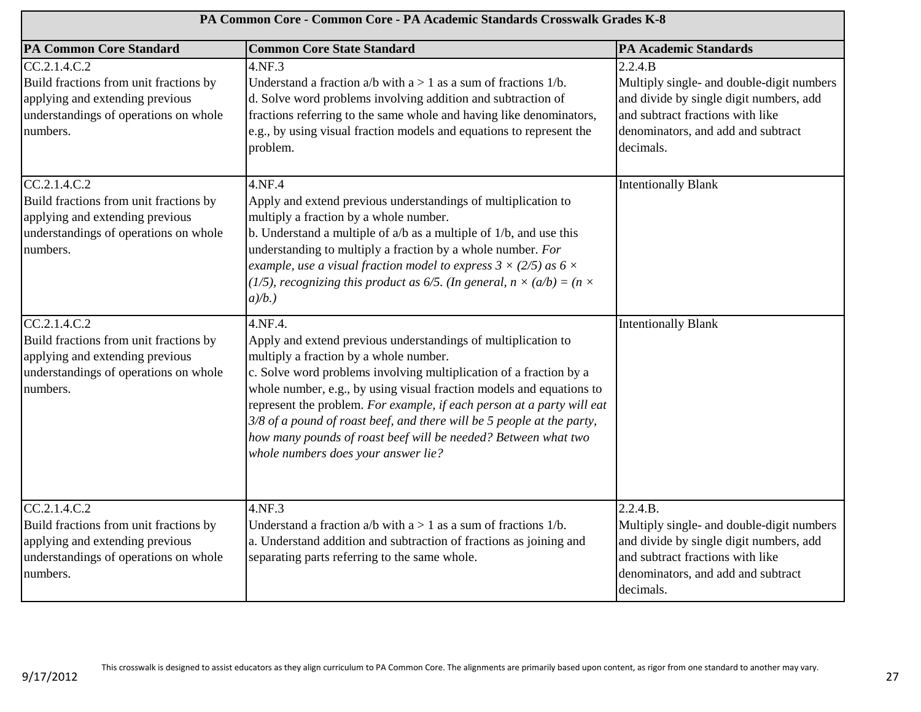| PA Common Core - Common Core - PA Academic Standards Crosswalk Grades K-8                                                                      |                                                                                                                                                                                                                                                                                                                                                                                                                                                                                                                                 |                                                                                                                                                                                         |
|------------------------------------------------------------------------------------------------------------------------------------------------|---------------------------------------------------------------------------------------------------------------------------------------------------------------------------------------------------------------------------------------------------------------------------------------------------------------------------------------------------------------------------------------------------------------------------------------------------------------------------------------------------------------------------------|-----------------------------------------------------------------------------------------------------------------------------------------------------------------------------------------|
| <b>PA Common Core Standard</b>                                                                                                                 | <b>Common Core State Standard</b>                                                                                                                                                                                                                                                                                                                                                                                                                                                                                               | <b>PA Academic Standards</b>                                                                                                                                                            |
| CC.2.1.4.C.2<br>Build fractions from unit fractions by<br>applying and extending previous<br>understandings of operations on whole<br>numbers. | 4.NF.3<br>Understand a fraction $a/b$ with $a > 1$ as a sum of fractions $1/b$ .<br>d. Solve word problems involving addition and subtraction of<br>fractions referring to the same whole and having like denominators,<br>e.g., by using visual fraction models and equations to represent the<br>problem.                                                                                                                                                                                                                     | 2.2.4.B<br>Multiply single- and double-digit numbers<br>and divide by single digit numbers, add<br>and subtract fractions with like<br>denominators, and add and subtract<br>decimals.  |
| CC.2.1.4.C.2<br>Build fractions from unit fractions by<br>applying and extending previous<br>understandings of operations on whole<br>numbers. | 4.NF.4<br>Apply and extend previous understandings of multiplication to<br>multiply a fraction by a whole number.<br>b. Understand a multiple of $a/b$ as a multiple of $1/b$ , and use this<br>understanding to multiply a fraction by a whole number. For<br>example, use a visual fraction model to express $3 \times (2/5)$ as $6 \times$<br>(1/5), recognizing this product as 6/5. (In general, $n \times (a/b) = (n \times$<br>$a/b.$ )                                                                                  | <b>Intentionally Blank</b>                                                                                                                                                              |
| CC.2.1.4.C.2<br>Build fractions from unit fractions by<br>applying and extending previous<br>understandings of operations on whole<br>numbers. | 4.NF.4.<br>Apply and extend previous understandings of multiplication to<br>multiply a fraction by a whole number.<br>c. Solve word problems involving multiplication of a fraction by a<br>whole number, e.g., by using visual fraction models and equations to<br>represent the problem. For example, if each person at a party will eat<br>$3/8$ of a pound of roast beef, and there will be 5 people at the party,<br>how many pounds of roast beef will be needed? Between what two<br>whole numbers does your answer lie? | <b>Intentionally Blank</b>                                                                                                                                                              |
| CC.2.1.4.C.2<br>Build fractions from unit fractions by<br>applying and extending previous<br>understandings of operations on whole<br>numbers. | 4.NF.3<br>Understand a fraction $a/b$ with $a > 1$ as a sum of fractions $1/b$ .<br>a. Understand addition and subtraction of fractions as joining and<br>separating parts referring to the same whole.                                                                                                                                                                                                                                                                                                                         | 2.2.4.B.<br>Multiply single- and double-digit numbers<br>and divide by single digit numbers, add<br>and subtract fractions with like<br>denominators, and add and subtract<br>decimals. |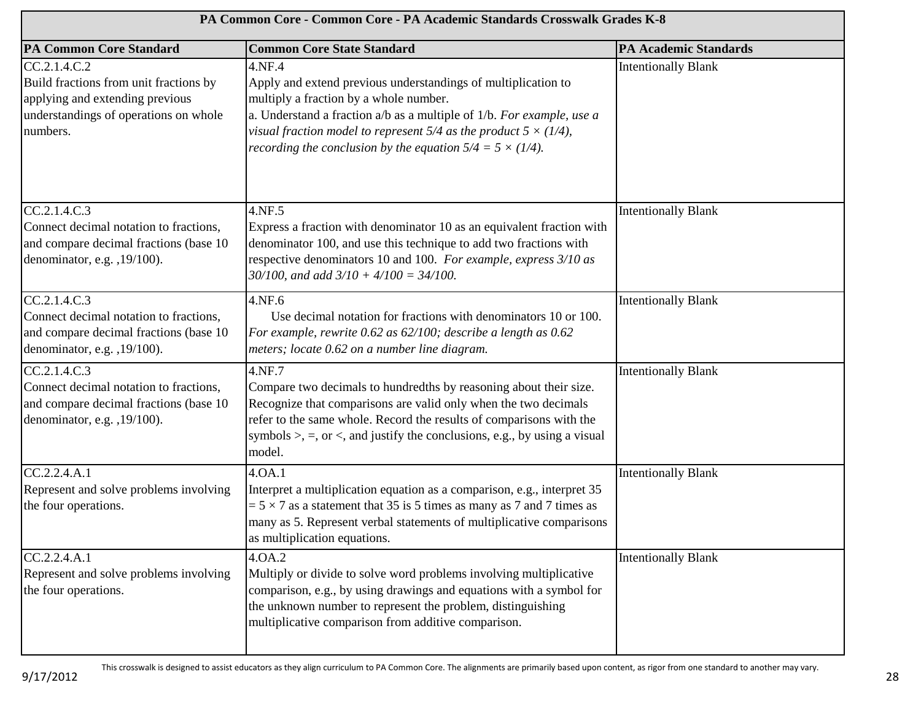| PA Common Core - Common Core - PA Academic Standards Crosswalk Grades K-8                                                                      |                                                                                                                                                                                                                                                                                                                                                  |                              |
|------------------------------------------------------------------------------------------------------------------------------------------------|--------------------------------------------------------------------------------------------------------------------------------------------------------------------------------------------------------------------------------------------------------------------------------------------------------------------------------------------------|------------------------------|
| <b>PA Common Core Standard</b>                                                                                                                 | <b>Common Core State Standard</b>                                                                                                                                                                                                                                                                                                                | <b>PA Academic Standards</b> |
| CC.2.1.4.C.2<br>Build fractions from unit fractions by<br>applying and extending previous<br>understandings of operations on whole<br>numbers. | 4.NF.4<br>Apply and extend previous understandings of multiplication to<br>multiply a fraction by a whole number.<br>a. Understand a fraction $a/b$ as a multiple of $1/b$ . For example, use a<br>visual fraction model to represent 5/4 as the product $5 \times (1/4)$ ,<br>recording the conclusion by the equation $5/4 = 5 \times (1/4)$ . | <b>Intentionally Blank</b>   |
| CC.2.1.4.C.3<br>Connect decimal notation to fractions,<br>and compare decimal fractions (base 10<br>denominator, e.g. , 19/100).               | 4.NF.5<br>Express a fraction with denominator 10 as an equivalent fraction with<br>denominator 100, and use this technique to add two fractions with<br>respective denominators 10 and 100. For example, express 3/10 as<br>$30/100$ , and add $3/10 + 4/100 = 34/100$ .                                                                         | <b>Intentionally Blank</b>   |
| CC.2.1.4.C.3<br>Connect decimal notation to fractions,<br>and compare decimal fractions (base 10<br>denominator, e.g. , 19/100).               | 4.NF.6<br>Use decimal notation for fractions with denominators 10 or 100.<br>For example, rewrite 0.62 as 62/100; describe a length as 0.62<br>meters; locate 0.62 on a number line diagram.                                                                                                                                                     | <b>Intentionally Blank</b>   |
| CC.2.1.4.C.3<br>Connect decimal notation to fractions,<br>and compare decimal fractions (base 10<br>denominator, e.g. , 19/100).               | 4.NF.7<br>Compare two decimals to hundredths by reasoning about their size.<br>Recognize that comparisons are valid only when the two decimals<br>refer to the same whole. Record the results of comparisons with the<br>symbols $\ge$ , $=$ , or $\lt$ , and justify the conclusions, e.g., by using a visual<br>model.                         | <b>Intentionally Blank</b>   |
| CC.2.2.4.A.1<br>Represent and solve problems involving<br>the four operations.                                                                 | 4.0A.1<br>Interpret a multiplication equation as a comparison, e.g., interpret 35<br>$= 5 \times 7$ as a statement that 35 is 5 times as many as 7 and 7 times as<br>many as 5. Represent verbal statements of multiplicative comparisons<br>as multiplication equations.                                                                        | <b>Intentionally Blank</b>   |
| CC.2.2.4.A.1<br>Represent and solve problems involving<br>the four operations.                                                                 | 4.OA.2<br>Multiply or divide to solve word problems involving multiplicative<br>comparison, e.g., by using drawings and equations with a symbol for<br>the unknown number to represent the problem, distinguishing<br>multiplicative comparison from additive comparison.                                                                        | <b>Intentionally Blank</b>   |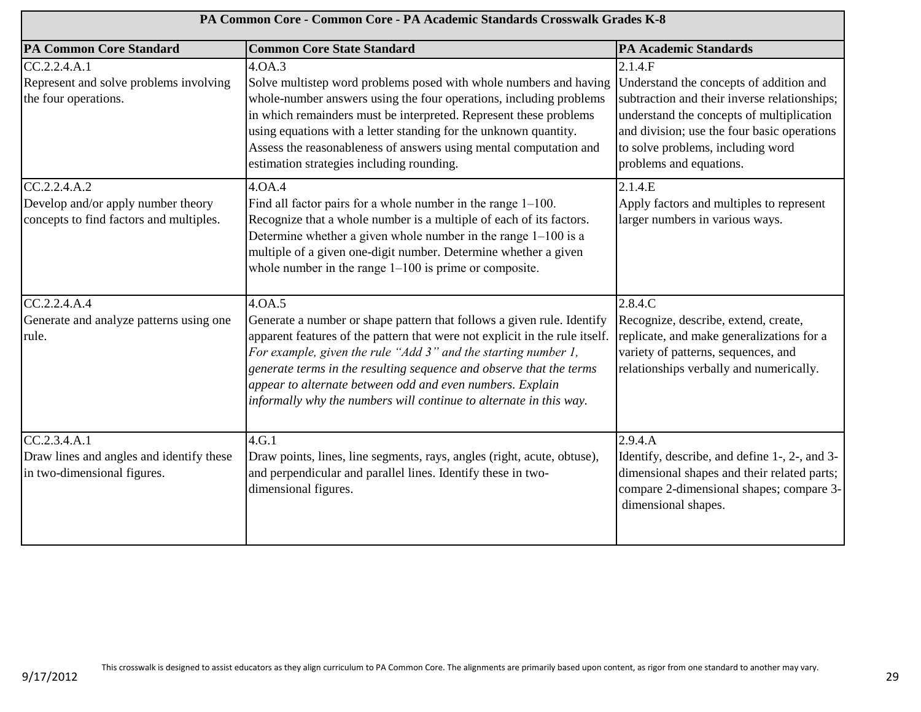| PA Common Core - Common Core - PA Academic Standards Crosswalk Grades K-8                     |                                                                                                                                                                                                                                                                                                                                                                                                                                             |                                                                                                                                                                                                                                                                |
|-----------------------------------------------------------------------------------------------|---------------------------------------------------------------------------------------------------------------------------------------------------------------------------------------------------------------------------------------------------------------------------------------------------------------------------------------------------------------------------------------------------------------------------------------------|----------------------------------------------------------------------------------------------------------------------------------------------------------------------------------------------------------------------------------------------------------------|
| <b>PA Common Core Standard</b>                                                                | <b>Common Core State Standard</b>                                                                                                                                                                                                                                                                                                                                                                                                           | <b>PA Academic Standards</b>                                                                                                                                                                                                                                   |
| CC.2.2.4.A.1<br>Represent and solve problems involving<br>the four operations.                | 4.0A.3<br>Solve multistep word problems posed with whole numbers and having<br>whole-number answers using the four operations, including problems<br>in which remainders must be interpreted. Represent these problems<br>using equations with a letter standing for the unknown quantity.<br>Assess the reasonableness of answers using mental computation and<br>estimation strategies including rounding.                                | 2.1.4.F<br>Understand the concepts of addition and<br>subtraction and their inverse relationships;<br>understand the concepts of multiplication<br>and division; use the four basic operations<br>to solve problems, including word<br>problems and equations. |
| CC.2.2.4.A.2<br>Develop and/or apply number theory<br>concepts to find factors and multiples. | 4.0A.4<br>Find all factor pairs for a whole number in the range $1-100$ .<br>Recognize that a whole number is a multiple of each of its factors.<br>Determine whether a given whole number in the range $1-100$ is a<br>multiple of a given one-digit number. Determine whether a given<br>whole number in the range $1-100$ is prime or composite.                                                                                         | 2.1.4.E<br>Apply factors and multiples to represent<br>larger numbers in various ways.                                                                                                                                                                         |
| CC.2.2.4.A.4<br>Generate and analyze patterns using one<br>rule.                              | 4.0A.5<br>Generate a number or shape pattern that follows a given rule. Identify<br>apparent features of the pattern that were not explicit in the rule itself.<br>For example, given the rule "Add 3" and the starting number 1,<br>generate terms in the resulting sequence and observe that the terms<br>appear to alternate between odd and even numbers. Explain<br>informally why the numbers will continue to alternate in this way. | 2.8.4.C<br>Recognize, describe, extend, create,<br>replicate, and make generalizations for a<br>variety of patterns, sequences, and<br>relationships verbally and numerically.                                                                                 |
| CC.2.3.4.A.1<br>Draw lines and angles and identify these<br>in two-dimensional figures.       | 4.G.1<br>Draw points, lines, line segments, rays, angles (right, acute, obtuse),<br>and perpendicular and parallel lines. Identify these in two-<br>dimensional figures.                                                                                                                                                                                                                                                                    | 2.9.4.A<br>Identify, describe, and define 1-, 2-, and 3-<br>dimensional shapes and their related parts;<br>compare 2-dimensional shapes; compare 3-<br>dimensional shapes.                                                                                     |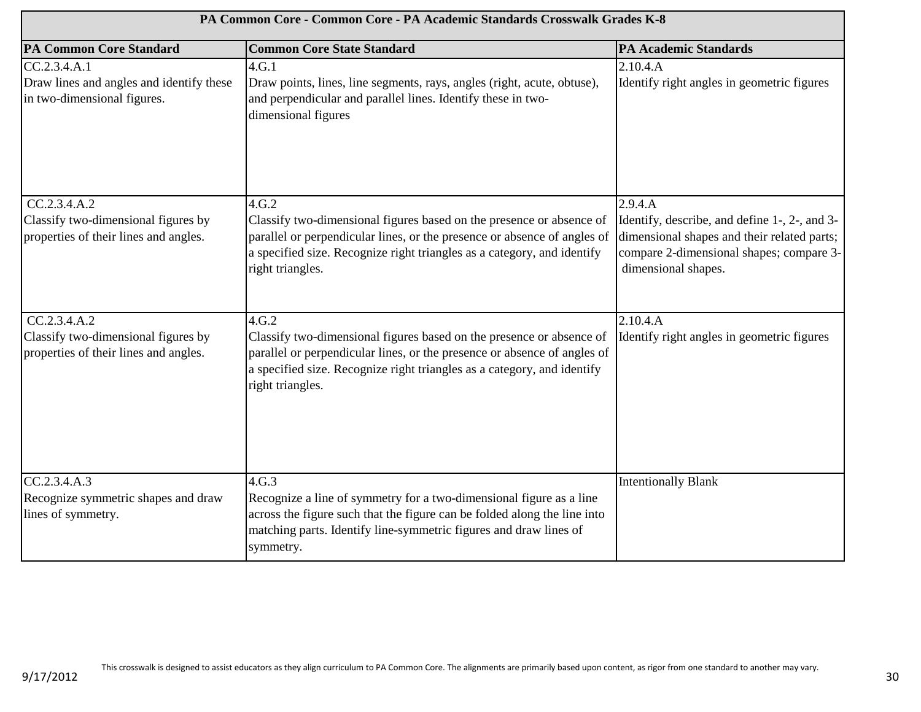| PA Common Core - Common Core - PA Academic Standards Crosswalk Grades K-8                    |                                                                                                                                                                                                                                                          |                                                                                                                                                                            |
|----------------------------------------------------------------------------------------------|----------------------------------------------------------------------------------------------------------------------------------------------------------------------------------------------------------------------------------------------------------|----------------------------------------------------------------------------------------------------------------------------------------------------------------------------|
| <b>PA Common Core Standard</b>                                                               | <b>Common Core State Standard</b>                                                                                                                                                                                                                        | <b>PA Academic Standards</b>                                                                                                                                               |
| CC.2.3.4.A.1<br>Draw lines and angles and identify these<br>in two-dimensional figures.      | 4.G.1<br>Draw points, lines, line segments, rays, angles (right, acute, obtuse),<br>and perpendicular and parallel lines. Identify these in two-<br>dimensional figures                                                                                  | 2.10.4.A<br>Identify right angles in geometric figures                                                                                                                     |
| CC.2.3.4.A.2<br>Classify two-dimensional figures by<br>properties of their lines and angles. | 4.G.2<br>Classify two-dimensional figures based on the presence or absence of<br>parallel or perpendicular lines, or the presence or absence of angles of<br>a specified size. Recognize right triangles as a category, and identify<br>right triangles. | 2.9.4.A<br>Identify, describe, and define 1-, 2-, and 3-<br>dimensional shapes and their related parts;<br>compare 2-dimensional shapes; compare 3-<br>dimensional shapes. |
| CC.2.3.4.A.2<br>Classify two-dimensional figures by<br>properties of their lines and angles. | 4.G.2<br>Classify two-dimensional figures based on the presence or absence of<br>parallel or perpendicular lines, or the presence or absence of angles of<br>a specified size. Recognize right triangles as a category, and identify<br>right triangles. | 2.10.4.A<br>Identify right angles in geometric figures                                                                                                                     |
| CC.2.3.4.A.3<br>Recognize symmetric shapes and draw<br>lines of symmetry.                    | 4.G.3<br>Recognize a line of symmetry for a two-dimensional figure as a line<br>across the figure such that the figure can be folded along the line into<br>matching parts. Identify line-symmetric figures and draw lines of<br>symmetry.               | <b>Intentionally Blank</b>                                                                                                                                                 |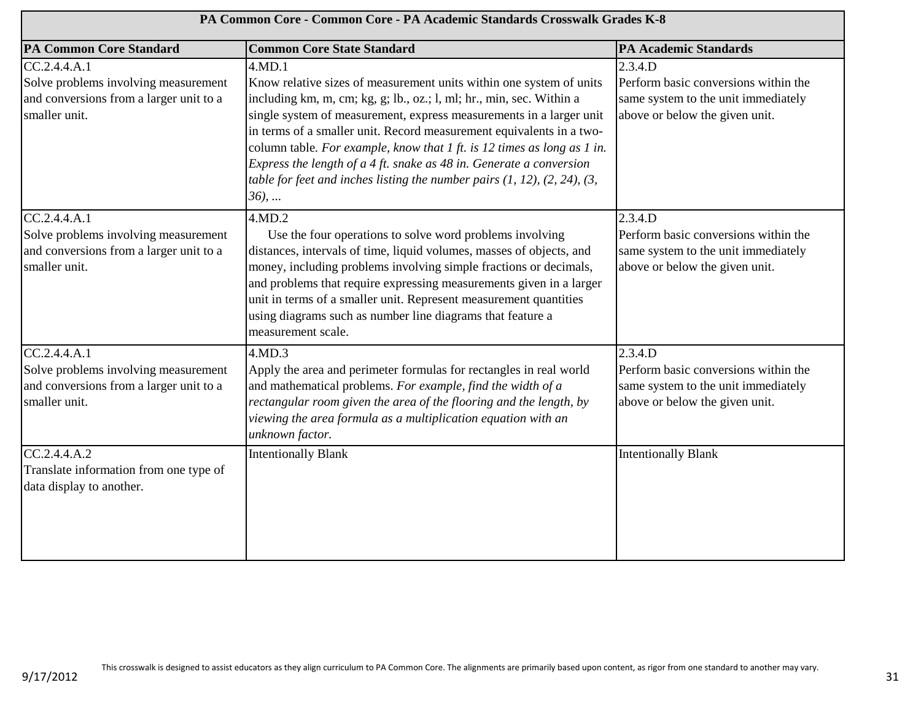| PA Common Core - Common Core - PA Academic Standards Crosswalk Grades K-8                                        |                                                                                                                                                                                                                                                                                                                                                                                                                                                                                                                                                                 |                                                                                                                          |
|------------------------------------------------------------------------------------------------------------------|-----------------------------------------------------------------------------------------------------------------------------------------------------------------------------------------------------------------------------------------------------------------------------------------------------------------------------------------------------------------------------------------------------------------------------------------------------------------------------------------------------------------------------------------------------------------|--------------------------------------------------------------------------------------------------------------------------|
| <b>PA Common Core Standard</b>                                                                                   | <b>Common Core State Standard</b>                                                                                                                                                                                                                                                                                                                                                                                                                                                                                                                               | <b>PA Academic Standards</b>                                                                                             |
| CC.2.4.4.A.1<br>Solve problems involving measurement<br>and conversions from a larger unit to a<br>smaller unit. | 4.MD.1<br>Know relative sizes of measurement units within one system of units<br>including km, m, cm; kg, g; lb., oz.; l, ml; hr., min, sec. Within a<br>single system of measurement, express measurements in a larger unit<br>in terms of a smaller unit. Record measurement equivalents in a two-<br>column table. For example, know that $1$ ft. is $12$ times as long as $1$ in.<br>Express the length of a 4 ft. snake as 48 in. Generate a conversion<br>table for feet and inches listing the number pairs $(1, 12)$ , $(2, 24)$ , $(3, 12)$<br>$36)$ , | 2.3.4.D<br>Perform basic conversions within the<br>same system to the unit immediately<br>above or below the given unit. |
| CC.2.4.4.A.1<br>Solve problems involving measurement<br>and conversions from a larger unit to a<br>smaller unit. | 4.MD.2<br>Use the four operations to solve word problems involving<br>distances, intervals of time, liquid volumes, masses of objects, and<br>money, including problems involving simple fractions or decimals,<br>and problems that require expressing measurements given in a larger<br>unit in terms of a smaller unit. Represent measurement quantities<br>using diagrams such as number line diagrams that feature a<br>measurement scale.                                                                                                                 | 2.3.4.D<br>Perform basic conversions within the<br>same system to the unit immediately<br>above or below the given unit. |
| CC.2.4.4.4.1<br>Solve problems involving measurement<br>and conversions from a larger unit to a<br>smaller unit. | 4.MD.3<br>Apply the area and perimeter formulas for rectangles in real world<br>and mathematical problems. For example, find the width of a<br>rectangular room given the area of the flooring and the length, by<br>viewing the area formula as a multiplication equation with an<br>unknown factor.                                                                                                                                                                                                                                                           | 2.3.4.D<br>Perform basic conversions within the<br>same system to the unit immediately<br>above or below the given unit. |
| CC.2.4.4.A.2<br>Translate information from one type of<br>data display to another.                               | <b>Intentionally Blank</b>                                                                                                                                                                                                                                                                                                                                                                                                                                                                                                                                      | <b>Intentionally Blank</b>                                                                                               |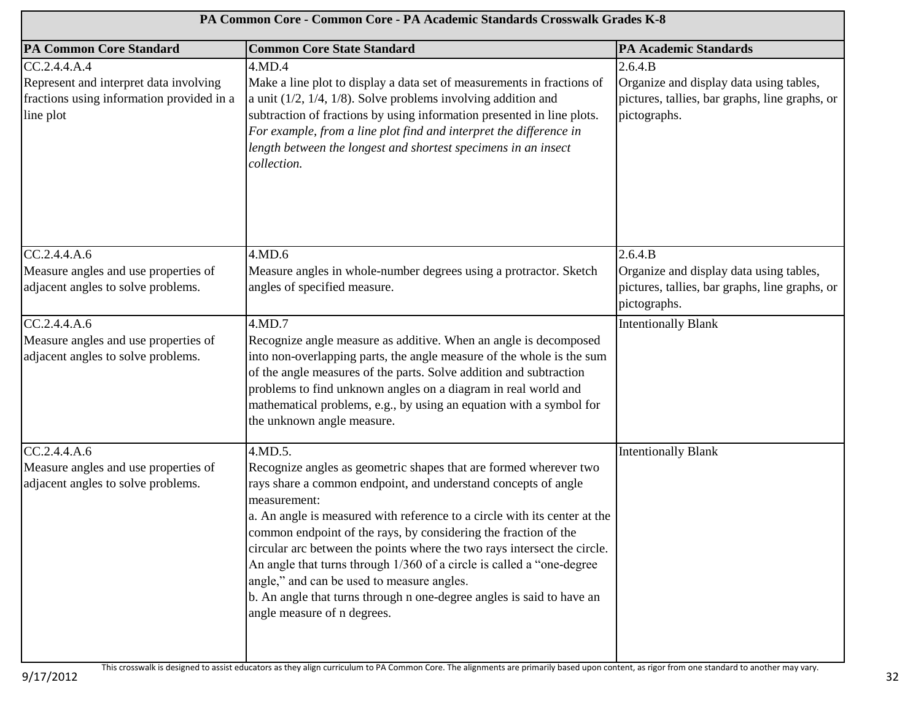| PA Common Core - Common Core - PA Academic Standards Crosswalk Grades K-8                                        |                                                                                                                                                                                                                                                                                                                                                                                                                                                                                                                                                                                                                           |                                                                                                                      |
|------------------------------------------------------------------------------------------------------------------|---------------------------------------------------------------------------------------------------------------------------------------------------------------------------------------------------------------------------------------------------------------------------------------------------------------------------------------------------------------------------------------------------------------------------------------------------------------------------------------------------------------------------------------------------------------------------------------------------------------------------|----------------------------------------------------------------------------------------------------------------------|
| <b>PA Common Core Standard</b>                                                                                   | <b>Common Core State Standard</b>                                                                                                                                                                                                                                                                                                                                                                                                                                                                                                                                                                                         | <b>PA Academic Standards</b>                                                                                         |
| CC.2.4.4.A.4<br>Represent and interpret data involving<br>fractions using information provided in a<br>line plot | 4.MD.4<br>Make a line plot to display a data set of measurements in fractions of<br>a unit $(1/2, 1/4, 1/8)$ . Solve problems involving addition and<br>subtraction of fractions by using information presented in line plots.<br>For example, from a line plot find and interpret the difference in<br>length between the longest and shortest specimens in an insect<br>collection.                                                                                                                                                                                                                                     | 2.6.4.B<br>Organize and display data using tables,<br>pictures, tallies, bar graphs, line graphs, or<br>pictographs. |
| CC.2.4.4.A.6<br>Measure angles and use properties of<br>adjacent angles to solve problems.                       | 4.MD.6<br>Measure angles in whole-number degrees using a protractor. Sketch<br>angles of specified measure.                                                                                                                                                                                                                                                                                                                                                                                                                                                                                                               | 2.6.4.B<br>Organize and display data using tables,<br>pictures, tallies, bar graphs, line graphs, or<br>pictographs. |
| CC.2.4.4.A.6<br>Measure angles and use properties of<br>adjacent angles to solve problems.                       | 4.MD.7<br>Recognize angle measure as additive. When an angle is decomposed<br>into non-overlapping parts, the angle measure of the whole is the sum<br>of the angle measures of the parts. Solve addition and subtraction<br>problems to find unknown angles on a diagram in real world and<br>mathematical problems, e.g., by using an equation with a symbol for<br>the unknown angle measure.                                                                                                                                                                                                                          | <b>Intentionally Blank</b>                                                                                           |
| CC.2.4.4.A.6<br>Measure angles and use properties of<br>adjacent angles to solve problems.                       | 4.MD.5.<br>Recognize angles as geometric shapes that are formed wherever two<br>rays share a common endpoint, and understand concepts of angle<br>measurement:<br>a. An angle is measured with reference to a circle with its center at the<br>common endpoint of the rays, by considering the fraction of the<br>circular arc between the points where the two rays intersect the circle.<br>An angle that turns through 1/360 of a circle is called a "one-degree<br>angle," and can be used to measure angles.<br>b. An angle that turns through n one-degree angles is said to have an<br>angle measure of n degrees. | <b>Intentionally Blank</b>                                                                                           |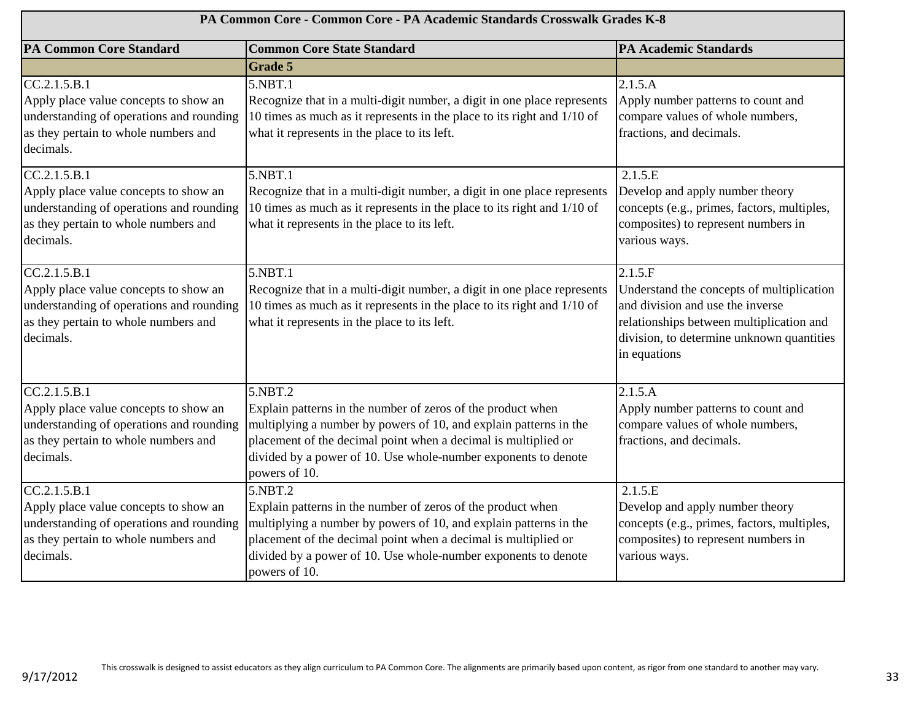| PA Common Core - Common Core - PA Academic Standards Crosswalk Grades K-8                                                                              |                                                                                                                                                                                                                                                                                                  |                                                                                                                                                                                                   |
|--------------------------------------------------------------------------------------------------------------------------------------------------------|--------------------------------------------------------------------------------------------------------------------------------------------------------------------------------------------------------------------------------------------------------------------------------------------------|---------------------------------------------------------------------------------------------------------------------------------------------------------------------------------------------------|
| <b>PA Common Core Standard</b>                                                                                                                         | <b>Common Core State Standard</b>                                                                                                                                                                                                                                                                | <b>PA Academic Standards</b>                                                                                                                                                                      |
|                                                                                                                                                        | <b>Grade 5</b>                                                                                                                                                                                                                                                                                   |                                                                                                                                                                                                   |
| CC.2.1.5.B.1<br>Apply place value concepts to show an<br>understanding of operations and rounding<br>as they pertain to whole numbers and<br>decimals. | 5.NBT.1<br>Recognize that in a multi-digit number, a digit in one place represents<br>10 times as much as it represents in the place to its right and 1/10 of<br>what it represents in the place to its left.                                                                                    | 2.1.5.A<br>Apply number patterns to count and<br>compare values of whole numbers,<br>fractions, and decimals.                                                                                     |
| CC.2.1.5.B.1<br>Apply place value concepts to show an<br>understanding of operations and rounding<br>as they pertain to whole numbers and<br>decimals. | 5.NBT.1<br>Recognize that in a multi-digit number, a digit in one place represents<br>10 times as much as it represents in the place to its right and 1/10 of<br>what it represents in the place to its left.                                                                                    | 2.1.5.E<br>Develop and apply number theory<br>concepts (e.g., primes, factors, multiples,<br>composites) to represent numbers in<br>various ways.                                                 |
| CC.2.1.5.B.1<br>Apply place value concepts to show an<br>understanding of operations and rounding<br>as they pertain to whole numbers and<br>decimals. | 5.NBT.1<br>Recognize that in a multi-digit number, a digit in one place represents<br>10 times as much as it represents in the place to its right and 1/10 of<br>what it represents in the place to its left.                                                                                    | 2.1.5.F<br>Understand the concepts of multiplication<br>and division and use the inverse<br>relationships between multiplication and<br>division, to determine unknown quantities<br>in equations |
| CC.2.1.5.B.1<br>Apply place value concepts to show an<br>understanding of operations and rounding<br>as they pertain to whole numbers and<br>decimals. | 5.NBT.2<br>Explain patterns in the number of zeros of the product when<br>multiplying a number by powers of 10, and explain patterns in the<br>placement of the decimal point when a decimal is multiplied or<br>divided by a power of 10. Use whole-number exponents to denote<br>powers of 10. | 2.1.5.A<br>Apply number patterns to count and<br>compare values of whole numbers,<br>fractions, and decimals.                                                                                     |
| CC.2.1.5.B.1<br>Apply place value concepts to show an<br>understanding of operations and rounding<br>as they pertain to whole numbers and<br>decimals. | 5.NBT.2<br>Explain patterns in the number of zeros of the product when<br>multiplying a number by powers of 10, and explain patterns in the<br>placement of the decimal point when a decimal is multiplied or<br>divided by a power of 10. Use whole-number exponents to denote<br>powers of 10. | 2.1.5.E<br>Develop and apply number theory<br>concepts (e.g., primes, factors, multiples,<br>composites) to represent numbers in<br>various ways.                                                 |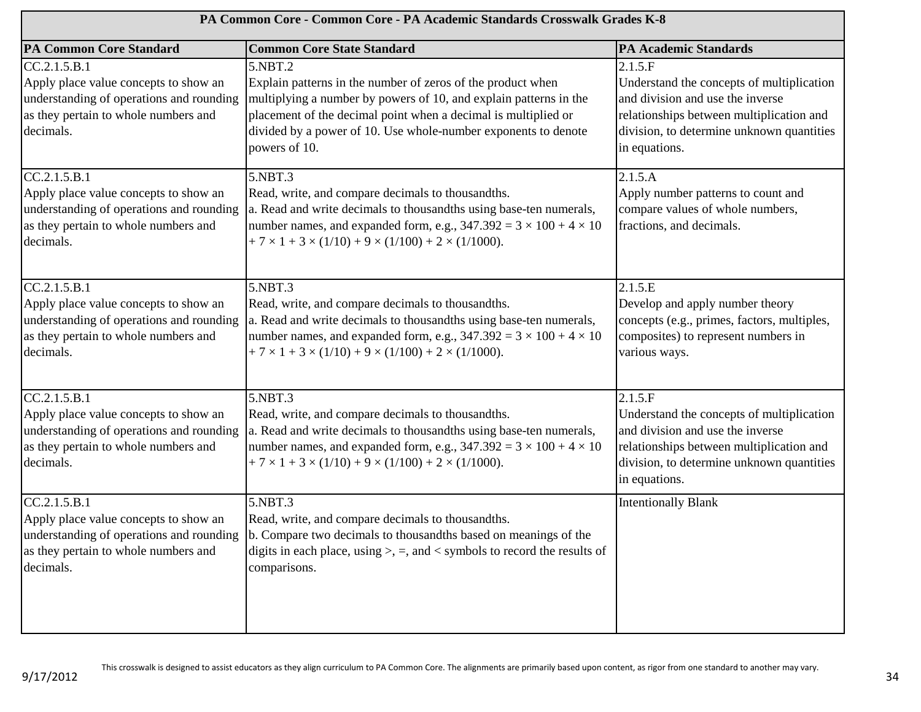| PA Common Core - Common Core - PA Academic Standards Crosswalk Grades K-8                                                                              |                                                                                                                                                                                                                                                                                                  |                                                                                                                                                                                                    |
|--------------------------------------------------------------------------------------------------------------------------------------------------------|--------------------------------------------------------------------------------------------------------------------------------------------------------------------------------------------------------------------------------------------------------------------------------------------------|----------------------------------------------------------------------------------------------------------------------------------------------------------------------------------------------------|
| <b>PA Common Core Standard</b>                                                                                                                         | <b>Common Core State Standard</b>                                                                                                                                                                                                                                                                | <b>PA Academic Standards</b>                                                                                                                                                                       |
| CC.2.1.5.B.1<br>Apply place value concepts to show an<br>understanding of operations and rounding<br>as they pertain to whole numbers and<br>decimals. | 5.NBT.2<br>Explain patterns in the number of zeros of the product when<br>multiplying a number by powers of 10, and explain patterns in the<br>placement of the decimal point when a decimal is multiplied or<br>divided by a power of 10. Use whole-number exponents to denote<br>powers of 10. | 2.1.5.F<br>Understand the concepts of multiplication<br>and division and use the inverse<br>relationships between multiplication and<br>division, to determine unknown quantities<br>in equations. |
| CC.2.1.5.B.1<br>Apply place value concepts to show an<br>understanding of operations and rounding<br>as they pertain to whole numbers and<br>decimals. | 5.NBT.3<br>Read, write, and compare decimals to thousandths.<br>a. Read and write decimals to thousandths using base-ten numerals,<br>number names, and expanded form, e.g., $347.392 = 3 \times 100 + 4 \times 10$<br>$+7 \times 1 + 3 \times (1/10) + 9 \times (1/100) + 2 \times (1/1000).$   | 2.1.5.A<br>Apply number patterns to count and<br>compare values of whole numbers,<br>fractions, and decimals.                                                                                      |
| CC.2.1.5.B.1<br>Apply place value concepts to show an<br>understanding of operations and rounding<br>as they pertain to whole numbers and<br>decimals. | 5.NBT.3<br>Read, write, and compare decimals to thousandths.<br>a. Read and write decimals to thousandths using base-ten numerals,<br>number names, and expanded form, e.g., $347.392 = 3 \times 100 + 4 \times 10$<br>$+7 \times 1 + 3 \times (1/10) + 9 \times (1/100) + 2 \times (1/1000).$   | 2.1.5.E<br>Develop and apply number theory<br>concepts (e.g., primes, factors, multiples,<br>composites) to represent numbers in<br>various ways.                                                  |
| CC.2.1.5.B.1<br>Apply place value concepts to show an<br>understanding of operations and rounding<br>as they pertain to whole numbers and<br>decimals. | 5.NBT.3<br>Read, write, and compare decimals to thousandths.<br>a. Read and write decimals to thousandths using base-ten numerals,<br>number names, and expanded form, e.g., $347.392 = 3 \times 100 + 4 \times 10$<br>$+7 \times 1 + 3 \times (1/10) + 9 \times (1/100) + 2 \times (1/1000)$ .  | 2.1.5.F<br>Understand the concepts of multiplication<br>and division and use the inverse<br>relationships between multiplication and<br>division, to determine unknown quantities<br>in equations. |
| CC.2.1.5.B.1<br>Apply place value concepts to show an<br>understanding of operations and rounding<br>as they pertain to whole numbers and<br>decimals. | 5.NBT.3<br>Read, write, and compare decimals to thousandths.<br>b. Compare two decimals to thousandths based on meanings of the<br>digits in each place, using $\ge$ , =, and < symbols to record the results of<br>comparisons.                                                                 | <b>Intentionally Blank</b>                                                                                                                                                                         |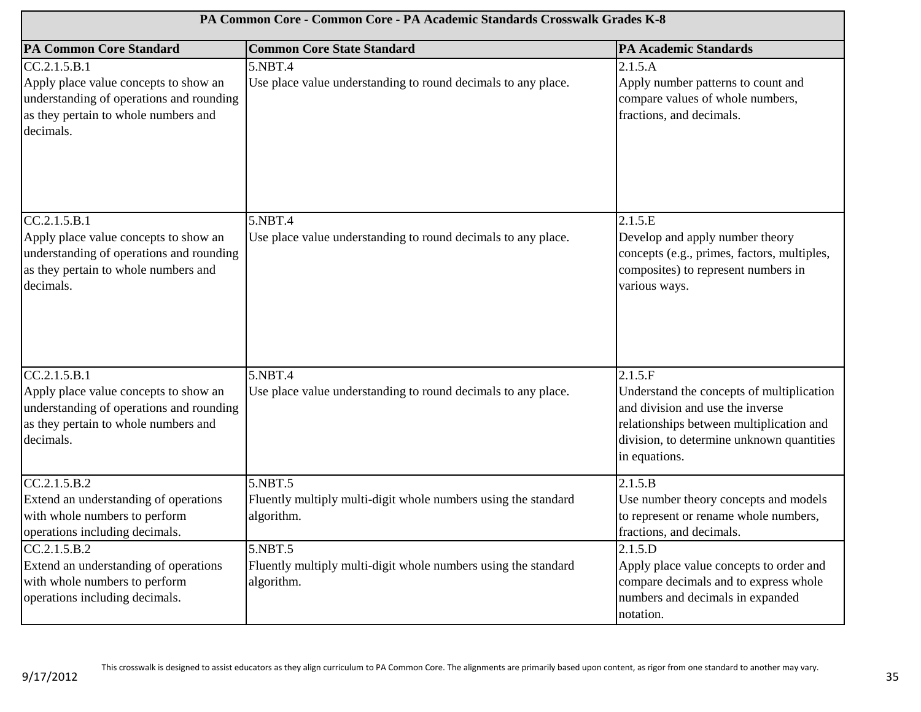| PA Common Core - Common Core - PA Academic Standards Crosswalk Grades K-8                                                                              |                                                                                         |                                                                                                                                                                                                    |
|--------------------------------------------------------------------------------------------------------------------------------------------------------|-----------------------------------------------------------------------------------------|----------------------------------------------------------------------------------------------------------------------------------------------------------------------------------------------------|
| <b>PA Common Core Standard</b>                                                                                                                         | <b>Common Core State Standard</b>                                                       | <b>PA Academic Standards</b>                                                                                                                                                                       |
| CC.2.1.5.B.1<br>Apply place value concepts to show an<br>understanding of operations and rounding<br>as they pertain to whole numbers and<br>decimals. | 5.NBT.4<br>Use place value understanding to round decimals to any place.                | 2.1.5.A<br>Apply number patterns to count and<br>compare values of whole numbers,<br>fractions, and decimals.                                                                                      |
| CC.2.1.5.B.1<br>Apply place value concepts to show an<br>understanding of operations and rounding<br>as they pertain to whole numbers and<br>decimals. | 5.NBT.4<br>Use place value understanding to round decimals to any place.                | 2.1.5.E<br>Develop and apply number theory<br>concepts (e.g., primes, factors, multiples,<br>composites) to represent numbers in<br>various ways.                                                  |
| CC.2.1.5.B.1<br>Apply place value concepts to show an<br>understanding of operations and rounding<br>as they pertain to whole numbers and<br>decimals. | 5.NBT.4<br>Use place value understanding to round decimals to any place.                | 2.1.5.F<br>Understand the concepts of multiplication<br>and division and use the inverse<br>relationships between multiplication and<br>division, to determine unknown quantities<br>in equations. |
| CC.2.1.5.B.2<br>Extend an understanding of operations<br>with whole numbers to perform<br>operations including decimals.                               | 5.NBT.5<br>Fluently multiply multi-digit whole numbers using the standard<br>algorithm. | 2.1.5.B<br>Use number theory concepts and models<br>to represent or rename whole numbers,<br>fractions, and decimals.                                                                              |
| CC.2.1.5.B.2<br>Extend an understanding of operations<br>with whole numbers to perform<br>operations including decimals.                               | 5.NBT.5<br>Fluently multiply multi-digit whole numbers using the standard<br>algorithm. | 2.1.5.D<br>Apply place value concepts to order and<br>compare decimals and to express whole<br>numbers and decimals in expanded<br>notation.                                                       |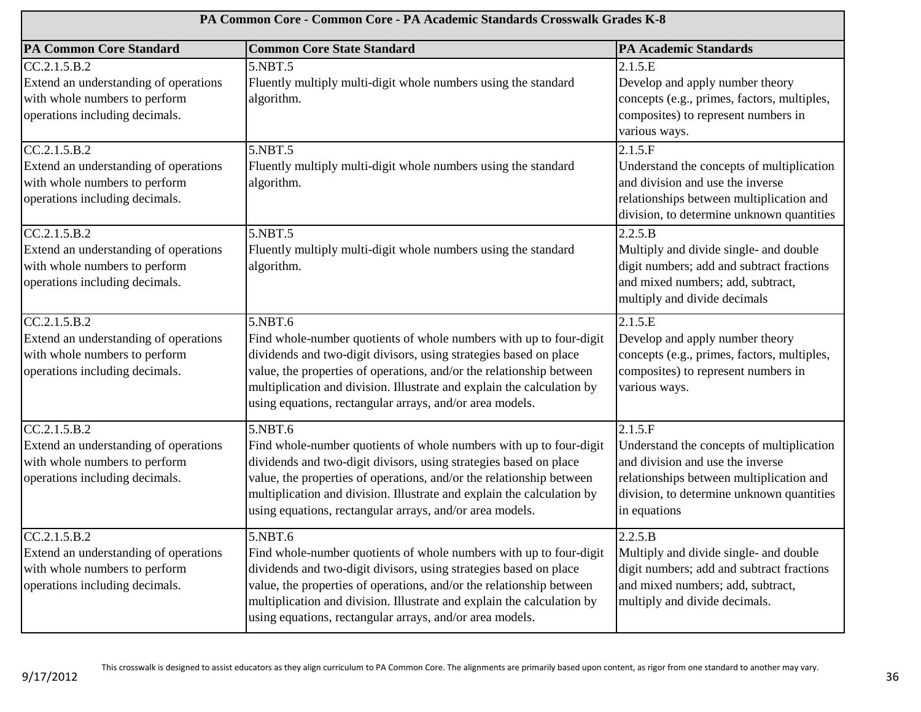| PA Common Core - Common Core - PA Academic Standards Crosswalk Grades K-8                                                |                                                                                                                                                                                                                                                                                                                                                                  |                                                                                                                                                                                                   |
|--------------------------------------------------------------------------------------------------------------------------|------------------------------------------------------------------------------------------------------------------------------------------------------------------------------------------------------------------------------------------------------------------------------------------------------------------------------------------------------------------|---------------------------------------------------------------------------------------------------------------------------------------------------------------------------------------------------|
| <b>PA Common Core Standard</b>                                                                                           | <b>Common Core State Standard</b>                                                                                                                                                                                                                                                                                                                                | <b>PA Academic Standards</b>                                                                                                                                                                      |
| CC.2.1.5.B.2<br>Extend an understanding of operations<br>with whole numbers to perform<br>operations including decimals. | 5.NBT.5<br>Fluently multiply multi-digit whole numbers using the standard<br>algorithm.                                                                                                                                                                                                                                                                          | 2.1.5.E<br>Develop and apply number theory<br>concepts (e.g., primes, factors, multiples,<br>composites) to represent numbers in<br>various ways.                                                 |
| CC.2.1.5.B.2<br>Extend an understanding of operations<br>with whole numbers to perform<br>operations including decimals. | 5.NBT.5<br>Fluently multiply multi-digit whole numbers using the standard<br>algorithm.                                                                                                                                                                                                                                                                          | 2.1.5.F<br>Understand the concepts of multiplication<br>and division and use the inverse<br>relationships between multiplication and<br>division, to determine unknown quantities                 |
| CC.2.1.5.B.2<br>Extend an understanding of operations<br>with whole numbers to perform<br>operations including decimals. | 5.NBT.5<br>Fluently multiply multi-digit whole numbers using the standard<br>algorithm.                                                                                                                                                                                                                                                                          | 2.2.5.B<br>Multiply and divide single- and double<br>digit numbers; add and subtract fractions<br>and mixed numbers; add, subtract,<br>multiply and divide decimals                               |
| CC.2.1.5.B.2<br>Extend an understanding of operations<br>with whole numbers to perform<br>operations including decimals. | 5.NBT.6<br>Find whole-number quotients of whole numbers with up to four-digit<br>dividends and two-digit divisors, using strategies based on place<br>value, the properties of operations, and/or the relationship between<br>multiplication and division. Illustrate and explain the calculation by<br>using equations, rectangular arrays, and/or area models. | 2.1.5.E<br>Develop and apply number theory<br>concepts (e.g., primes, factors, multiples,<br>composites) to represent numbers in<br>various ways.                                                 |
| CC.2.1.5.B.2<br>Extend an understanding of operations<br>with whole numbers to perform<br>operations including decimals. | 5.NBT.6<br>Find whole-number quotients of whole numbers with up to four-digit<br>dividends and two-digit divisors, using strategies based on place<br>value, the properties of operations, and/or the relationship between<br>multiplication and division. Illustrate and explain the calculation by<br>using equations, rectangular arrays, and/or area models. | 2.1.5.F<br>Understand the concepts of multiplication<br>and division and use the inverse<br>relationships between multiplication and<br>division, to determine unknown quantities<br>in equations |
| CC.2.1.5.B.2<br>Extend an understanding of operations<br>with whole numbers to perform<br>operations including decimals. | 5.NBT.6<br>Find whole-number quotients of whole numbers with up to four-digit<br>dividends and two-digit divisors, using strategies based on place<br>value, the properties of operations, and/or the relationship between<br>multiplication and division. Illustrate and explain the calculation by<br>using equations, rectangular arrays, and/or area models. | 2.2.5.B<br>Multiply and divide single- and double<br>digit numbers; add and subtract fractions<br>and mixed numbers; add, subtract,<br>multiply and divide decimals.                              |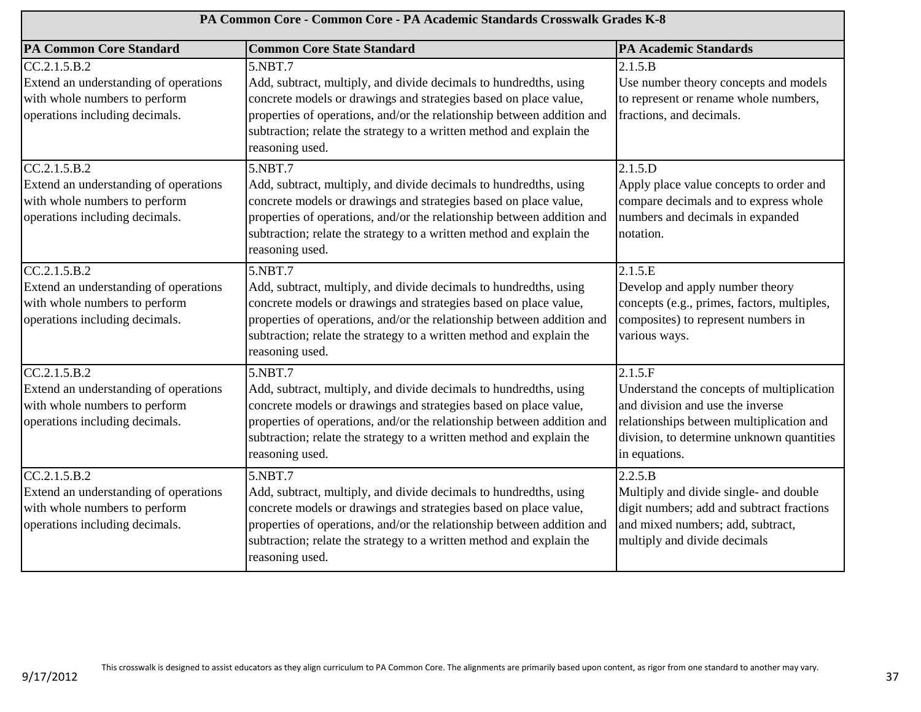| PA Common Core - Common Core - PA Academic Standards Crosswalk Grades K-8                                                |                                                                                                                                                                                                                                                                                                                       |                                                                                                                                                                                                    |
|--------------------------------------------------------------------------------------------------------------------------|-----------------------------------------------------------------------------------------------------------------------------------------------------------------------------------------------------------------------------------------------------------------------------------------------------------------------|----------------------------------------------------------------------------------------------------------------------------------------------------------------------------------------------------|
| <b>PA Common Core Standard</b>                                                                                           | <b>Common Core State Standard</b>                                                                                                                                                                                                                                                                                     | <b>PA Academic Standards</b>                                                                                                                                                                       |
| CC.2.1.5.B.2<br>Extend an understanding of operations<br>with whole numbers to perform<br>operations including decimals. | 5.NBT.7<br>Add, subtract, multiply, and divide decimals to hundredths, using<br>concrete models or drawings and strategies based on place value,<br>properties of operations, and/or the relationship between addition and<br>subtraction; relate the strategy to a written method and explain the<br>reasoning used. | 2.1.5.B<br>Use number theory concepts and models<br>to represent or rename whole numbers,<br>fractions, and decimals.                                                                              |
| CC.2.1.5.B.2<br>Extend an understanding of operations<br>with whole numbers to perform<br>operations including decimals. | 5.NBT.7<br>Add, subtract, multiply, and divide decimals to hundredths, using<br>concrete models or drawings and strategies based on place value,<br>properties of operations, and/or the relationship between addition and<br>subtraction; relate the strategy to a written method and explain the<br>reasoning used. | 2.1.5.D<br>Apply place value concepts to order and<br>compare decimals and to express whole<br>numbers and decimals in expanded<br>notation.                                                       |
| CC.2.1.5.B.2<br>Extend an understanding of operations<br>with whole numbers to perform<br>operations including decimals. | 5.NBT.7<br>Add, subtract, multiply, and divide decimals to hundredths, using<br>concrete models or drawings and strategies based on place value,<br>properties of operations, and/or the relationship between addition and<br>subtraction; relate the strategy to a written method and explain the<br>reasoning used. | 2.1.5.E<br>Develop and apply number theory<br>concepts (e.g., primes, factors, multiples,<br>composites) to represent numbers in<br>various ways.                                                  |
| CC.2.1.5.B.2<br>Extend an understanding of operations<br>with whole numbers to perform<br>operations including decimals. | 5.NBT.7<br>Add, subtract, multiply, and divide decimals to hundredths, using<br>concrete models or drawings and strategies based on place value,<br>properties of operations, and/or the relationship between addition and<br>subtraction; relate the strategy to a written method and explain the<br>reasoning used. | 2.1.5.F<br>Understand the concepts of multiplication<br>and division and use the inverse<br>relationships between multiplication and<br>division, to determine unknown quantities<br>in equations. |
| CC.2.1.5.B.2<br>Extend an understanding of operations<br>with whole numbers to perform<br>operations including decimals. | 5.NBT.7<br>Add, subtract, multiply, and divide decimals to hundredths, using<br>concrete models or drawings and strategies based on place value,<br>properties of operations, and/or the relationship between addition and<br>subtraction; relate the strategy to a written method and explain the<br>reasoning used. | 2.2.5.B<br>Multiply and divide single- and double<br>digit numbers; add and subtract fractions<br>and mixed numbers; add, subtract,<br>multiply and divide decimals                                |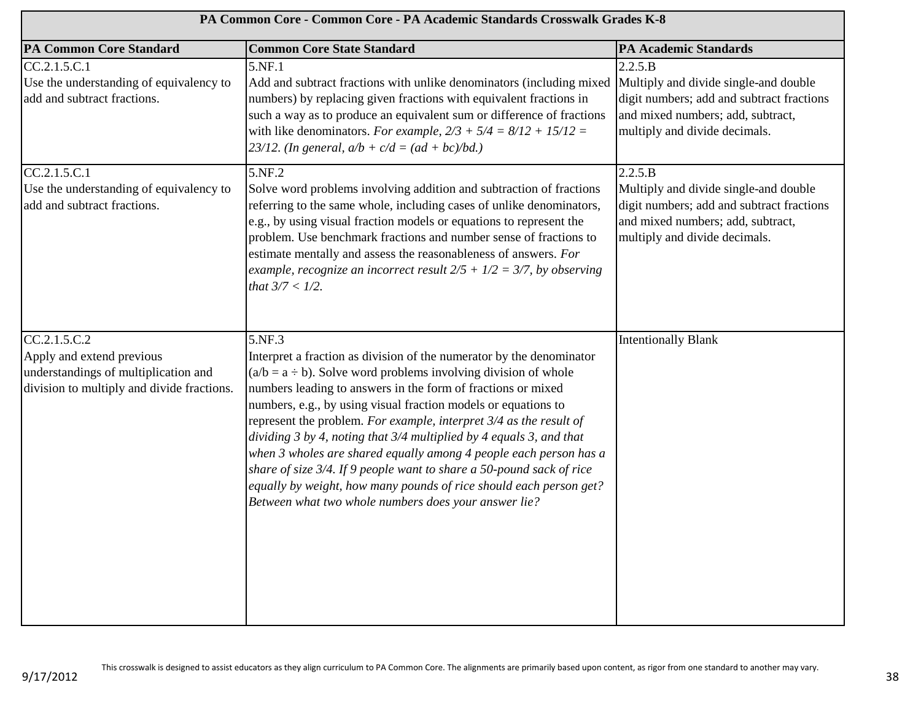| PA Common Core - Common Core - PA Academic Standards Crosswalk Grades K-8                                                       |                                                                                                                                                                                                                                                                                                                                                                                                                                                                                                                                                                                                                                                                                                               |                                                                                                                                                                     |
|---------------------------------------------------------------------------------------------------------------------------------|---------------------------------------------------------------------------------------------------------------------------------------------------------------------------------------------------------------------------------------------------------------------------------------------------------------------------------------------------------------------------------------------------------------------------------------------------------------------------------------------------------------------------------------------------------------------------------------------------------------------------------------------------------------------------------------------------------------|---------------------------------------------------------------------------------------------------------------------------------------------------------------------|
| <b>PA Common Core Standard</b>                                                                                                  | <b>Common Core State Standard</b>                                                                                                                                                                                                                                                                                                                                                                                                                                                                                                                                                                                                                                                                             | <b>PA Academic Standards</b>                                                                                                                                        |
| CC.2.1.5.C.1<br>Use the understanding of equivalency to<br>add and subtract fractions.                                          | 5.NF.1<br>Add and subtract fractions with unlike denominators (including mixed Multiply and divide single-and double<br>numbers) by replacing given fractions with equivalent fractions in<br>such a way as to produce an equivalent sum or difference of fractions<br>with like denominators. For example, $2/3 + 5/4 = 8/12 + 15/12 =$<br>23/12. (In general, $a/b + c/d = (ad + bc)/bd$ .)                                                                                                                                                                                                                                                                                                                 | 2.2.5.B<br>digit numbers; add and subtract fractions<br>and mixed numbers; add, subtract,<br>multiply and divide decimals.                                          |
| CC.2.1.5.C.1<br>Use the understanding of equivalency to<br>add and subtract fractions.                                          | 5.NF.2<br>Solve word problems involving addition and subtraction of fractions<br>referring to the same whole, including cases of unlike denominators,<br>e.g., by using visual fraction models or equations to represent the<br>problem. Use benchmark fractions and number sense of fractions to<br>estimate mentally and assess the reasonableness of answers. For<br>example, recognize an incorrect result $2/5 + 1/2 = 3/7$ , by observing<br>that $3/7 < 1/2$ .                                                                                                                                                                                                                                         | 2.2.5.B<br>Multiply and divide single-and double<br>digit numbers; add and subtract fractions<br>and mixed numbers; add, subtract,<br>multiply and divide decimals. |
| CC.2.1.5.C.2<br>Apply and extend previous<br>understandings of multiplication and<br>division to multiply and divide fractions. | 5.NF.3<br>Interpret a fraction as division of the numerator by the denominator<br>$(a/b = a - b)$ . Solve word problems involving division of whole<br>numbers leading to answers in the form of fractions or mixed<br>numbers, e.g., by using visual fraction models or equations to<br>represent the problem. For example, interpret 3/4 as the result of<br>dividing 3 by 4, noting that 3/4 multiplied by 4 equals 3, and that<br>when 3 wholes are shared equally among 4 people each person has a<br>share of size 3/4. If 9 people want to share a 50-pound sack of rice<br>equally by weight, how many pounds of rice should each person get?<br>Between what two whole numbers does your answer lie? | <b>Intentionally Blank</b>                                                                                                                                          |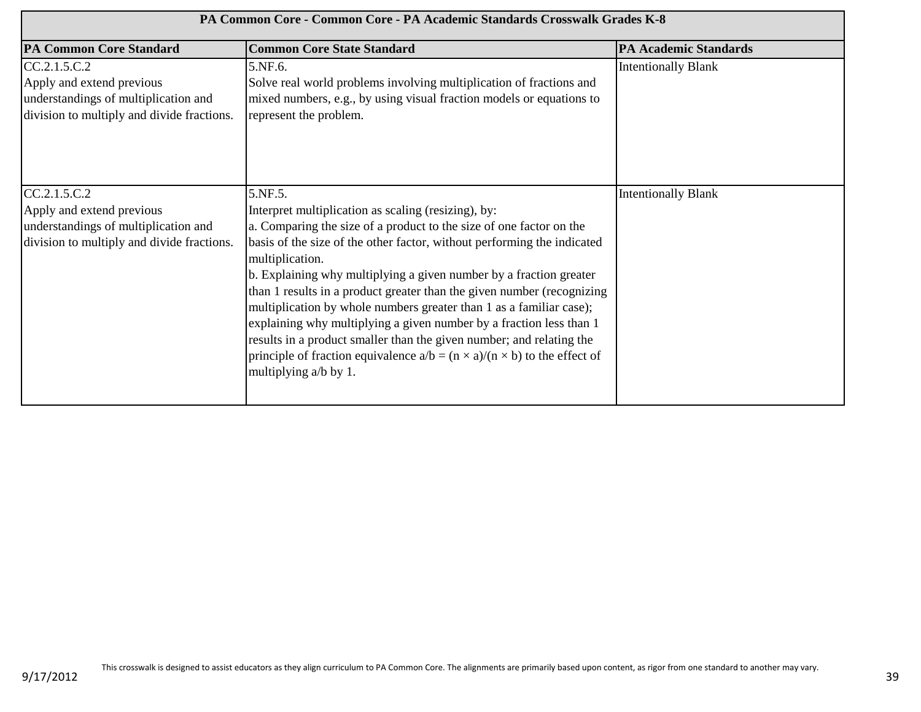| PA Common Core - Common Core - PA Academic Standards Crosswalk Grades K-8                                                       |                                                                                                                                                                                                                                                                                                                                                                                                                                                                                                                                                                                                                                                                                                                            |                              |
|---------------------------------------------------------------------------------------------------------------------------------|----------------------------------------------------------------------------------------------------------------------------------------------------------------------------------------------------------------------------------------------------------------------------------------------------------------------------------------------------------------------------------------------------------------------------------------------------------------------------------------------------------------------------------------------------------------------------------------------------------------------------------------------------------------------------------------------------------------------------|------------------------------|
| <b>PA Common Core Standard</b>                                                                                                  | <b>Common Core State Standard</b>                                                                                                                                                                                                                                                                                                                                                                                                                                                                                                                                                                                                                                                                                          | <b>PA Academic Standards</b> |
| CC.2.1.5.C.2<br>Apply and extend previous<br>understandings of multiplication and<br>division to multiply and divide fractions. | 5.NF.6.<br>Solve real world problems involving multiplication of fractions and<br>mixed numbers, e.g., by using visual fraction models or equations to<br>represent the problem.                                                                                                                                                                                                                                                                                                                                                                                                                                                                                                                                           | <b>Intentionally Blank</b>   |
| CC.2.1.5.C.2<br>Apply and extend previous<br>understandings of multiplication and<br>division to multiply and divide fractions. | 5.NF.5.<br>Interpret multiplication as scaling (resizing), by:<br>a. Comparing the size of a product to the size of one factor on the<br>basis of the size of the other factor, without performing the indicated<br>multiplication.<br>b. Explaining why multiplying a given number by a fraction greater<br>than 1 results in a product greater than the given number (recognizing<br>multiplication by whole numbers greater than 1 as a familiar case);<br>explaining why multiplying a given number by a fraction less than 1<br>results in a product smaller than the given number; and relating the<br>principle of fraction equivalence $a/b = (n \times a)/(n \times b)$ to the effect of<br>multiplying a/b by 1. | <b>Intentionally Blank</b>   |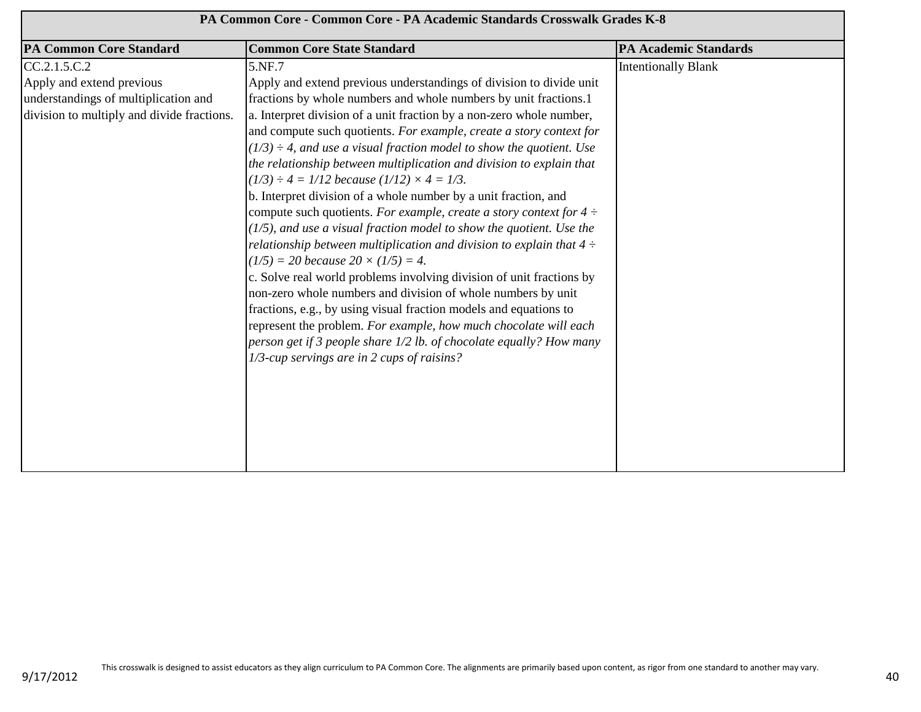| PA Common Core - Common Core - PA Academic Standards Crosswalk Grades K-8 |                                                                            |                              |
|---------------------------------------------------------------------------|----------------------------------------------------------------------------|------------------------------|
| <b>PA Common Core Standard</b>                                            | <b>Common Core State Standard</b>                                          | <b>PA Academic Standards</b> |
| CC.2.1.5.C.2                                                              | 5.NF.7                                                                     | <b>Intentionally Blank</b>   |
| Apply and extend previous                                                 | Apply and extend previous understandings of division to divide unit        |                              |
| understandings of multiplication and                                      | fractions by whole numbers and whole numbers by unit fractions.1           |                              |
| division to multiply and divide fractions.                                | a. Interpret division of a unit fraction by a non-zero whole number,       |                              |
|                                                                           | and compute such quotients. For example, create a story context for        |                              |
|                                                                           | $(1/3) \div 4$ , and use a visual fraction model to show the quotient. Use |                              |
|                                                                           | the relationship between multiplication and division to explain that       |                              |
|                                                                           | $(1/3) \div 4 = 1/12$ because $(1/12) \times 4 = 1/3$ .                    |                              |
|                                                                           | b. Interpret division of a whole number by a unit fraction, and            |                              |
|                                                                           | compute such quotients. For example, create a story context for $4 \div$   |                              |
|                                                                           | $(1/5)$ , and use a visual fraction model to show the quotient. Use the    |                              |
|                                                                           | relationship between multiplication and division to explain that $4 \div$  |                              |
|                                                                           | $(1/5) = 20$ because $20 \times (1/5) = 4$ .                               |                              |
|                                                                           | c. Solve real world problems involving division of unit fractions by       |                              |
|                                                                           | non-zero whole numbers and division of whole numbers by unit               |                              |
|                                                                           | fractions, e.g., by using visual fraction models and equations to          |                              |
|                                                                           | represent the problem. For example, how much chocolate will each           |                              |
|                                                                           | person get if 3 people share 1/2 lb. of chocolate equally? How many        |                              |
|                                                                           | 1/3-cup servings are in 2 cups of raisins?                                 |                              |
|                                                                           |                                                                            |                              |
|                                                                           |                                                                            |                              |
|                                                                           |                                                                            |                              |
|                                                                           |                                                                            |                              |
|                                                                           |                                                                            |                              |
|                                                                           |                                                                            |                              |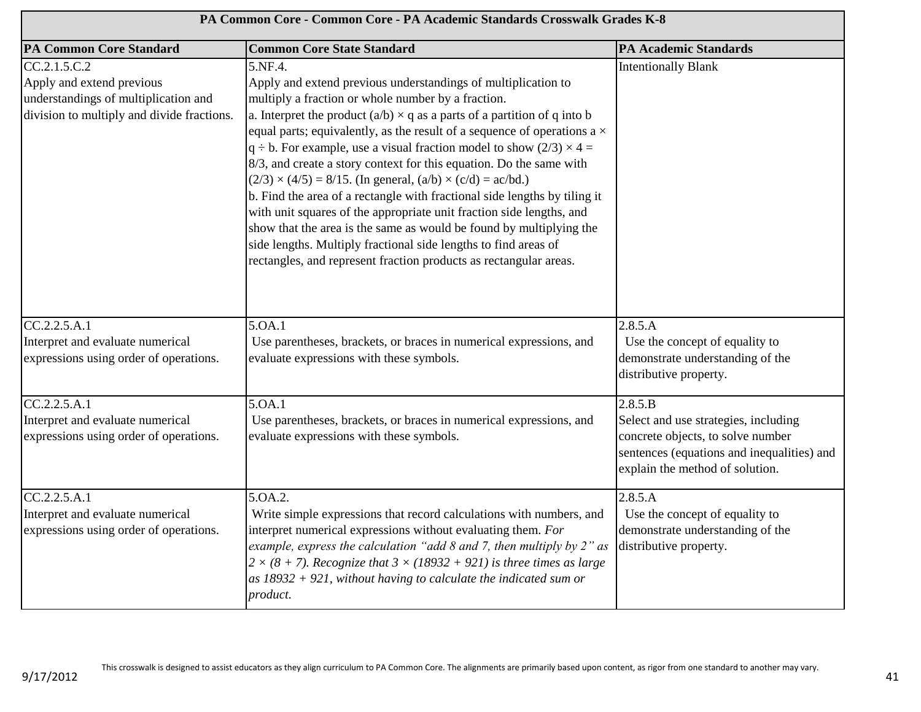| PA Common Core - Common Core - PA Academic Standards Crosswalk Grades K-8                                                       |                                                                                                                                                                                                                                                                                                                                                                                                                                                                                                                                                                                                                                                                                                                                                                                                                                                                                                                   |                                                                                                                                                                       |
|---------------------------------------------------------------------------------------------------------------------------------|-------------------------------------------------------------------------------------------------------------------------------------------------------------------------------------------------------------------------------------------------------------------------------------------------------------------------------------------------------------------------------------------------------------------------------------------------------------------------------------------------------------------------------------------------------------------------------------------------------------------------------------------------------------------------------------------------------------------------------------------------------------------------------------------------------------------------------------------------------------------------------------------------------------------|-----------------------------------------------------------------------------------------------------------------------------------------------------------------------|
| <b>PA Common Core Standard</b>                                                                                                  | <b>Common Core State Standard</b>                                                                                                                                                                                                                                                                                                                                                                                                                                                                                                                                                                                                                                                                                                                                                                                                                                                                                 | <b>PA Academic Standards</b>                                                                                                                                          |
| CC.2.1.5.C.2<br>Apply and extend previous<br>understandings of multiplication and<br>division to multiply and divide fractions. | 5.NF.4.<br>Apply and extend previous understandings of multiplication to<br>multiply a fraction or whole number by a fraction.<br>a. Interpret the product $(a/b) \times q$ as a parts of a partition of q into b<br>equal parts; equivalently, as the result of a sequence of operations a $\times$<br>$q \div b$ . For example, use a visual fraction model to show $(2/3) \times 4 =$<br>8/3, and create a story context for this equation. Do the same with<br>$(2/3) \times (4/5) = 8/15$ . (In general, $(a/b) \times (c/d) = ac/bd$ .)<br>b. Find the area of a rectangle with fractional side lengths by tiling it<br>with unit squares of the appropriate unit fraction side lengths, and<br>show that the area is the same as would be found by multiplying the<br>side lengths. Multiply fractional side lengths to find areas of<br>rectangles, and represent fraction products as rectangular areas. | <b>Intentionally Blank</b>                                                                                                                                            |
| CC.2.2.5.A.1<br>Interpret and evaluate numerical<br>expressions using order of operations.                                      | 5.OA.1<br>Use parentheses, brackets, or braces in numerical expressions, and<br>evaluate expressions with these symbols.                                                                                                                                                                                                                                                                                                                                                                                                                                                                                                                                                                                                                                                                                                                                                                                          | 2.8.5.A<br>Use the concept of equality to<br>demonstrate understanding of the<br>distributive property.                                                               |
| CC.2.2.5.A.1<br>Interpret and evaluate numerical<br>expressions using order of operations.                                      | 5.0A.1<br>Use parentheses, brackets, or braces in numerical expressions, and<br>evaluate expressions with these symbols.                                                                                                                                                                                                                                                                                                                                                                                                                                                                                                                                                                                                                                                                                                                                                                                          | 2.8.5.B<br>Select and use strategies, including<br>concrete objects, to solve number<br>sentences (equations and inequalities) and<br>explain the method of solution. |
| CC.2.2.5. A.1<br>Interpret and evaluate numerical<br>expressions using order of operations.                                     | 5.0A.2.<br>Write simple expressions that record calculations with numbers, and<br>interpret numerical expressions without evaluating them. For<br>example, express the calculation "add $8$ and 7, then multiply by $2$ " as<br>$2 \times (8 + 7)$ . Recognize that $3 \times (18932 + 921)$ is three times as large<br>as $18932 + 921$ , without having to calculate the indicated sum or<br>product.                                                                                                                                                                                                                                                                                                                                                                                                                                                                                                           | 2.8.5.A<br>Use the concept of equality to<br>demonstrate understanding of the<br>distributive property.                                                               |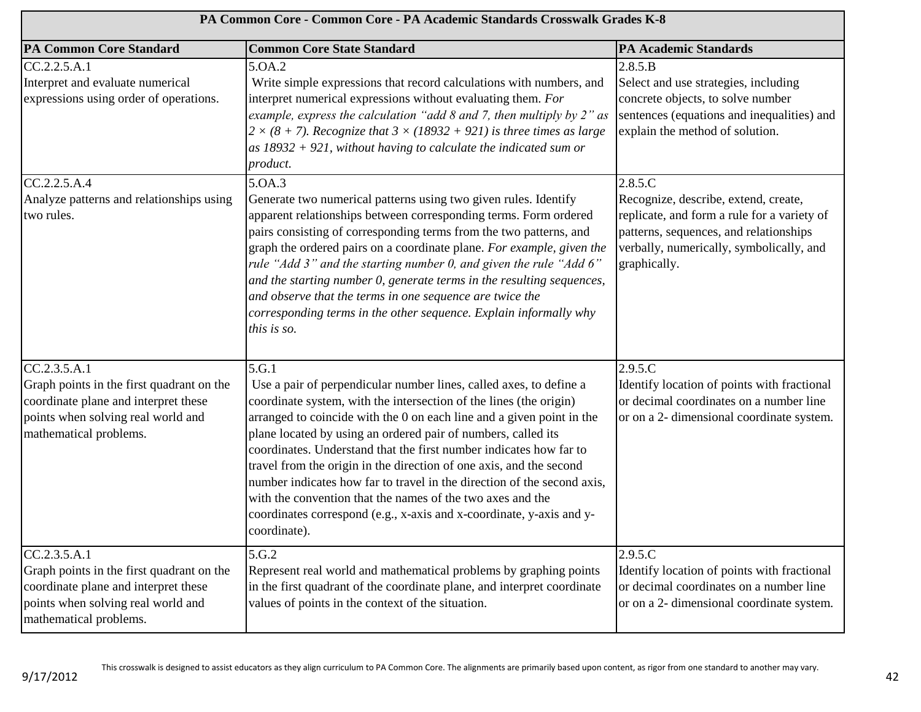| PA Common Core - Common Core - PA Academic Standards Crosswalk Grades K-8                                                                                         |                                                                                                                                                                                                                                                                                                                                                                                                                                                                                                                                                                                                                                                                           |                                                                                                                                                                                                      |
|-------------------------------------------------------------------------------------------------------------------------------------------------------------------|---------------------------------------------------------------------------------------------------------------------------------------------------------------------------------------------------------------------------------------------------------------------------------------------------------------------------------------------------------------------------------------------------------------------------------------------------------------------------------------------------------------------------------------------------------------------------------------------------------------------------------------------------------------------------|------------------------------------------------------------------------------------------------------------------------------------------------------------------------------------------------------|
| <b>PA Common Core Standard</b>                                                                                                                                    | <b>Common Core State Standard</b>                                                                                                                                                                                                                                                                                                                                                                                                                                                                                                                                                                                                                                         | <b>PA Academic Standards</b>                                                                                                                                                                         |
| CC.2.2.5.A.1<br>Interpret and evaluate numerical<br>expressions using order of operations.                                                                        | 5.0A.2<br>Write simple expressions that record calculations with numbers, and<br>interpret numerical expressions without evaluating them. For<br>example, express the calculation "add $8$ and $7$ , then multiply by $2$ " as<br>$2 \times (8 + 7)$ . Recognize that $3 \times (18932 + 921)$ is three times as large<br>$as 18932 + 921$ , without having to calculate the indicated sum or<br>product.                                                                                                                                                                                                                                                                 | 2.8.5.B<br>Select and use strategies, including<br>concrete objects, to solve number<br>sentences (equations and inequalities) and<br>explain the method of solution.                                |
| CC.2.2.5.A.4<br>Analyze patterns and relationships using<br>two rules.                                                                                            | 5.0A.3<br>Generate two numerical patterns using two given rules. Identify<br>apparent relationships between corresponding terms. Form ordered<br>pairs consisting of corresponding terms from the two patterns, and<br>graph the ordered pairs on a coordinate plane. For example, given the<br>rule "Add 3" and the starting number 0, and given the rule "Add 6"<br>and the starting number 0, generate terms in the resulting sequences,<br>and observe that the terms in one sequence are twice the<br>corresponding terms in the other sequence. Explain informally why<br>this is so.                                                                               | 2.8.5.C<br>Recognize, describe, extend, create,<br>replicate, and form a rule for a variety of<br>patterns, sequences, and relationships<br>verbally, numerically, symbolically, and<br>graphically. |
| CC.2.3.5.A.1<br>Graph points in the first quadrant on the<br>coordinate plane and interpret these<br>points when solving real world and<br>mathematical problems. | 5.G.1<br>Use a pair of perpendicular number lines, called axes, to define a<br>coordinate system, with the intersection of the lines (the origin)<br>arranged to coincide with the 0 on each line and a given point in the<br>plane located by using an ordered pair of numbers, called its<br>coordinates. Understand that the first number indicates how far to<br>travel from the origin in the direction of one axis, and the second<br>number indicates how far to travel in the direction of the second axis,<br>with the convention that the names of the two axes and the<br>coordinates correspond (e.g., x-axis and x-coordinate, y-axis and y-<br>coordinate). | 2.9.5.C<br>Identify location of points with fractional<br>or decimal coordinates on a number line<br>or on a 2- dimensional coordinate system.                                                       |
| CC.2.3.5.A.1<br>Graph points in the first quadrant on the<br>coordinate plane and interpret these<br>points when solving real world and<br>mathematical problems. | 5.G.2<br>Represent real world and mathematical problems by graphing points<br>in the first quadrant of the coordinate plane, and interpret coordinate<br>values of points in the context of the situation.                                                                                                                                                                                                                                                                                                                                                                                                                                                                | 2.9.5.C<br>Identify location of points with fractional<br>or decimal coordinates on a number line<br>or on a 2- dimensional coordinate system.                                                       |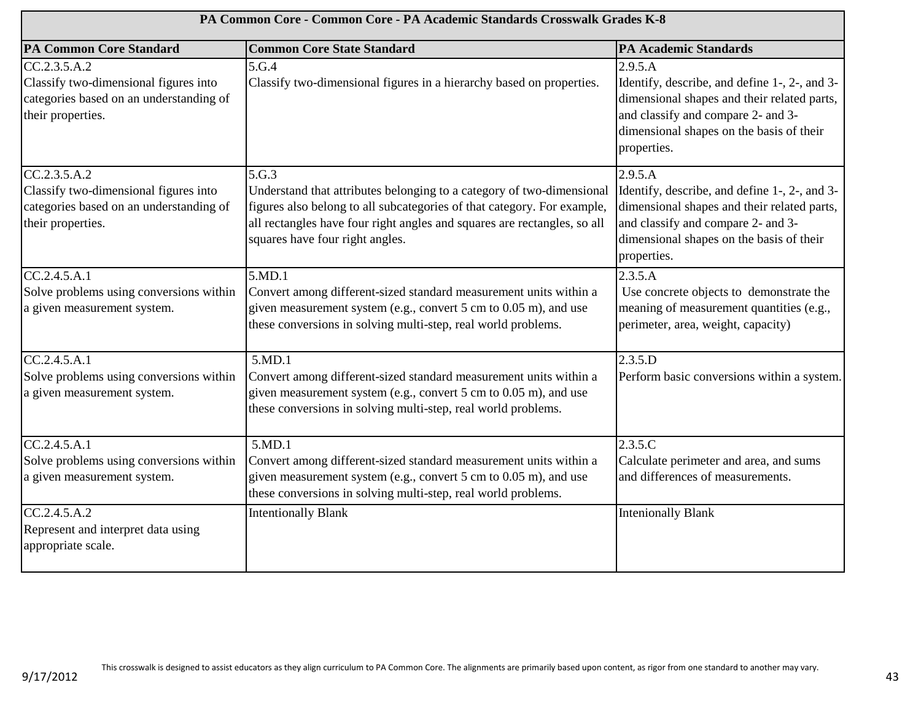| PA Common Core - Common Core - PA Academic Standards Crosswalk Grades K-8                                             |                                                                                                                                                                                                                                                                          |                                                                                                                                                                                                          |
|-----------------------------------------------------------------------------------------------------------------------|--------------------------------------------------------------------------------------------------------------------------------------------------------------------------------------------------------------------------------------------------------------------------|----------------------------------------------------------------------------------------------------------------------------------------------------------------------------------------------------------|
| <b>PA Common Core Standard</b>                                                                                        | <b>Common Core State Standard</b>                                                                                                                                                                                                                                        | <b>PA Academic Standards</b>                                                                                                                                                                             |
| CC.2.3.5.A.2<br>Classify two-dimensional figures into<br>categories based on an understanding of<br>their properties. | 5.G.4<br>Classify two-dimensional figures in a hierarchy based on properties.                                                                                                                                                                                            | 2.9.5.A<br>Identify, describe, and define 1-, 2-, and 3-<br>dimensional shapes and their related parts,<br>and classify and compare 2- and 3-<br>dimensional shapes on the basis of their<br>properties. |
| CC.2.3.5.A.2<br>Classify two-dimensional figures into<br>categories based on an understanding of<br>their properties. | 5.G.3<br>Understand that attributes belonging to a category of two-dimensional<br>figures also belong to all subcategories of that category. For example,<br>all rectangles have four right angles and squares are rectangles, so all<br>squares have four right angles. | 2.9.5.A<br>Identify, describe, and define 1-, 2-, and 3-<br>dimensional shapes and their related parts,<br>and classify and compare 2- and 3-<br>dimensional shapes on the basis of their<br>properties. |
| CC.2.4.5.A.1<br>Solve problems using conversions within<br>a given measurement system.                                | 5.MD.1<br>Convert among different-sized standard measurement units within a<br>given measurement system (e.g., convert 5 cm to 0.05 m), and use<br>these conversions in solving multi-step, real world problems.                                                         | 2.3.5.A<br>Use concrete objects to demonstrate the<br>meaning of measurement quantities (e.g.,<br>perimeter, area, weight, capacity)                                                                     |
| CC.2.4.5.A.1<br>Solve problems using conversions within<br>a given measurement system.                                | 5.MD.1<br>Convert among different-sized standard measurement units within a<br>given measurement system (e.g., convert 5 cm to 0.05 m), and use<br>these conversions in solving multi-step, real world problems.                                                         | 2.3.5.D<br>Perform basic conversions within a system.                                                                                                                                                    |
| CC.2.4.5. A.1<br>Solve problems using conversions within<br>a given measurement system.                               | 5.MD.1<br>Convert among different-sized standard measurement units within a<br>given measurement system (e.g., convert 5 cm to 0.05 m), and use<br>these conversions in solving multi-step, real world problems.                                                         | 2.3.5.C<br>Calculate perimeter and area, and sums<br>and differences of measurements.                                                                                                                    |
| CC.2.4.5.A.2<br>Represent and interpret data using<br>appropriate scale.                                              | <b>Intentionally Blank</b>                                                                                                                                                                                                                                               | <b>Intenionally Blank</b>                                                                                                                                                                                |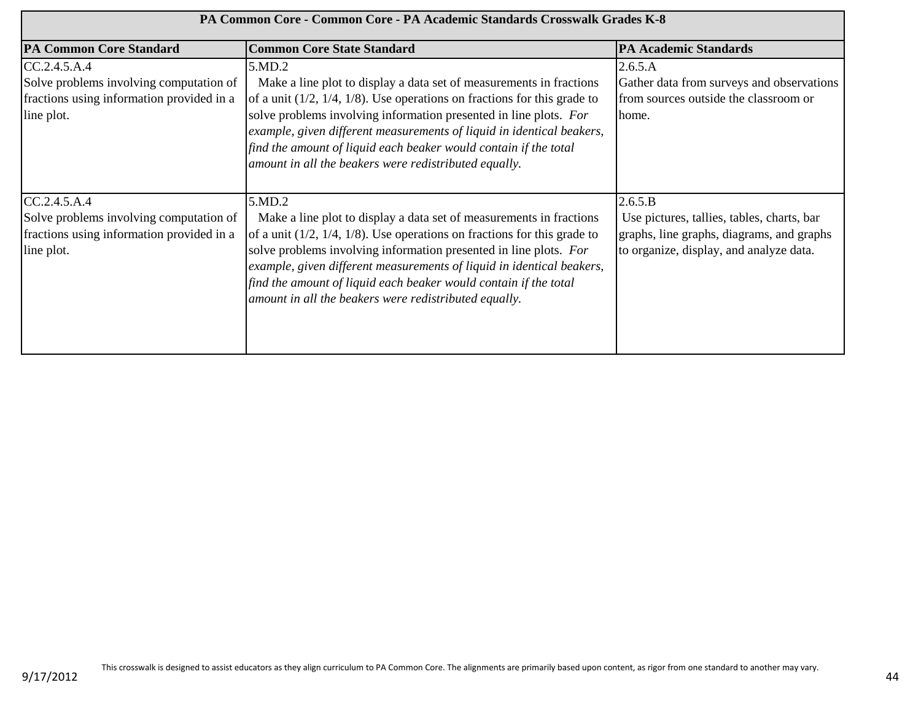| PA Common Core - Common Core - PA Academic Standards Crosswalk Grades K-8                                          |                                                                                                                                                                                                                                                                                                                                                                                                                                         |                                                                                                                                               |
|--------------------------------------------------------------------------------------------------------------------|-----------------------------------------------------------------------------------------------------------------------------------------------------------------------------------------------------------------------------------------------------------------------------------------------------------------------------------------------------------------------------------------------------------------------------------------|-----------------------------------------------------------------------------------------------------------------------------------------------|
| <b>PA Common Core Standard</b>                                                                                     | <b>Common Core State Standard</b>                                                                                                                                                                                                                                                                                                                                                                                                       | <b>PA Academic Standards</b>                                                                                                                  |
| CC.2.4.5.A.4<br>Solve problems involving computation of<br>fractions using information provided in a<br>line plot. | 5.MD.2<br>Make a line plot to display a data set of measurements in fractions<br>of a unit $(1/2, 1/4, 1/8)$ . Use operations on fractions for this grade to<br>solve problems involving information presented in line plots. For<br>example, given different measurements of liquid in identical beakers,<br>find the amount of liquid each beaker would contain if the total<br>amount in all the beakers were redistributed equally. | 2.6.5.A<br>Gather data from surveys and observations<br>from sources outside the classroom or<br>home.                                        |
| CC.2.4.5.A.4<br>Solve problems involving computation of<br>fractions using information provided in a<br>line plot. | 5.MD.2<br>Make a line plot to display a data set of measurements in fractions<br>of a unit $(1/2, 1/4, 1/8)$ . Use operations on fractions for this grade to<br>solve problems involving information presented in line plots. For<br>example, given different measurements of liquid in identical beakers,<br>find the amount of liquid each beaker would contain if the total<br>amount in all the beakers were redistributed equally. | 2.6.5.B<br>Use pictures, tallies, tables, charts, bar<br>graphs, line graphs, diagrams, and graphs<br>to organize, display, and analyze data. |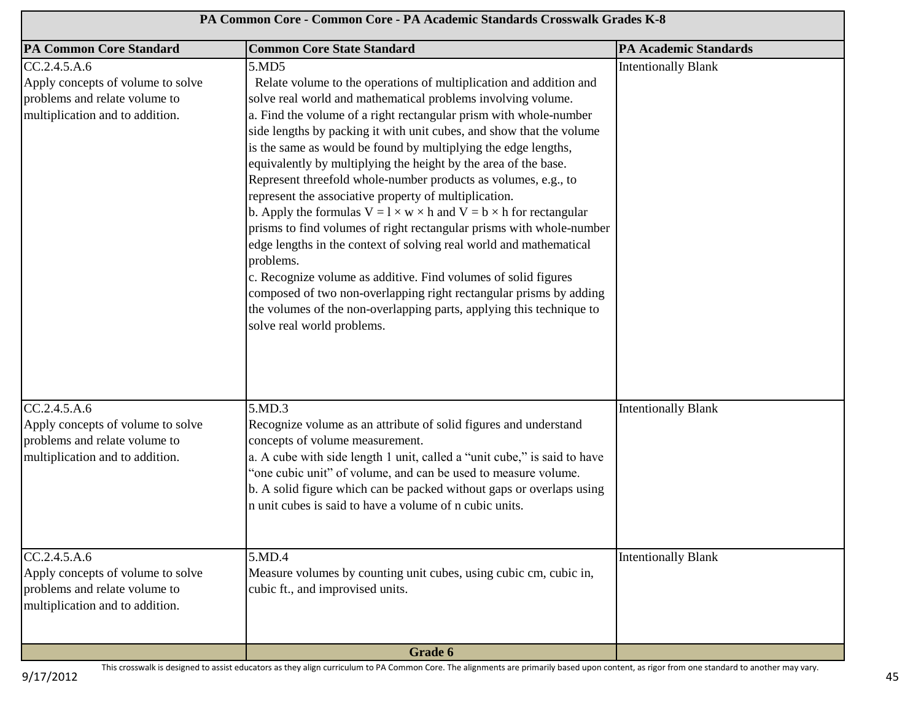| PA Common Core - Common Core - PA Academic Standards Crosswalk Grades K-8                                             |                                                                                                                                                                                                                                                                                                                                                                                                                                                                                                                                                                                                                                                                                                                                                                                                                                                                                                                                                                                                                                                           |                              |
|-----------------------------------------------------------------------------------------------------------------------|-----------------------------------------------------------------------------------------------------------------------------------------------------------------------------------------------------------------------------------------------------------------------------------------------------------------------------------------------------------------------------------------------------------------------------------------------------------------------------------------------------------------------------------------------------------------------------------------------------------------------------------------------------------------------------------------------------------------------------------------------------------------------------------------------------------------------------------------------------------------------------------------------------------------------------------------------------------------------------------------------------------------------------------------------------------|------------------------------|
| <b>PA Common Core Standard</b>                                                                                        | <b>Common Core State Standard</b>                                                                                                                                                                                                                                                                                                                                                                                                                                                                                                                                                                                                                                                                                                                                                                                                                                                                                                                                                                                                                         | <b>PA Academic Standards</b> |
| CC.2.4.5.A.6<br>Apply concepts of volume to solve<br>problems and relate volume to<br>multiplication and to addition. | 5.MD5<br>Relate volume to the operations of multiplication and addition and<br>solve real world and mathematical problems involving volume.<br>a. Find the volume of a right rectangular prism with whole-number<br>side lengths by packing it with unit cubes, and show that the volume<br>is the same as would be found by multiplying the edge lengths,<br>equivalently by multiplying the height by the area of the base.<br>Represent threefold whole-number products as volumes, e.g., to<br>represent the associative property of multiplication.<br>b. Apply the formulas $V = l \times w \times h$ and $V = b \times h$ for rectangular<br>prisms to find volumes of right rectangular prisms with whole-number<br>edge lengths in the context of solving real world and mathematical<br>problems.<br>c. Recognize volume as additive. Find volumes of solid figures<br>composed of two non-overlapping right rectangular prisms by adding<br>the volumes of the non-overlapping parts, applying this technique to<br>solve real world problems. | <b>Intentionally Blank</b>   |
| CC.2.4.5.A.6<br>Apply concepts of volume to solve<br>problems and relate volume to<br>multiplication and to addition. | 5.MD.3<br>Recognize volume as an attribute of solid figures and understand<br>concepts of volume measurement.<br>a. A cube with side length 1 unit, called a "unit cube," is said to have<br>'one cubic unit'' of volume, and can be used to measure volume.<br>b. A solid figure which can be packed without gaps or overlaps using<br>n unit cubes is said to have a volume of n cubic units.                                                                                                                                                                                                                                                                                                                                                                                                                                                                                                                                                                                                                                                           | <b>Intentionally Blank</b>   |
| CC.2.4.5.A.6<br>Apply concepts of volume to solve<br>problems and relate volume to<br>multiplication and to addition. | 5.MD.4<br>Measure volumes by counting unit cubes, using cubic cm, cubic in,<br>cubic ft., and improvised units.                                                                                                                                                                                                                                                                                                                                                                                                                                                                                                                                                                                                                                                                                                                                                                                                                                                                                                                                           | <b>Intentionally Blank</b>   |
|                                                                                                                       | Grade 6                                                                                                                                                                                                                                                                                                                                                                                                                                                                                                                                                                                                                                                                                                                                                                                                                                                                                                                                                                                                                                                   |                              |

9/17/2012

This crosswalk is designed to assist educators as they align curriculum to PA Common Core. The alignments are primarily based upon content, as rigor from one standard to another may vary.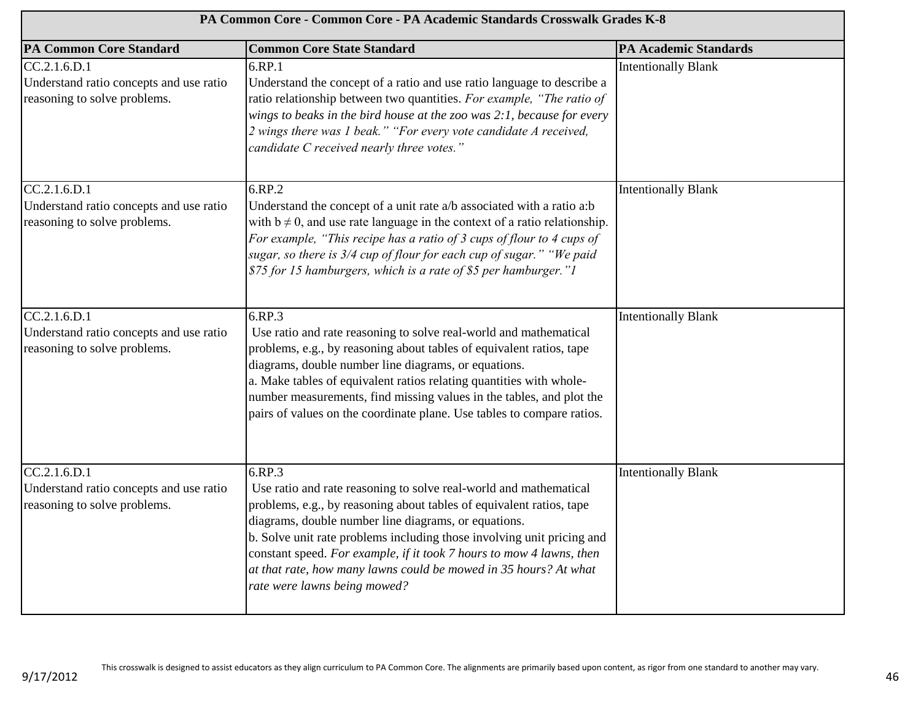| PA Common Core - Common Core - PA Academic Standards Crosswalk Grades K-8               |                                                                                                                                                                                                                                                                                                                                                                                                                                                                   |                              |
|-----------------------------------------------------------------------------------------|-------------------------------------------------------------------------------------------------------------------------------------------------------------------------------------------------------------------------------------------------------------------------------------------------------------------------------------------------------------------------------------------------------------------------------------------------------------------|------------------------------|
| <b>PA Common Core Standard</b>                                                          | <b>Common Core State Standard</b>                                                                                                                                                                                                                                                                                                                                                                                                                                 | <b>PA Academic Standards</b> |
| CC.2.1.6.D.1<br>Understand ratio concepts and use ratio<br>reasoning to solve problems. | 6.RP.1<br>Understand the concept of a ratio and use ratio language to describe a<br>ratio relationship between two quantities. For example, "The ratio of<br>wings to beaks in the bird house at the zoo was 2:1, because for every<br>2 wings there was 1 beak." "For every vote candidate A received,<br>candidate C received nearly three votes."                                                                                                              | <b>Intentionally Blank</b>   |
| CC.2.1.6.D.1<br>Understand ratio concepts and use ratio<br>reasoning to solve problems. | 6.RP.2<br>Understand the concept of a unit rate a/b associated with a ratio a:b<br>with $b \neq 0$ , and use rate language in the context of a ratio relationship.<br>For example, "This recipe has a ratio of 3 cups of flour to 4 cups of<br>sugar, so there is 3/4 cup of flour for each cup of sugar." "We paid<br>\$75 for 15 hamburgers, which is a rate of \$5 per hamburger."1                                                                            | <b>Intentionally Blank</b>   |
| CC.2.1.6.D.1<br>Understand ratio concepts and use ratio<br>reasoning to solve problems. | 6.RP.3<br>Use ratio and rate reasoning to solve real-world and mathematical<br>problems, e.g., by reasoning about tables of equivalent ratios, tape<br>diagrams, double number line diagrams, or equations.<br>a. Make tables of equivalent ratios relating quantities with whole-<br>number measurements, find missing values in the tables, and plot the<br>pairs of values on the coordinate plane. Use tables to compare ratios.                              | <b>Intentionally Blank</b>   |
| CC.2.1.6.D.1<br>Understand ratio concepts and use ratio<br>reasoning to solve problems. | 6.RP.3<br>Use ratio and rate reasoning to solve real-world and mathematical<br>problems, e.g., by reasoning about tables of equivalent ratios, tape<br>diagrams, double number line diagrams, or equations.<br>b. Solve unit rate problems including those involving unit pricing and<br>constant speed. For example, if it took 7 hours to mow 4 lawns, then<br>at that rate, how many lawns could be mowed in 35 hours? At what<br>rate were lawns being mowed? | <b>Intentionally Blank</b>   |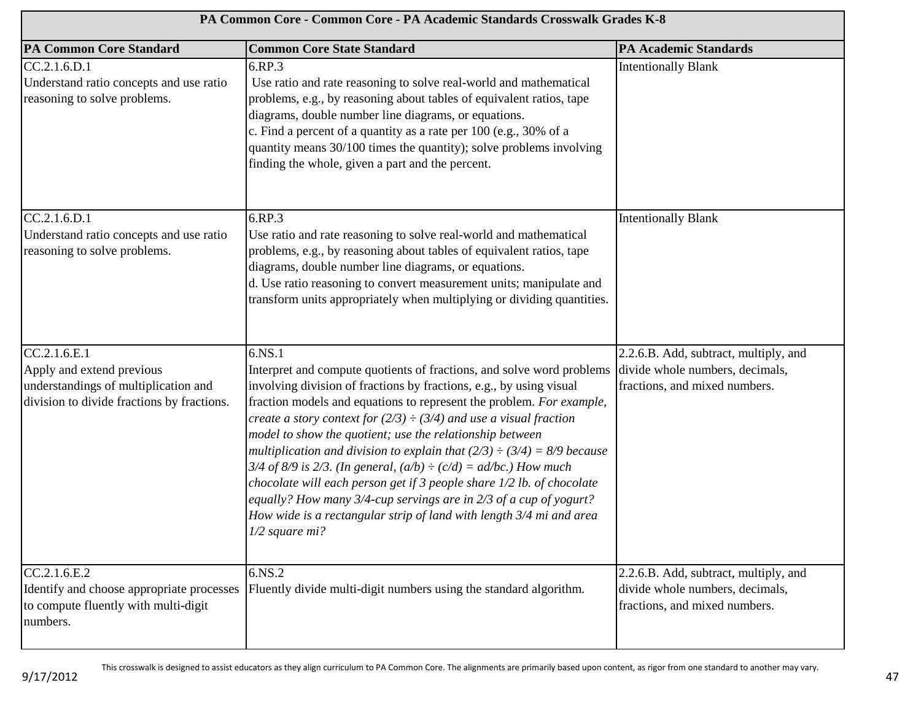| PA Common Core - Common Core - PA Academic Standards Crosswalk Grades K-8                                                       |                                                                                                                                                                                                                                                                                                                                                                                                                                                                                                                                                                                                                                                                                                                                                                          |                                                                                                           |
|---------------------------------------------------------------------------------------------------------------------------------|--------------------------------------------------------------------------------------------------------------------------------------------------------------------------------------------------------------------------------------------------------------------------------------------------------------------------------------------------------------------------------------------------------------------------------------------------------------------------------------------------------------------------------------------------------------------------------------------------------------------------------------------------------------------------------------------------------------------------------------------------------------------------|-----------------------------------------------------------------------------------------------------------|
| <b>PA Common Core Standard</b>                                                                                                  | <b>Common Core State Standard</b>                                                                                                                                                                                                                                                                                                                                                                                                                                                                                                                                                                                                                                                                                                                                        | <b>PA Academic Standards</b>                                                                              |
| CC.2.1.6.D.1<br>Understand ratio concepts and use ratio<br>reasoning to solve problems.                                         | 6.RP.3<br>Use ratio and rate reasoning to solve real-world and mathematical<br>problems, e.g., by reasoning about tables of equivalent ratios, tape<br>diagrams, double number line diagrams, or equations.<br>c. Find a percent of a quantity as a rate per 100 (e.g., 30% of a<br>quantity means 30/100 times the quantity); solve problems involving<br>finding the whole, given a part and the percent.                                                                                                                                                                                                                                                                                                                                                              | <b>Intentionally Blank</b>                                                                                |
| CC.2.1.6.D.1<br>Understand ratio concepts and use ratio<br>reasoning to solve problems.                                         | 6.RP.3<br>Use ratio and rate reasoning to solve real-world and mathematical<br>problems, e.g., by reasoning about tables of equivalent ratios, tape<br>diagrams, double number line diagrams, or equations.<br>d. Use ratio reasoning to convert measurement units; manipulate and<br>transform units appropriately when multiplying or dividing quantities.                                                                                                                                                                                                                                                                                                                                                                                                             | <b>Intentionally Blank</b>                                                                                |
| CC.2.1.6.E.1<br>Apply and extend previous<br>understandings of multiplication and<br>division to divide fractions by fractions. | 6.NS.1<br>Interpret and compute quotients of fractions, and solve word problems<br>involving division of fractions by fractions, e.g., by using visual<br>fraction models and equations to represent the problem. For example,<br>create a story context for $(2/3) \div (3/4)$ and use a visual fraction<br>model to show the quotient; use the relationship between<br>multiplication and division to explain that $(2/3) \div (3/4) = 8/9$ because<br>3/4 of 8/9 is 2/3. (In general, $(a/b) \div (c/d) = ad/bc$ .) How much<br>chocolate will each person get if 3 people share 1/2 lb. of chocolate<br>equally? How many 3/4-cup servings are in 2/3 of a cup of yogurt?<br>How wide is a rectangular strip of land with length 3/4 mi and area<br>$1/2$ square mi? | 2.2.6.B. Add, subtract, multiply, and<br>divide whole numbers, decimals,<br>fractions, and mixed numbers. |
| CC.2.1.6.E.2<br>Identify and choose appropriate processes<br>to compute fluently with multi-digit<br>numbers.                   | 6.NS.2<br>Fluently divide multi-digit numbers using the standard algorithm.                                                                                                                                                                                                                                                                                                                                                                                                                                                                                                                                                                                                                                                                                              | 2.2.6.B. Add, subtract, multiply, and<br>divide whole numbers, decimals,<br>fractions, and mixed numbers. |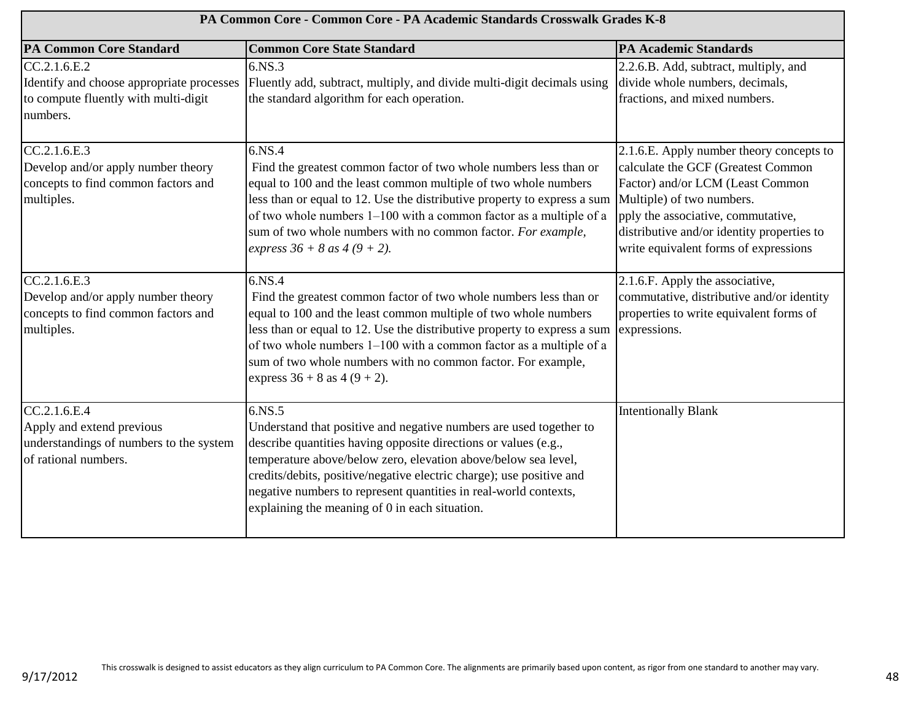| PA Common Core - Common Core - PA Academic Standards Crosswalk Grades K-8                                     |                                                                                                                                                                                                                                                                                                                                                                                                                    |                                                                                                                                                                                                                                                                              |
|---------------------------------------------------------------------------------------------------------------|--------------------------------------------------------------------------------------------------------------------------------------------------------------------------------------------------------------------------------------------------------------------------------------------------------------------------------------------------------------------------------------------------------------------|------------------------------------------------------------------------------------------------------------------------------------------------------------------------------------------------------------------------------------------------------------------------------|
| <b>PA Common Core Standard</b>                                                                                | <b>Common Core State Standard</b>                                                                                                                                                                                                                                                                                                                                                                                  | <b>PA Academic Standards</b>                                                                                                                                                                                                                                                 |
| CC.2.1.6.E.2<br>Identify and choose appropriate processes<br>to compute fluently with multi-digit<br>numbers. | 6.NS.3<br>Fluently add, subtract, multiply, and divide multi-digit decimals using<br>the standard algorithm for each operation.                                                                                                                                                                                                                                                                                    | 2.2.6.B. Add, subtract, multiply, and<br>divide whole numbers, decimals,<br>fractions, and mixed numbers.                                                                                                                                                                    |
| CC.2.1.6.E.3<br>Develop and/or apply number theory<br>concepts to find common factors and<br>multiples.       | 6.NS.4<br>Find the greatest common factor of two whole numbers less than or<br>equal to 100 and the least common multiple of two whole numbers<br>less than or equal to 12. Use the distributive property to express a sum<br>of two whole numbers 1-100 with a common factor as a multiple of a<br>sum of two whole numbers with no common factor. For example,<br>express $36 + 8$ as $4(9 + 2)$ .               | 2.1.6.E. Apply number theory concepts to<br>calculate the GCF (Greatest Common<br>Factor) and/or LCM (Least Common<br>Multiple) of two numbers.<br>pply the associative, commutative,<br>distributive and/or identity properties to<br>write equivalent forms of expressions |
| CC.2.1.6.E.3<br>Develop and/or apply number theory<br>concepts to find common factors and<br>multiples.       | 6.NS.4<br>Find the greatest common factor of two whole numbers less than or<br>equal to 100 and the least common multiple of two whole numbers<br>less than or equal to 12. Use the distributive property to express a sum<br>of two whole numbers 1-100 with a common factor as a multiple of a<br>sum of two whole numbers with no common factor. For example,<br>express $36 + 8$ as $4 (9 + 2)$ .              | 2.1.6.F. Apply the associative,<br>commutative, distributive and/or identity<br>properties to write equivalent forms of<br>expressions.                                                                                                                                      |
| CC.2.1.6.E.4<br>Apply and extend previous<br>understandings of numbers to the system<br>of rational numbers.  | $6.$ NS.5<br>Understand that positive and negative numbers are used together to<br>describe quantities having opposite directions or values (e.g.,<br>temperature above/below zero, elevation above/below sea level,<br>credits/debits, positive/negative electric charge); use positive and<br>negative numbers to represent quantities in real-world contexts,<br>explaining the meaning of 0 in each situation. | <b>Intentionally Blank</b>                                                                                                                                                                                                                                                   |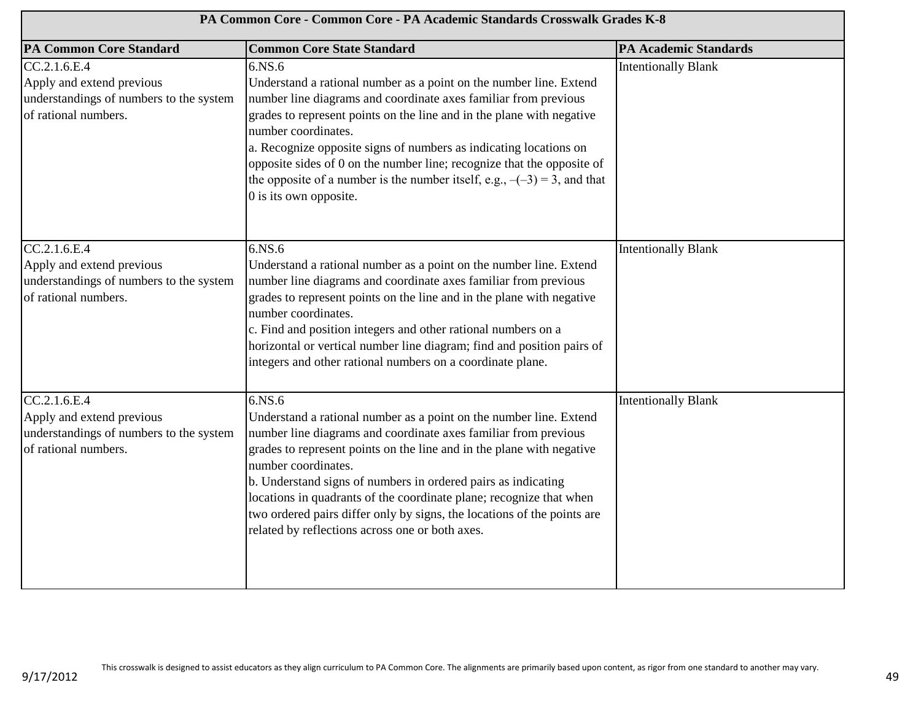| PA Common Core - Common Core - PA Academic Standards Crosswalk Grades K-8                                     |                                                                                                                                                                                                                                                                                                                                                                                                                                                                                                                       |                              |
|---------------------------------------------------------------------------------------------------------------|-----------------------------------------------------------------------------------------------------------------------------------------------------------------------------------------------------------------------------------------------------------------------------------------------------------------------------------------------------------------------------------------------------------------------------------------------------------------------------------------------------------------------|------------------------------|
| <b>PA Common Core Standard</b>                                                                                | <b>Common Core State Standard</b>                                                                                                                                                                                                                                                                                                                                                                                                                                                                                     | <b>PA Academic Standards</b> |
| CC.2.1.6. E.4<br>Apply and extend previous<br>understandings of numbers to the system<br>of rational numbers. | 6.NS.6<br>Understand a rational number as a point on the number line. Extend<br>number line diagrams and coordinate axes familiar from previous<br>grades to represent points on the line and in the plane with negative<br>number coordinates.<br>a. Recognize opposite signs of numbers as indicating locations on<br>opposite sides of 0 on the number line; recognize that the opposite of<br>the opposite of a number is the number itself, e.g., $-(-3) = 3$ , and that<br>0 is its own opposite.               | <b>Intentionally Blank</b>   |
| CC.2.1.6.E.4<br>Apply and extend previous<br>understandings of numbers to the system<br>of rational numbers.  | 6.NS.6<br>Understand a rational number as a point on the number line. Extend<br>number line diagrams and coordinate axes familiar from previous<br>grades to represent points on the line and in the plane with negative<br>number coordinates.<br>c. Find and position integers and other rational numbers on a<br>horizontal or vertical number line diagram; find and position pairs of<br>integers and other rational numbers on a coordinate plane.                                                              | <b>Intentionally Blank</b>   |
| CC.2.1.6.E.4<br>Apply and extend previous<br>understandings of numbers to the system<br>of rational numbers.  | 6.NS.6<br>Understand a rational number as a point on the number line. Extend<br>number line diagrams and coordinate axes familiar from previous<br>grades to represent points on the line and in the plane with negative<br>number coordinates.<br>b. Understand signs of numbers in ordered pairs as indicating<br>locations in quadrants of the coordinate plane; recognize that when<br>two ordered pairs differ only by signs, the locations of the points are<br>related by reflections across one or both axes. | <b>Intentionally Blank</b>   |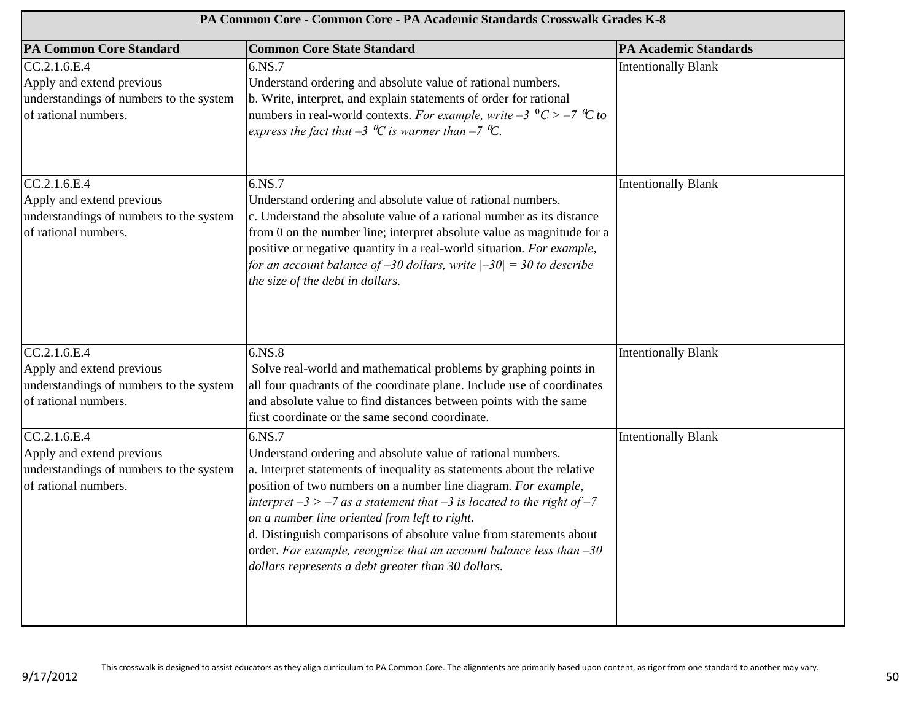| PA Common Core - Common Core - PA Academic Standards Crosswalk Grades K-8                                    |                                                                                                                                                                                                                                                                                                                                                                                                                                                                                                                                                         |                              |
|--------------------------------------------------------------------------------------------------------------|---------------------------------------------------------------------------------------------------------------------------------------------------------------------------------------------------------------------------------------------------------------------------------------------------------------------------------------------------------------------------------------------------------------------------------------------------------------------------------------------------------------------------------------------------------|------------------------------|
| <b>PA Common Core Standard</b>                                                                               | <b>Common Core State Standard</b>                                                                                                                                                                                                                                                                                                                                                                                                                                                                                                                       | <b>PA Academic Standards</b> |
| CC.2.1.6.E.4<br>Apply and extend previous<br>understandings of numbers to the system<br>of rational numbers. | 6.NS.7<br>Understand ordering and absolute value of rational numbers.<br>b. Write, interpret, and explain statements of order for rational<br>numbers in real-world contexts. For example, write $-3$ $\degree$ C > $-7$ $\degree$ C to<br>express the fact that $-3 \ ^0C$ is warmer than $-7 \ ^0C$ .                                                                                                                                                                                                                                                 | <b>Intentionally Blank</b>   |
| CC.2.1.6.E.4<br>Apply and extend previous<br>understandings of numbers to the system<br>of rational numbers. | 6.NS.7<br>Understand ordering and absolute value of rational numbers.<br>c. Understand the absolute value of a rational number as its distance<br>from 0 on the number line; interpret absolute value as magnitude for a<br>positive or negative quantity in a real-world situation. For example,<br>for an account balance of $-30$ dollars, write $ -30  = 30$ to describe<br>the size of the debt in dollars.                                                                                                                                        | <b>Intentionally Blank</b>   |
| CC.2.1.6.E.4<br>Apply and extend previous<br>understandings of numbers to the system<br>of rational numbers. | 6.NS.8<br>Solve real-world and mathematical problems by graphing points in<br>all four quadrants of the coordinate plane. Include use of coordinates<br>and absolute value to find distances between points with the same<br>first coordinate or the same second coordinate.                                                                                                                                                                                                                                                                            | <b>Intentionally Blank</b>   |
| CC.2.1.6.E.4<br>Apply and extend previous<br>understandings of numbers to the system<br>of rational numbers. | 6.NS.7<br>Understand ordering and absolute value of rational numbers.<br>a. Interpret statements of inequality as statements about the relative<br>position of two numbers on a number line diagram. For example,<br>interpret $-3 > -7$ as a statement that $-3$ is located to the right of $-7$<br>on a number line oriented from left to right.<br>d. Distinguish comparisons of absolute value from statements about<br>order. For example, recognize that an account balance less than $-30$<br>dollars represents a debt greater than 30 dollars. | <b>Intentionally Blank</b>   |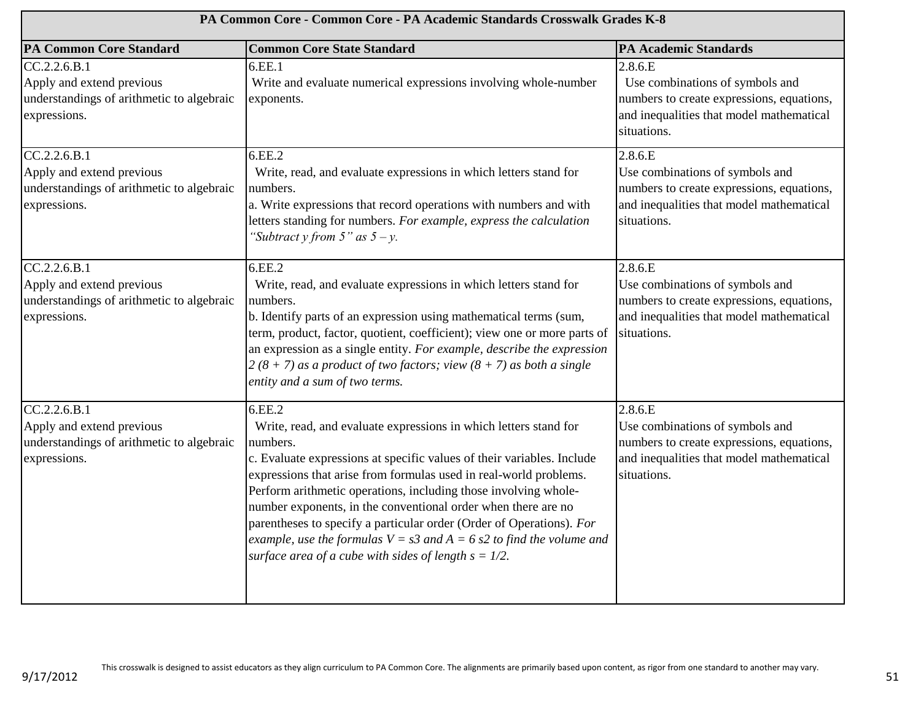| PA Common Core - Common Core - PA Academic Standards Crosswalk Grades K-8                              |                                                                                                                                                                                                                                                                                                                                                                                                                                                                                                                                                                                          |                                                                                                                                                    |
|--------------------------------------------------------------------------------------------------------|------------------------------------------------------------------------------------------------------------------------------------------------------------------------------------------------------------------------------------------------------------------------------------------------------------------------------------------------------------------------------------------------------------------------------------------------------------------------------------------------------------------------------------------------------------------------------------------|----------------------------------------------------------------------------------------------------------------------------------------------------|
| <b>PA Common Core Standard</b>                                                                         | <b>Common Core State Standard</b>                                                                                                                                                                                                                                                                                                                                                                                                                                                                                                                                                        | <b>PA Academic Standards</b>                                                                                                                       |
| CC.2.2.6.B.1<br>Apply and extend previous<br>understandings of arithmetic to algebraic<br>expressions. | 6.EE.1<br>Write and evaluate numerical expressions involving whole-number<br>exponents.                                                                                                                                                                                                                                                                                                                                                                                                                                                                                                  | 2.8.6.E<br>Use combinations of symbols and<br>numbers to create expressions, equations,<br>and inequalities that model mathematical<br>situations. |
| CC.2.2.6.B.1<br>Apply and extend previous<br>understandings of arithmetic to algebraic<br>expressions. | 6.EE.2<br>Write, read, and evaluate expressions in which letters stand for<br>numbers.<br>a. Write expressions that record operations with numbers and with<br>letters standing for numbers. For example, express the calculation<br>"Subtract y from $5$ " as $5 - y$ .                                                                                                                                                                                                                                                                                                                 | 2.8.6.E<br>Use combinations of symbols and<br>numbers to create expressions, equations,<br>and inequalities that model mathematical<br>situations. |
| CC.2.2.6.B.1<br>Apply and extend previous<br>understandings of arithmetic to algebraic<br>expressions. | 6.EE.2<br>Write, read, and evaluate expressions in which letters stand for<br>numbers.<br>b. Identify parts of an expression using mathematical terms (sum,<br>term, product, factor, quotient, coefficient); view one or more parts of<br>an expression as a single entity. For example, describe the expression<br>$2(8 + 7)$ as a product of two factors; view $(8 + 7)$ as both a single<br>entity and a sum of two terms.                                                                                                                                                           | 2.8.6.E<br>Use combinations of symbols and<br>numbers to create expressions, equations,<br>and inequalities that model mathematical<br>situations. |
| CC.2.2.6.B.1<br>Apply and extend previous<br>understandings of arithmetic to algebraic<br>expressions. | 6.EE.2<br>Write, read, and evaluate expressions in which letters stand for<br>numbers.<br>c. Evaluate expressions at specific values of their variables. Include<br>expressions that arise from formulas used in real-world problems.<br>Perform arithmetic operations, including those involving whole-<br>number exponents, in the conventional order when there are no<br>parentheses to specify a particular order (Order of Operations). For<br>example, use the formulas $V = s3$ and $A = 6$ s2 to find the volume and<br>surface area of a cube with sides of length $s = 1/2$ . | 2.8.6.E<br>Use combinations of symbols and<br>numbers to create expressions, equations,<br>and inequalities that model mathematical<br>situations. |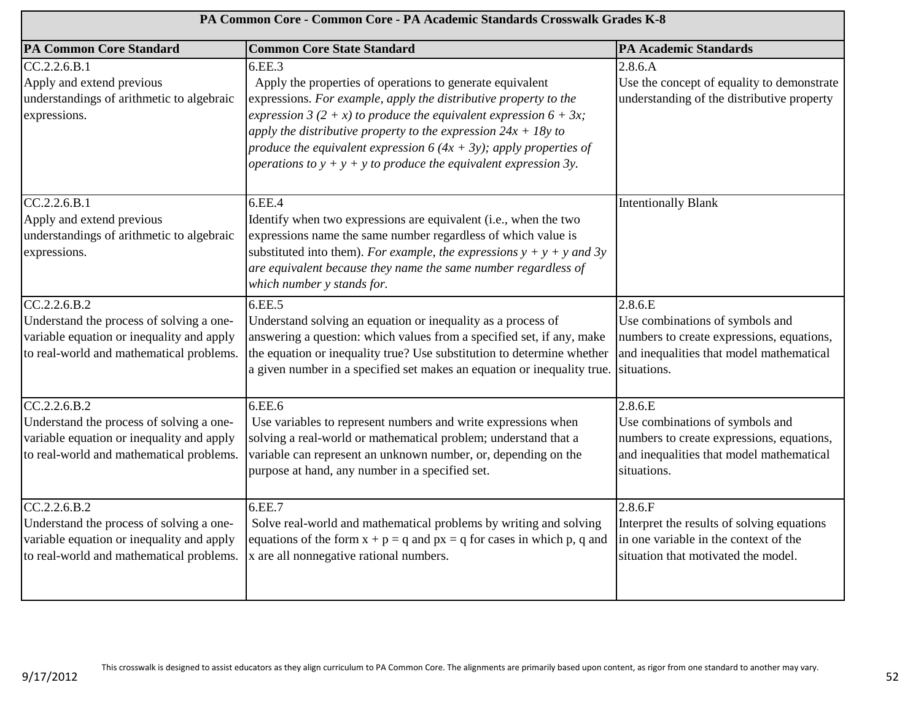| PA Common Core - Common Core - PA Academic Standards Crosswalk Grades K-8                                                                         |                                                                                                                                                                                                                                                                                                                                                                                                                                   |                                                                                                                                                    |
|---------------------------------------------------------------------------------------------------------------------------------------------------|-----------------------------------------------------------------------------------------------------------------------------------------------------------------------------------------------------------------------------------------------------------------------------------------------------------------------------------------------------------------------------------------------------------------------------------|----------------------------------------------------------------------------------------------------------------------------------------------------|
| <b>PA Common Core Standard</b>                                                                                                                    | <b>Common Core State Standard</b>                                                                                                                                                                                                                                                                                                                                                                                                 | <b>PA Academic Standards</b>                                                                                                                       |
| CC.2.2.6.B.1<br>Apply and extend previous<br>understandings of arithmetic to algebraic<br>expressions.                                            | 6.EE.3<br>Apply the properties of operations to generate equivalent<br>expressions. For example, apply the distributive property to the<br>expression 3 (2 + x) to produce the equivalent expression $6 + 3x$ ;<br>apply the distributive property to the expression $24x + 18y$ to<br>produce the equivalent expression $6(4x + 3y)$ ; apply properties of<br>operations to $y + y + y$ to produce the equivalent expression 3y. | 2.8.6.A<br>Use the concept of equality to demonstrate<br>understanding of the distributive property                                                |
| CC.2.2.6.B.1<br>Apply and extend previous<br>understandings of arithmetic to algebraic<br>expressions.                                            | 6.EE.4<br>Identify when two expressions are equivalent (i.e., when the two<br>expressions name the same number regardless of which value is<br>substituted into them). For example, the expressions $y + y + y$ and 3y<br>are equivalent because they name the same number regardless of<br>which number y stands for.                                                                                                            | <b>Intentionally Blank</b>                                                                                                                         |
| CC.2.2.6.B.2<br>Understand the process of solving a one-<br>variable equation or inequality and apply<br>to real-world and mathematical problems. | 6.EE.5<br>Understand solving an equation or inequality as a process of<br>answering a question: which values from a specified set, if any, make<br>the equation or inequality true? Use substitution to determine whether<br>a given number in a specified set makes an equation or inequality true.                                                                                                                              | 2.8.6.E<br>Use combinations of symbols and<br>numbers to create expressions, equations,<br>and inequalities that model mathematical<br>situations. |
| CC.2.2.6.B.2<br>Understand the process of solving a one-<br>variable equation or inequality and apply<br>to real-world and mathematical problems. | 6.EE.6<br>Use variables to represent numbers and write expressions when<br>solving a real-world or mathematical problem; understand that a<br>variable can represent an unknown number, or, depending on the<br>purpose at hand, any number in a specified set.                                                                                                                                                                   | 2.8.6.E<br>Use combinations of symbols and<br>numbers to create expressions, equations,<br>and inequalities that model mathematical<br>situations. |
| CC.2.2.6.B.2<br>Understand the process of solving a one-<br>variable equation or inequality and apply<br>to real-world and mathematical problems. | 6.EE.7<br>Solve real-world and mathematical problems by writing and solving<br>equations of the form $x + p = q$ and $px = q$ for cases in which p, q and<br>x are all nonnegative rational numbers.                                                                                                                                                                                                                              | 2.8.6.F<br>Interpret the results of solving equations<br>in one variable in the context of the<br>situation that motivated the model.              |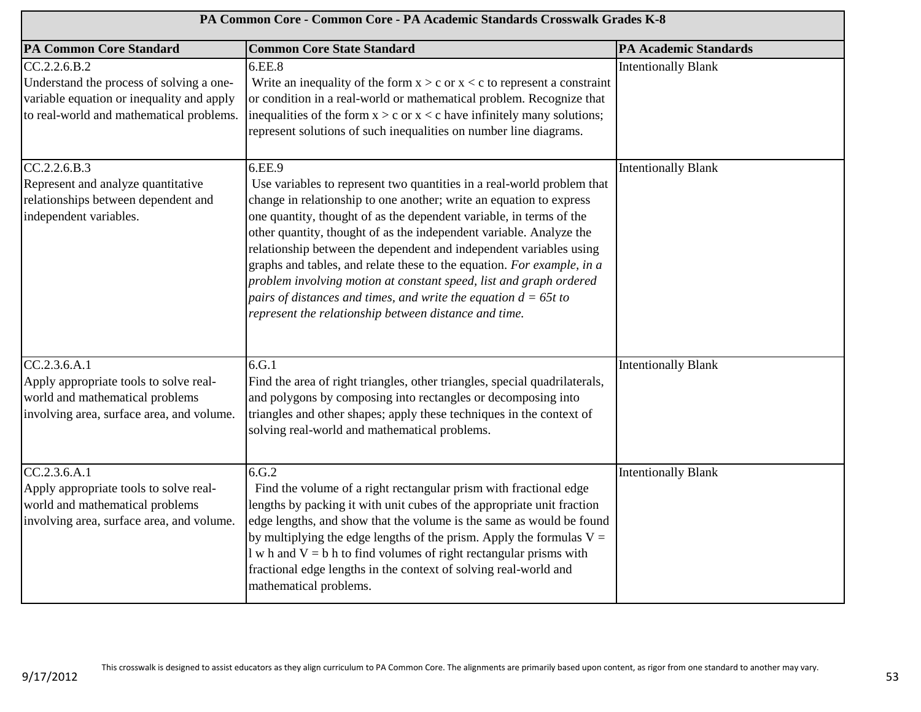| PA Common Core - Common Core - PA Academic Standards Crosswalk Grades K-8                                                                         |                                                                                                                                                                                                                                                                                                                                                                                                                                                                                                                                                                                                                                                           |                              |
|---------------------------------------------------------------------------------------------------------------------------------------------------|-----------------------------------------------------------------------------------------------------------------------------------------------------------------------------------------------------------------------------------------------------------------------------------------------------------------------------------------------------------------------------------------------------------------------------------------------------------------------------------------------------------------------------------------------------------------------------------------------------------------------------------------------------------|------------------------------|
| <b>PA Common Core Standard</b>                                                                                                                    | <b>Common Core State Standard</b>                                                                                                                                                                                                                                                                                                                                                                                                                                                                                                                                                                                                                         | <b>PA Academic Standards</b> |
| CC.2.2.6.B.2<br>Understand the process of solving a one-<br>variable equation or inequality and apply<br>to real-world and mathematical problems. | 6.EE.8<br>Write an inequality of the form $x > c$ or $x < c$ to represent a constraint<br>or condition in a real-world or mathematical problem. Recognize that<br>inequalities of the form $x > c$ or $x < c$ have infinitely many solutions;<br>represent solutions of such inequalities on number line diagrams.                                                                                                                                                                                                                                                                                                                                        | <b>Intentionally Blank</b>   |
| CC.2.2.6.B.3<br>Represent and analyze quantitative<br>relationships between dependent and<br>independent variables.                               | 6.EE.9<br>Use variables to represent two quantities in a real-world problem that<br>change in relationship to one another; write an equation to express<br>one quantity, thought of as the dependent variable, in terms of the<br>other quantity, thought of as the independent variable. Analyze the<br>relationship between the dependent and independent variables using<br>graphs and tables, and relate these to the equation. For example, in a<br>problem involving motion at constant speed, list and graph ordered<br>pairs of distances and times, and write the equation $d = 65t$ to<br>represent the relationship between distance and time. | <b>Intentionally Blank</b>   |
| CC.2.3.6. A.1<br>Apply appropriate tools to solve real-<br>world and mathematical problems<br>involving area, surface area, and volume.           | 6.G.1<br>Find the area of right triangles, other triangles, special quadrilaterals,<br>and polygons by composing into rectangles or decomposing into<br>triangles and other shapes; apply these techniques in the context of<br>solving real-world and mathematical problems.                                                                                                                                                                                                                                                                                                                                                                             | Intentionally Blank          |
| CC.2.3.6.A.1<br>Apply appropriate tools to solve real-<br>world and mathematical problems<br>involving area, surface area, and volume.            | 6.G.2<br>Find the volume of a right rectangular prism with fractional edge<br>lengths by packing it with unit cubes of the appropriate unit fraction<br>edge lengths, and show that the volume is the same as would be found<br>by multiplying the edge lengths of the prism. Apply the formulas $V =$<br>$l$ w h and $V = b$ h to find volumes of right rectangular prisms with<br>fractional edge lengths in the context of solving real-world and<br>mathematical problems.                                                                                                                                                                            | <b>Intentionally Blank</b>   |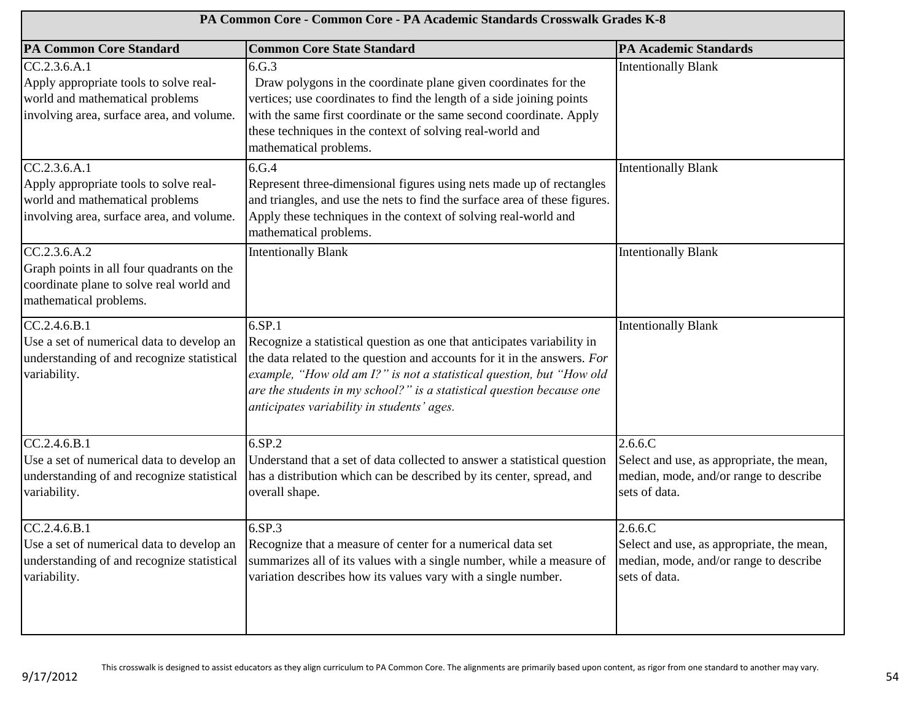| PA Common Core - Common Core - PA Academic Standards Crosswalk Grades K-8                                                              |                                                                                                                                                                                                                                                                                                                                                              |                                                                                                                    |
|----------------------------------------------------------------------------------------------------------------------------------------|--------------------------------------------------------------------------------------------------------------------------------------------------------------------------------------------------------------------------------------------------------------------------------------------------------------------------------------------------------------|--------------------------------------------------------------------------------------------------------------------|
| <b>PA Common Core Standard</b>                                                                                                         | <b>Common Core State Standard</b>                                                                                                                                                                                                                                                                                                                            | <b>PA Academic Standards</b>                                                                                       |
| CC.2.3.6.A.1<br>Apply appropriate tools to solve real-<br>world and mathematical problems<br>involving area, surface area, and volume. | 6.G.3<br>Draw polygons in the coordinate plane given coordinates for the<br>vertices; use coordinates to find the length of a side joining points<br>with the same first coordinate or the same second coordinate. Apply<br>these techniques in the context of solving real-world and<br>mathematical problems.                                              | <b>Intentionally Blank</b>                                                                                         |
| CC.2.3.6.A.1<br>Apply appropriate tools to solve real-<br>world and mathematical problems<br>involving area, surface area, and volume. | 6.G.4<br>Represent three-dimensional figures using nets made up of rectangles<br>and triangles, and use the nets to find the surface area of these figures.<br>Apply these techniques in the context of solving real-world and<br>mathematical problems.                                                                                                     | <b>Intentionally Blank</b>                                                                                         |
| CC.2.3.6.A.2<br>Graph points in all four quadrants on the<br>coordinate plane to solve real world and<br>mathematical problems.        | <b>Intentionally Blank</b>                                                                                                                                                                                                                                                                                                                                   | <b>Intentionally Blank</b>                                                                                         |
| CC.2.4.6.B.1<br>Use a set of numerical data to develop an<br>understanding of and recognize statistical<br>variability.                | 6.SP.1<br>Recognize a statistical question as one that anticipates variability in<br>the data related to the question and accounts for it in the answers. For<br>example, "How old am I?" is not a statistical question, but "How old<br>are the students in my school?" is a statistical question because one<br>anticipates variability in students' ages. | <b>Intentionally Blank</b>                                                                                         |
| CC.2.4.6.B.1<br>Use a set of numerical data to develop an<br>understanding of and recognize statistical<br>variability.                | 6.SP.2<br>Understand that a set of data collected to answer a statistical question<br>has a distribution which can be described by its center, spread, and<br>overall shape.                                                                                                                                                                                 | $2.6.6$ .C<br>Select and use, as appropriate, the mean,<br>median, mode, and/or range to describe<br>sets of data. |
| CC.2.4.6.B.1<br>Use a set of numerical data to develop an<br>understanding of and recognize statistical<br>variability.                | 6.SP.3<br>Recognize that a measure of center for a numerical data set<br>summarizes all of its values with a single number, while a measure of<br>variation describes how its values vary with a single number.                                                                                                                                              | $2.6.6$ .C<br>Select and use, as appropriate, the mean,<br>median, mode, and/or range to describe<br>sets of data. |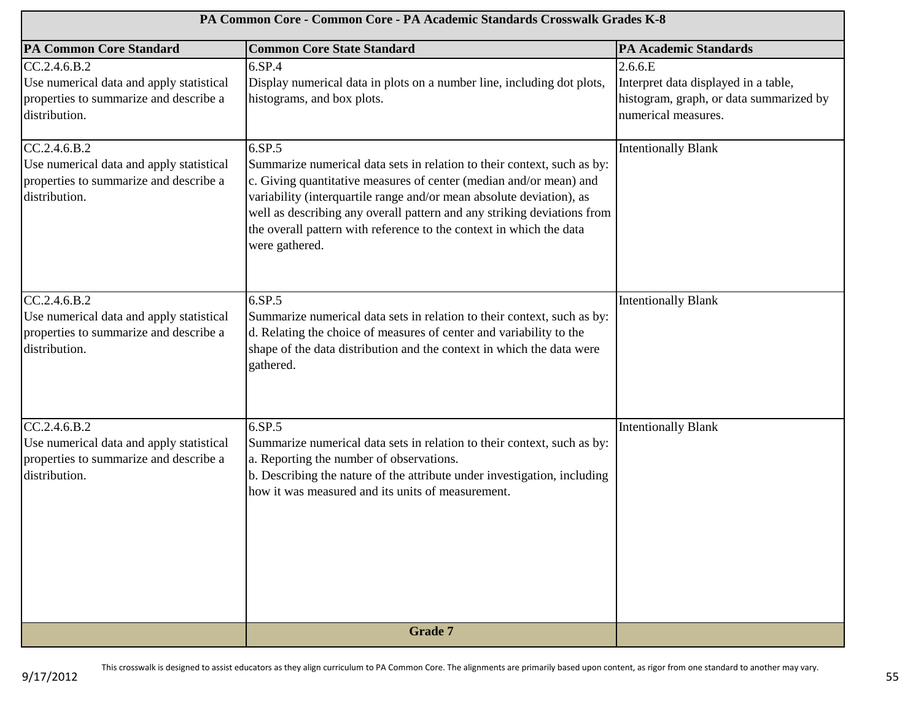| PA Common Core - Common Core - PA Academic Standards Crosswalk Grades K-8                                           |                                                                                                                                                                                                                                                                                                                                                                                                     |                                                                                                                   |
|---------------------------------------------------------------------------------------------------------------------|-----------------------------------------------------------------------------------------------------------------------------------------------------------------------------------------------------------------------------------------------------------------------------------------------------------------------------------------------------------------------------------------------------|-------------------------------------------------------------------------------------------------------------------|
| <b>PA Common Core Standard</b>                                                                                      | <b>Common Core State Standard</b>                                                                                                                                                                                                                                                                                                                                                                   | <b>PA Academic Standards</b>                                                                                      |
| CC.2.4.6.B.2<br>Use numerical data and apply statistical<br>properties to summarize and describe a<br>distribution. | 6.SP.4<br>Display numerical data in plots on a number line, including dot plots,<br>histograms, and box plots.                                                                                                                                                                                                                                                                                      | 2.6.6.E<br>Interpret data displayed in a table,<br>histogram, graph, or data summarized by<br>numerical measures. |
| CC.2.4.6.B.2<br>Use numerical data and apply statistical<br>properties to summarize and describe a<br>distribution. | 6.SP.5<br>Summarize numerical data sets in relation to their context, such as by:<br>c. Giving quantitative measures of center (median and/or mean) and<br>variability (interquartile range and/or mean absolute deviation), as<br>well as describing any overall pattern and any striking deviations from<br>the overall pattern with reference to the context in which the data<br>were gathered. | <b>Intentionally Blank</b>                                                                                        |
| CC.2.4.6.B.2<br>Use numerical data and apply statistical<br>properties to summarize and describe a<br>distribution. | 6.SP.5<br>Summarize numerical data sets in relation to their context, such as by:<br>d. Relating the choice of measures of center and variability to the<br>shape of the data distribution and the context in which the data were<br>gathered.                                                                                                                                                      | <b>Intentionally Blank</b>                                                                                        |
| CC.2.4.6.B.2<br>Use numerical data and apply statistical<br>properties to summarize and describe a<br>distribution. | 6.SP.5<br>Summarize numerical data sets in relation to their context, such as by:<br>a. Reporting the number of observations.<br>b. Describing the nature of the attribute under investigation, including<br>how it was measured and its units of measurement.                                                                                                                                      | <b>Intentionally Blank</b>                                                                                        |
|                                                                                                                     | <b>Grade 7</b>                                                                                                                                                                                                                                                                                                                                                                                      |                                                                                                                   |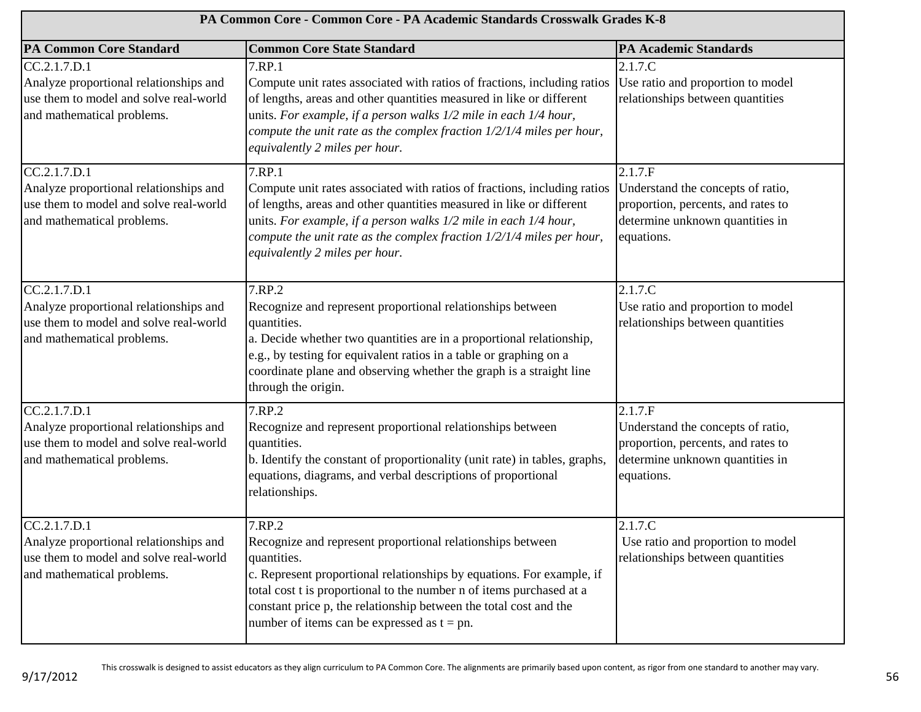| PA Common Core - Common Core - PA Academic Standards Crosswalk Grades K-8                                                      |                                                                                                                                                                                                                                                                                                                                                             |                                                                                                                                     |
|--------------------------------------------------------------------------------------------------------------------------------|-------------------------------------------------------------------------------------------------------------------------------------------------------------------------------------------------------------------------------------------------------------------------------------------------------------------------------------------------------------|-------------------------------------------------------------------------------------------------------------------------------------|
| <b>PA Common Core Standard</b>                                                                                                 | <b>Common Core State Standard</b>                                                                                                                                                                                                                                                                                                                           | <b>PA Academic Standards</b>                                                                                                        |
| CC.2.1.7.D.1<br>Analyze proportional relationships and<br>use them to model and solve real-world<br>and mathematical problems. | 7.RP.1<br>Compute unit rates associated with ratios of fractions, including ratios<br>of lengths, areas and other quantities measured in like or different<br>units. For example, if a person walks 1/2 mile in each 1/4 hour,<br>compute the unit rate as the complex fraction $1/2/1/4$ miles per hour,<br>equivalently 2 miles per hour.                 | 2.1.7.C<br>Use ratio and proportion to model<br>relationships between quantities                                                    |
| CC.2.1.7.D.1<br>Analyze proportional relationships and<br>use them to model and solve real-world<br>and mathematical problems. | 7.RP.1<br>Compute unit rates associated with ratios of fractions, including ratios<br>of lengths, areas and other quantities measured in like or different<br>units. For example, if a person walks 1/2 mile in each 1/4 hour,<br>compute the unit rate as the complex fraction 1/2/1/4 miles per hour,<br>equivalently 2 miles per hour.                   | 2.1.7.F<br>Understand the concepts of ratio,<br>proportion, percents, and rates to<br>determine unknown quantities in<br>equations. |
| CC.2.1.7.D.1<br>Analyze proportional relationships and<br>use them to model and solve real-world<br>and mathematical problems. | 7.RP.2<br>Recognize and represent proportional relationships between<br>quantities.<br>a. Decide whether two quantities are in a proportional relationship,<br>e.g., by testing for equivalent ratios in a table or graphing on a<br>coordinate plane and observing whether the graph is a straight line<br>through the origin.                             | 2.1.7.C<br>Use ratio and proportion to model<br>relationships between quantities                                                    |
| CC.2.1.7.D.1<br>Analyze proportional relationships and<br>use them to model and solve real-world<br>and mathematical problems. | 7.RP.2<br>Recognize and represent proportional relationships between<br>quantities.<br>b. Identify the constant of proportionality (unit rate) in tables, graphs,<br>equations, diagrams, and verbal descriptions of proportional<br>relationships.                                                                                                         | 2.1.7.F<br>Understand the concepts of ratio,<br>proportion, percents, and rates to<br>determine unknown quantities in<br>equations. |
| CC.2.1.7.D.1<br>Analyze proportional relationships and<br>use them to model and solve real-world<br>and mathematical problems. | 7.RP.2<br>Recognize and represent proportional relationships between<br>quantities.<br>c. Represent proportional relationships by equations. For example, if<br>total cost t is proportional to the number n of items purchased at a<br>constant price p, the relationship between the total cost and the<br>number of items can be expressed as $t = pn$ . | 2.1.7.C<br>Use ratio and proportion to model<br>relationships between quantities                                                    |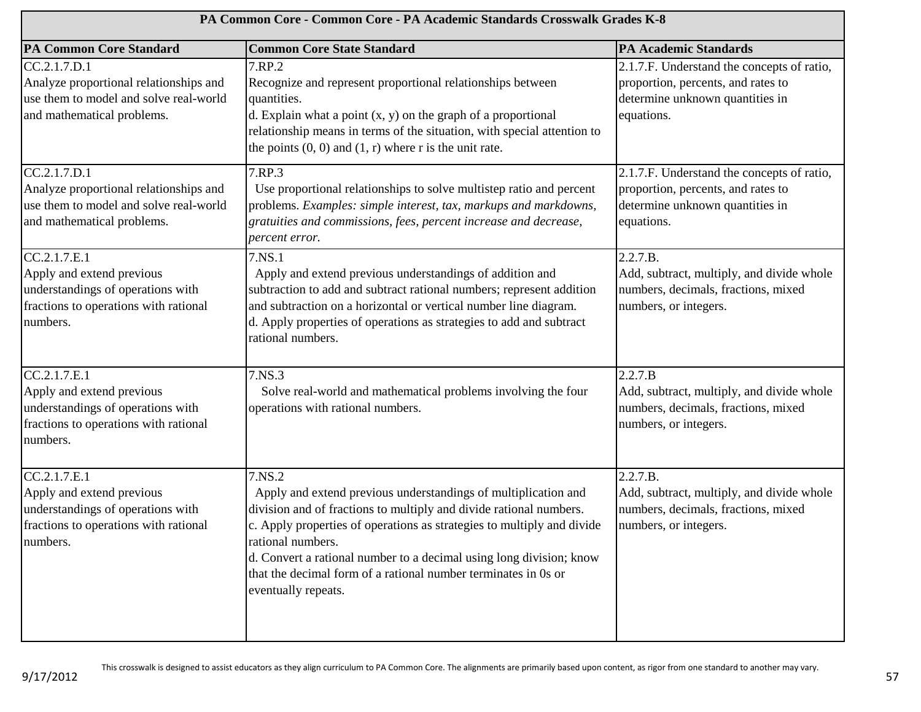| PA Common Core - Common Core - PA Academic Standards Crosswalk Grades K-8                                                           |                                                                                                                                                                                                                                                                                                                                                                                                               |                                                                                                                                   |
|-------------------------------------------------------------------------------------------------------------------------------------|---------------------------------------------------------------------------------------------------------------------------------------------------------------------------------------------------------------------------------------------------------------------------------------------------------------------------------------------------------------------------------------------------------------|-----------------------------------------------------------------------------------------------------------------------------------|
| <b>PA Common Core Standard</b>                                                                                                      | <b>Common Core State Standard</b>                                                                                                                                                                                                                                                                                                                                                                             | <b>PA Academic Standards</b>                                                                                                      |
| CC.2.1.7.D.1<br>Analyze proportional relationships and<br>use them to model and solve real-world<br>and mathematical problems.      | 7.RP.2<br>Recognize and represent proportional relationships between<br>quantities.<br>d. Explain what a point $(x, y)$ on the graph of a proportional<br>relationship means in terms of the situation, with special attention to<br>the points $(0, 0)$ and $(1, r)$ where r is the unit rate.                                                                                                               | 2.1.7.F. Understand the concepts of ratio,<br>proportion, percents, and rates to<br>determine unknown quantities in<br>equations. |
| CC.2.1.7.D.1<br>Analyze proportional relationships and<br>use them to model and solve real-world<br>and mathematical problems.      | 7.RP.3<br>Use proportional relationships to solve multistep ratio and percent<br>problems. Examples: simple interest, tax, markups and markdowns,<br>gratuities and commissions, fees, percent increase and decrease,<br>percent error.                                                                                                                                                                       | 2.1.7.F. Understand the concepts of ratio,<br>proportion, percents, and rates to<br>determine unknown quantities in<br>equations. |
| CC.2.1.7.E.1<br>Apply and extend previous<br>understandings of operations with<br>fractions to operations with rational<br>numbers. | 7.NS.1<br>Apply and extend previous understandings of addition and<br>subtraction to add and subtract rational numbers; represent addition<br>and subtraction on a horizontal or vertical number line diagram.<br>d. Apply properties of operations as strategies to add and subtract<br>rational numbers.                                                                                                    | 2.2.7.B.<br>Add, subtract, multiply, and divide whole<br>numbers, decimals, fractions, mixed<br>numbers, or integers.             |
| CC.2.1.7.E.1<br>Apply and extend previous<br>understandings of operations with<br>fractions to operations with rational<br>numbers. | 7.NS.3<br>Solve real-world and mathematical problems involving the four<br>operations with rational numbers.                                                                                                                                                                                                                                                                                                  | 2.2.7.B<br>Add, subtract, multiply, and divide whole<br>numbers, decimals, fractions, mixed<br>numbers, or integers.              |
| CC.2.1.7.E.1<br>Apply and extend previous<br>understandings of operations with<br>fractions to operations with rational<br>numbers. | 7.NS.2<br>Apply and extend previous understandings of multiplication and<br>division and of fractions to multiply and divide rational numbers.<br>c. Apply properties of operations as strategies to multiply and divide<br>rational numbers.<br>d. Convert a rational number to a decimal using long division; know<br>that the decimal form of a rational number terminates in 0s or<br>eventually repeats. | 2.2.7.B.<br>Add, subtract, multiply, and divide whole<br>numbers, decimals, fractions, mixed<br>numbers, or integers.             |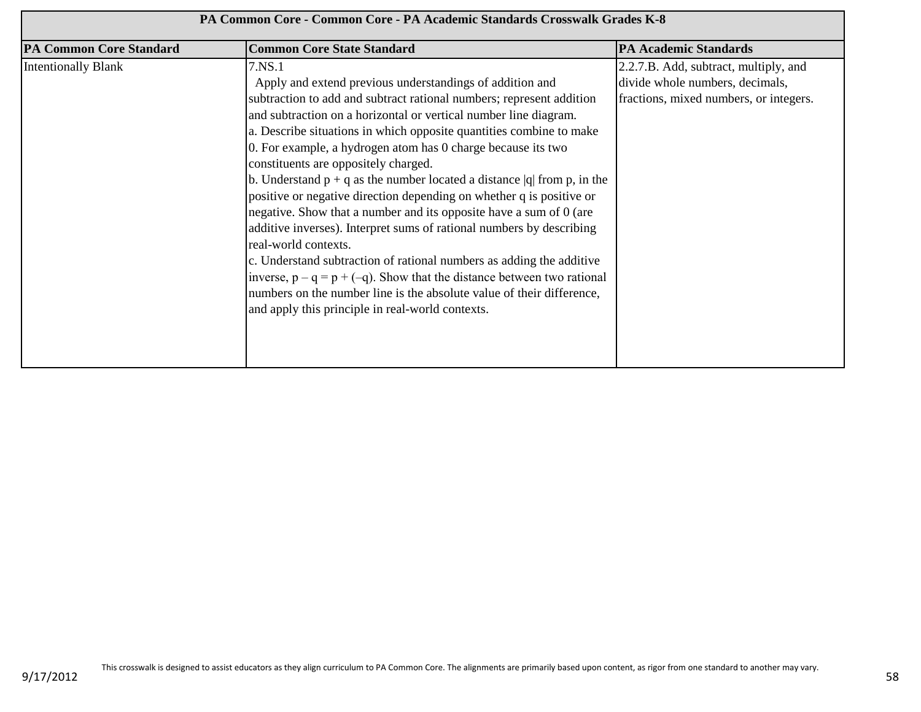| PA Common Core - Common Core - PA Academic Standards Crosswalk Grades K-8 |                                                                                                                                                                                                                                                                                                                                                                                                                                                                                                                                                                                                                                                                                                                                                                                                                                                                                                                                                                                                            |                                                                                                                    |
|---------------------------------------------------------------------------|------------------------------------------------------------------------------------------------------------------------------------------------------------------------------------------------------------------------------------------------------------------------------------------------------------------------------------------------------------------------------------------------------------------------------------------------------------------------------------------------------------------------------------------------------------------------------------------------------------------------------------------------------------------------------------------------------------------------------------------------------------------------------------------------------------------------------------------------------------------------------------------------------------------------------------------------------------------------------------------------------------|--------------------------------------------------------------------------------------------------------------------|
| <b>PA Common Core Standard</b>                                            | <b>Common Core State Standard</b>                                                                                                                                                                                                                                                                                                                                                                                                                                                                                                                                                                                                                                                                                                                                                                                                                                                                                                                                                                          | <b>PA Academic Standards</b>                                                                                       |
| <b>Intentionally Blank</b>                                                | 7.NS.1<br>Apply and extend previous understandings of addition and<br>subtraction to add and subtract rational numbers; represent addition<br>and subtraction on a horizontal or vertical number line diagram.<br>a. Describe situations in which opposite quantities combine to make<br>0. For example, a hydrogen atom has 0 charge because its two<br>constituents are oppositely charged.<br>b. Understand $p + q$ as the number located a distance  q  from p, in the<br>positive or negative direction depending on whether q is positive or<br>negative. Show that a number and its opposite have a sum of 0 (are<br>additive inverses). Interpret sums of rational numbers by describing<br>real-world contexts.<br>c. Understand subtraction of rational numbers as adding the additive<br>inverse, $p - q = p + (-q)$ . Show that the distance between two rational<br>numbers on the number line is the absolute value of their difference,<br>and apply this principle in real-world contexts. | 2.2.7.B. Add, subtract, multiply, and<br>divide whole numbers, decimals,<br>fractions, mixed numbers, or integers. |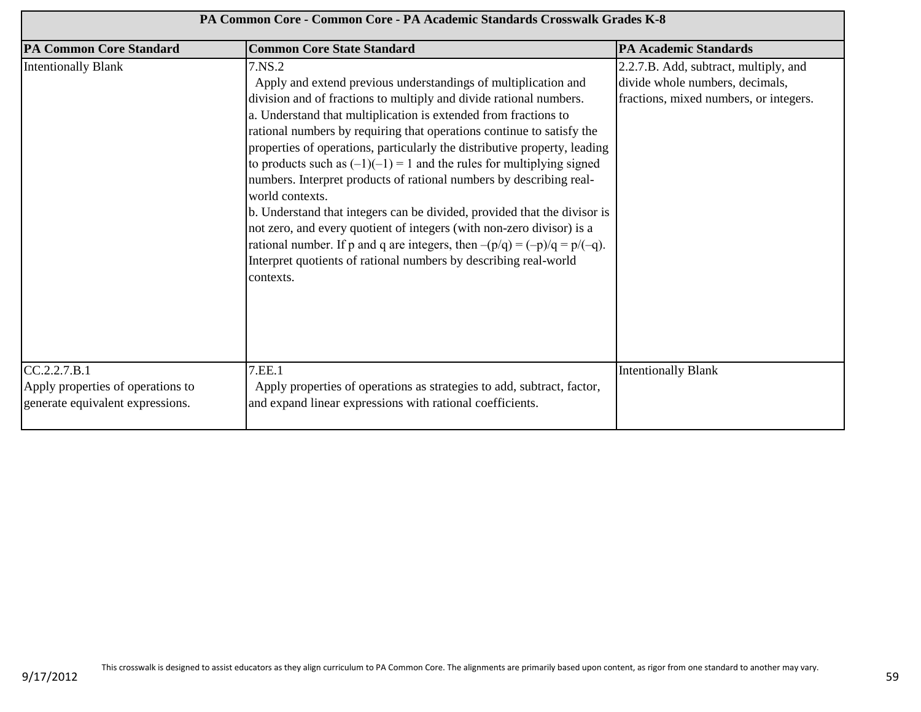| PA Common Core - Common Core - PA Academic Standards Crosswalk Grades K-8             |                                                                                                                                                                                                                                                                                                                                                                                                                                                                                                                                                                                                                                                                                                                                                                                                                                                                   |                                                                                                                    |
|---------------------------------------------------------------------------------------|-------------------------------------------------------------------------------------------------------------------------------------------------------------------------------------------------------------------------------------------------------------------------------------------------------------------------------------------------------------------------------------------------------------------------------------------------------------------------------------------------------------------------------------------------------------------------------------------------------------------------------------------------------------------------------------------------------------------------------------------------------------------------------------------------------------------------------------------------------------------|--------------------------------------------------------------------------------------------------------------------|
| <b>PA Common Core Standard</b>                                                        | <b>Common Core State Standard</b>                                                                                                                                                                                                                                                                                                                                                                                                                                                                                                                                                                                                                                                                                                                                                                                                                                 | <b>PA Academic Standards</b>                                                                                       |
| <b>Intentionally Blank</b>                                                            | 7.NS.2<br>Apply and extend previous understandings of multiplication and<br>division and of fractions to multiply and divide rational numbers.<br>a. Understand that multiplication is extended from fractions to<br>rational numbers by requiring that operations continue to satisfy the<br>properties of operations, particularly the distributive property, leading<br>to products such as $(-1)(-1) = 1$ and the rules for multiplying signed<br>numbers. Interpret products of rational numbers by describing real-<br>world contexts.<br>b. Understand that integers can be divided, provided that the divisor is<br>not zero, and every quotient of integers (with non-zero divisor) is a<br>rational number. If p and q are integers, then $-(p/q) = (-p)/q = p/(-q)$ .<br>Interpret quotients of rational numbers by describing real-world<br>contexts. | 2.2.7.B. Add, subtract, multiply, and<br>divide whole numbers, decimals,<br>fractions, mixed numbers, or integers. |
| CC.2.2.7.B.1<br>Apply properties of operations to<br>generate equivalent expressions. | 7.EE.1<br>Apply properties of operations as strategies to add, subtract, factor,<br>and expand linear expressions with rational coefficients.                                                                                                                                                                                                                                                                                                                                                                                                                                                                                                                                                                                                                                                                                                                     | <b>Intentionally Blank</b>                                                                                         |

9/17/2012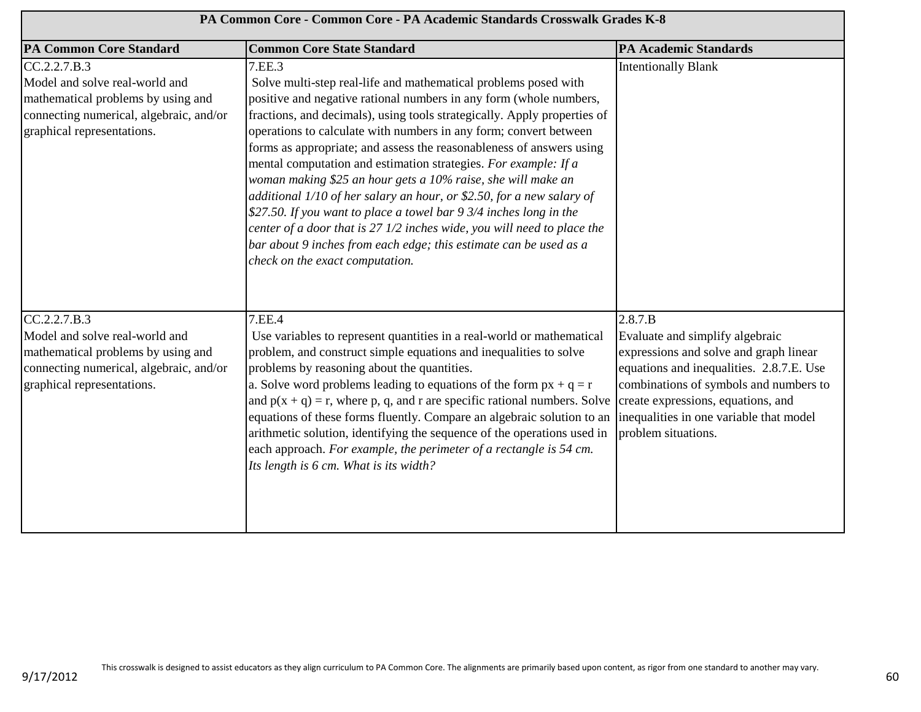| PA Common Core - Common Core - PA Academic Standards Crosswalk Grades K-8                                                                                     |                                                                                                                                                                                                                                                                                                                                                                                                                                                                                                                                                                                                                                                                                                                                                                                                                                               |                                                                                                                                                                                                                                                                                    |
|---------------------------------------------------------------------------------------------------------------------------------------------------------------|-----------------------------------------------------------------------------------------------------------------------------------------------------------------------------------------------------------------------------------------------------------------------------------------------------------------------------------------------------------------------------------------------------------------------------------------------------------------------------------------------------------------------------------------------------------------------------------------------------------------------------------------------------------------------------------------------------------------------------------------------------------------------------------------------------------------------------------------------|------------------------------------------------------------------------------------------------------------------------------------------------------------------------------------------------------------------------------------------------------------------------------------|
| <b>PA Common Core Standard</b>                                                                                                                                | <b>Common Core State Standard</b>                                                                                                                                                                                                                                                                                                                                                                                                                                                                                                                                                                                                                                                                                                                                                                                                             | <b>PA Academic Standards</b>                                                                                                                                                                                                                                                       |
| CC.2.2.7.B.3<br>Model and solve real-world and<br>mathematical problems by using and<br>connecting numerical, algebraic, and/or<br>graphical representations. | 7.EE.3<br>Solve multi-step real-life and mathematical problems posed with<br>positive and negative rational numbers in any form (whole numbers,<br>fractions, and decimals), using tools strategically. Apply properties of<br>operations to calculate with numbers in any form; convert between<br>forms as appropriate; and assess the reasonableness of answers using<br>mental computation and estimation strategies. For example: If a<br>woman making \$25 an hour gets a 10% raise, she will make an<br>additional 1/10 of her salary an hour, or \$2.50, for a new salary of<br>\$27.50. If you want to place a towel bar 9 3/4 inches long in the<br>center of a door that is 27 1/2 inches wide, you will need to place the<br>bar about 9 inches from each edge; this estimate can be used as a<br>check on the exact computation. | <b>Intentionally Blank</b>                                                                                                                                                                                                                                                         |
| CC.2.2.7.B.3<br>Model and solve real-world and<br>mathematical problems by using and<br>connecting numerical, algebraic, and/or<br>graphical representations. | 7.EE.4<br>Use variables to represent quantities in a real-world or mathematical<br>problem, and construct simple equations and inequalities to solve<br>problems by reasoning about the quantities.<br>a. Solve word problems leading to equations of the form $px + q = r$<br>and $p(x + q) = r$ , where p, q, and r are specific rational numbers. Solve<br>equations of these forms fluently. Compare an algebraic solution to an<br>arithmetic solution, identifying the sequence of the operations used in<br>each approach. For example, the perimeter of a rectangle is 54 cm.<br>Its length is 6 cm. What is its width?                                                                                                                                                                                                               | 2.8.7.B<br>Evaluate and simplify algebraic<br>expressions and solve and graph linear<br>equations and inequalities. 2.8.7.E. Use<br>combinations of symbols and numbers to<br>create expressions, equations, and<br>inequalities in one variable that model<br>problem situations. |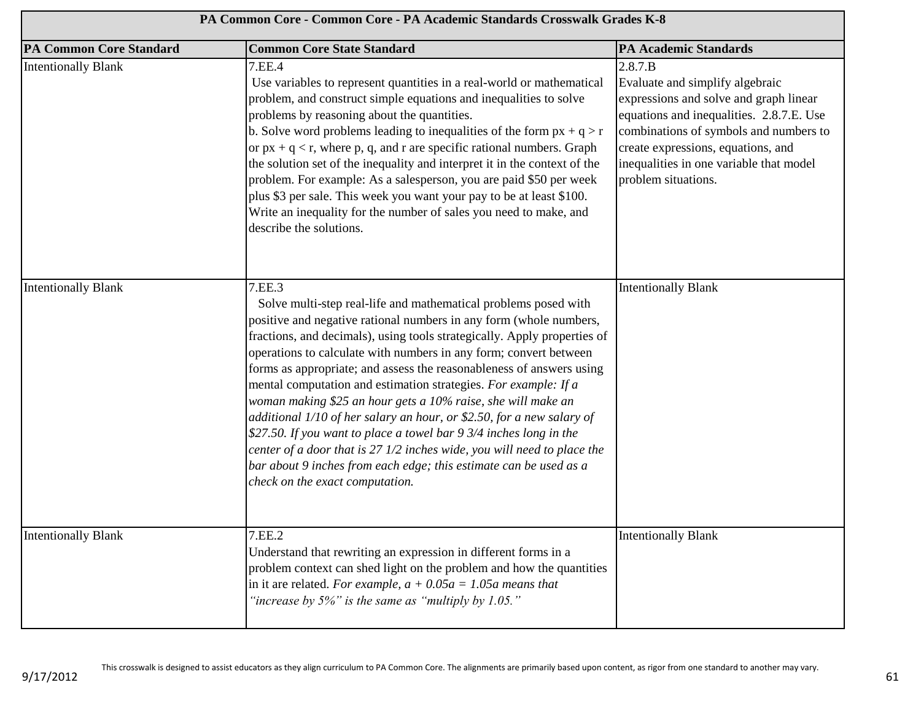| PA Common Core - Common Core - PA Academic Standards Crosswalk Grades K-8 |                                                                                                                                                                                                                                                                                                                                                                                                                                                                                                                                                                                                                                                                                                                                                                                                                                               |                                                                                                                                                                                                                                                                                    |
|---------------------------------------------------------------------------|-----------------------------------------------------------------------------------------------------------------------------------------------------------------------------------------------------------------------------------------------------------------------------------------------------------------------------------------------------------------------------------------------------------------------------------------------------------------------------------------------------------------------------------------------------------------------------------------------------------------------------------------------------------------------------------------------------------------------------------------------------------------------------------------------------------------------------------------------|------------------------------------------------------------------------------------------------------------------------------------------------------------------------------------------------------------------------------------------------------------------------------------|
| <b>PA Common Core Standard</b>                                            | <b>Common Core State Standard</b>                                                                                                                                                                                                                                                                                                                                                                                                                                                                                                                                                                                                                                                                                                                                                                                                             | <b>PA Academic Standards</b>                                                                                                                                                                                                                                                       |
| <b>Intentionally Blank</b>                                                | 7.EE.4<br>Use variables to represent quantities in a real-world or mathematical<br>problem, and construct simple equations and inequalities to solve<br>problems by reasoning about the quantities.<br>b. Solve word problems leading to inequalities of the form $px + q > r$<br>or $px + q < r$ , where p, q, and r are specific rational numbers. Graph<br>the solution set of the inequality and interpret it in the context of the<br>problem. For example: As a salesperson, you are paid \$50 per week<br>plus \$3 per sale. This week you want your pay to be at least \$100.<br>Write an inequality for the number of sales you need to make, and<br>describe the solutions.                                                                                                                                                         | 2.8.7.B<br>Evaluate and simplify algebraic<br>expressions and solve and graph linear<br>equations and inequalities. 2.8.7.E. Use<br>combinations of symbols and numbers to<br>create expressions, equations, and<br>inequalities in one variable that model<br>problem situations. |
| <b>Intentionally Blank</b>                                                | 7.EE.3<br>Solve multi-step real-life and mathematical problems posed with<br>positive and negative rational numbers in any form (whole numbers,<br>fractions, and decimals), using tools strategically. Apply properties of<br>operations to calculate with numbers in any form; convert between<br>forms as appropriate; and assess the reasonableness of answers using<br>mental computation and estimation strategies. For example: If a<br>woman making \$25 an hour gets a 10% raise, she will make an<br>additional 1/10 of her salary an hour, or \$2.50, for a new salary of<br>\$27.50. If you want to place a towel bar 9 3/4 inches long in the<br>center of a door that is 27 1/2 inches wide, you will need to place the<br>bar about 9 inches from each edge; this estimate can be used as a<br>check on the exact computation. | <b>Intentionally Blank</b>                                                                                                                                                                                                                                                         |
| <b>Intentionally Blank</b>                                                | 7.EE.2<br>Understand that rewriting an expression in different forms in a<br>problem context can shed light on the problem and how the quantities<br>in it are related. For example, $a + 0.05a = 1.05a$ means that<br>"increase by $5\%$ " is the same as "multiply by 1.05."                                                                                                                                                                                                                                                                                                                                                                                                                                                                                                                                                                | <b>Intentionally Blank</b>                                                                                                                                                                                                                                                         |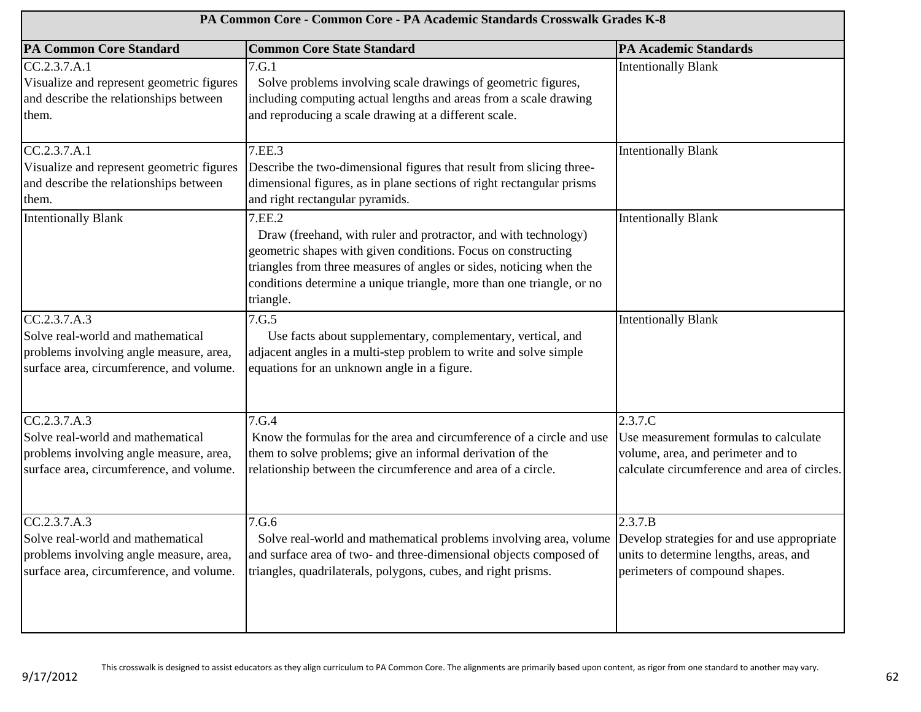| PA Common Core - Common Core - PA Academic Standards Crosswalk Grades K-8                                                                |                                                                                                                                                                                                                                                                                                         |                                                                                                                                        |
|------------------------------------------------------------------------------------------------------------------------------------------|---------------------------------------------------------------------------------------------------------------------------------------------------------------------------------------------------------------------------------------------------------------------------------------------------------|----------------------------------------------------------------------------------------------------------------------------------------|
| <b>PA Common Core Standard</b>                                                                                                           | <b>Common Core State Standard</b>                                                                                                                                                                                                                                                                       | <b>PA Academic Standards</b>                                                                                                           |
| CC.2.3.7.A.1<br>Visualize and represent geometric figures<br>and describe the relationships between<br>them.                             | 7.G.1<br>Solve problems involving scale drawings of geometric figures,<br>including computing actual lengths and areas from a scale drawing<br>and reproducing a scale drawing at a different scale.                                                                                                    | <b>Intentionally Blank</b>                                                                                                             |
| CC.2.3.7.A.1<br>Visualize and represent geometric figures<br>and describe the relationships between<br>them.                             | 7.EE.3<br>Describe the two-dimensional figures that result from slicing three-<br>dimensional figures, as in plane sections of right rectangular prisms<br>and right rectangular pyramids.                                                                                                              | <b>Intentionally Blank</b>                                                                                                             |
| <b>Intentionally Blank</b>                                                                                                               | 7.EE.2<br>Draw (freehand, with ruler and protractor, and with technology)<br>geometric shapes with given conditions. Focus on constructing<br>triangles from three measures of angles or sides, noticing when the<br>conditions determine a unique triangle, more than one triangle, or no<br>triangle. | <b>Intentionally Blank</b>                                                                                                             |
| CC.2.3.7.A.3<br>Solve real-world and mathematical<br>problems involving angle measure, area,<br>surface area, circumference, and volume. | 7.G.5<br>Use facts about supplementary, complementary, vertical, and<br>adjacent angles in a multi-step problem to write and solve simple<br>equations for an unknown angle in a figure.                                                                                                                | <b>Intentionally Blank</b>                                                                                                             |
| CC.2.3.7.A.3<br>Solve real-world and mathematical<br>problems involving angle measure, area,<br>surface area, circumference, and volume. | 7.G.4<br>Know the formulas for the area and circumference of a circle and use<br>them to solve problems; give an informal derivation of the<br>relationship between the circumference and area of a circle.                                                                                             | 2.3.7.C<br>Use measurement formulas to calculate<br>volume, area, and perimeter and to<br>calculate circumference and area of circles. |
| CC.2.3.7.A.3<br>Solve real-world and mathematical<br>problems involving angle measure, area,<br>surface area, circumference, and volume. | 7.G.6<br>Solve real-world and mathematical problems involving area, volume<br>and surface area of two- and three-dimensional objects composed of<br>triangles, quadrilaterals, polygons, cubes, and right prisms.                                                                                       | 2.3.7.B<br>Develop strategies for and use appropriate<br>units to determine lengths, areas, and<br>perimeters of compound shapes.      |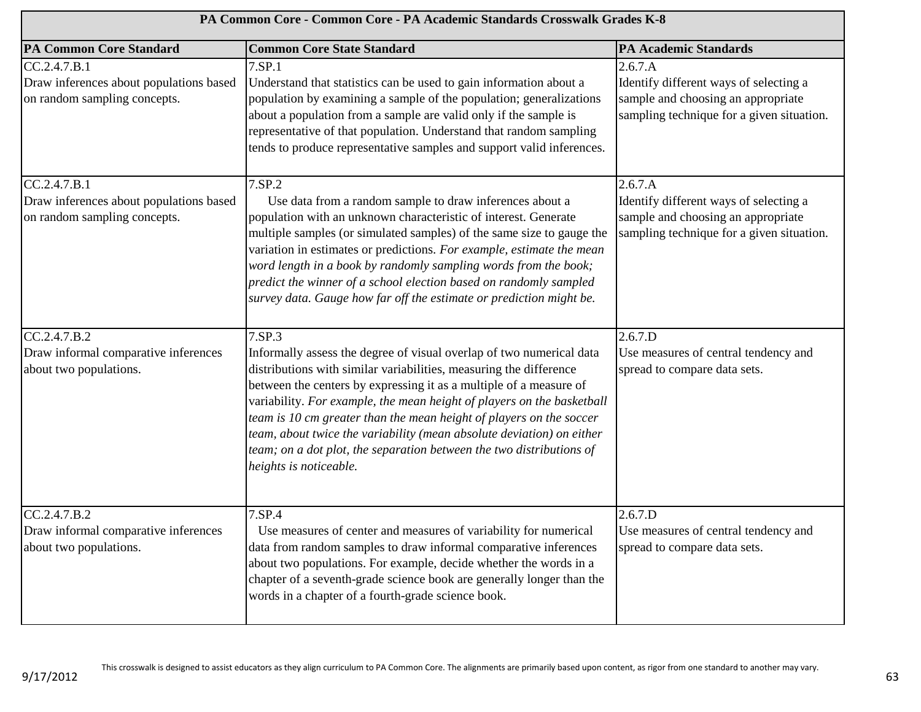| PA Common Core - Common Core - PA Academic Standards Crosswalk Grades K-8               |                                                                                                                                                                                                                                                                                                                                                                                                                                                                                                                                                        |                                                                                                                                      |
|-----------------------------------------------------------------------------------------|--------------------------------------------------------------------------------------------------------------------------------------------------------------------------------------------------------------------------------------------------------------------------------------------------------------------------------------------------------------------------------------------------------------------------------------------------------------------------------------------------------------------------------------------------------|--------------------------------------------------------------------------------------------------------------------------------------|
| <b>PA Common Core Standard</b>                                                          | <b>Common Core State Standard</b>                                                                                                                                                                                                                                                                                                                                                                                                                                                                                                                      | <b>PA Academic Standards</b>                                                                                                         |
| CC.2.4.7.B.1<br>Draw inferences about populations based<br>on random sampling concepts. | 7.SP.1<br>Understand that statistics can be used to gain information about a<br>population by examining a sample of the population; generalizations<br>about a population from a sample are valid only if the sample is<br>representative of that population. Understand that random sampling<br>tends to produce representative samples and support valid inferences.                                                                                                                                                                                 | 2.6.7.A<br>Identify different ways of selecting a<br>sample and choosing an appropriate<br>sampling technique for a given situation. |
| CC.2.4.7.B.1<br>Draw inferences about populations based<br>on random sampling concepts. | 7.SP.2<br>Use data from a random sample to draw inferences about a<br>population with an unknown characteristic of interest. Generate<br>multiple samples (or simulated samples) of the same size to gauge the<br>variation in estimates or predictions. For example, estimate the mean<br>word length in a book by randomly sampling words from the book;<br>predict the winner of a school election based on randomly sampled<br>survey data. Gauge how far off the estimate or prediction might be.                                                 | 2.6.7.A<br>Identify different ways of selecting a<br>sample and choosing an appropriate<br>sampling technique for a given situation. |
| CC.2.4.7.B.2<br>Draw informal comparative inferences<br>about two populations.          | 7.SP.3<br>Informally assess the degree of visual overlap of two numerical data<br>distributions with similar variabilities, measuring the difference<br>between the centers by expressing it as a multiple of a measure of<br>variability. For example, the mean height of players on the basketball<br>team is 10 cm greater than the mean height of players on the soccer<br>team, about twice the variability (mean absolute deviation) on either<br>team; on a dot plot, the separation between the two distributions of<br>heights is noticeable. | 2.6.7.D<br>Use measures of central tendency and<br>spread to compare data sets.                                                      |
| CC.2.4.7.B.2<br>Draw informal comparative inferences<br>about two populations.          | 7.SP.4<br>Use measures of center and measures of variability for numerical<br>data from random samples to draw informal comparative inferences<br>about two populations. For example, decide whether the words in a<br>chapter of a seventh-grade science book are generally longer than the<br>words in a chapter of a fourth-grade science book.                                                                                                                                                                                                     | 2.6.7.D<br>Use measures of central tendency and<br>spread to compare data sets.                                                      |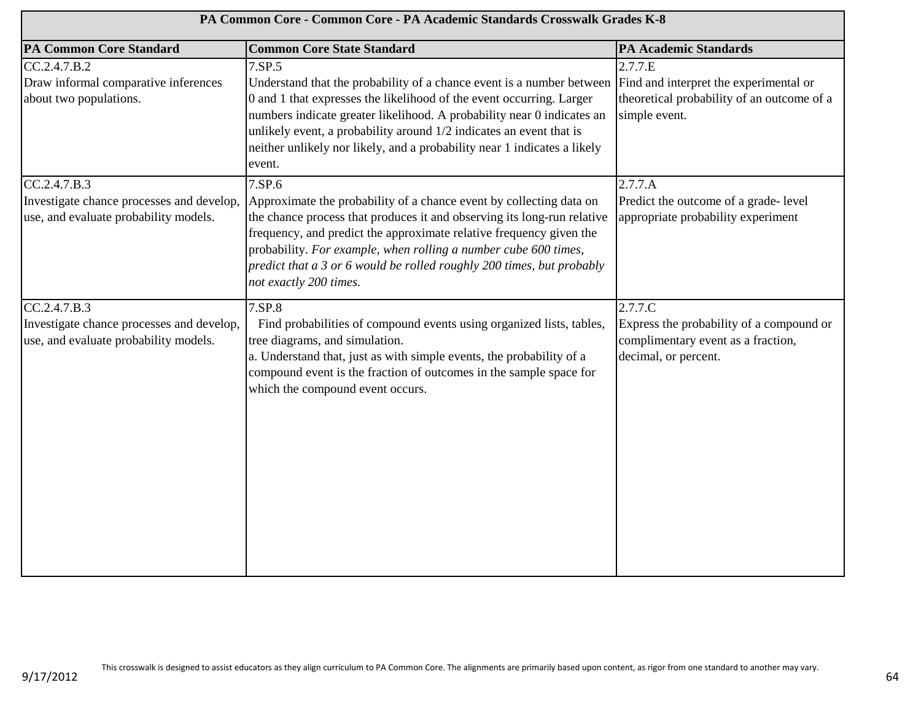| PA Common Core - Common Core - PA Academic Standards Crosswalk Grades K-8                          |                                                                                                                                                                                                                                                                                                                                                                                                       |                                                                                                                                |
|----------------------------------------------------------------------------------------------------|-------------------------------------------------------------------------------------------------------------------------------------------------------------------------------------------------------------------------------------------------------------------------------------------------------------------------------------------------------------------------------------------------------|--------------------------------------------------------------------------------------------------------------------------------|
| <b>PA Common Core Standard</b>                                                                     | <b>Common Core State Standard</b>                                                                                                                                                                                                                                                                                                                                                                     | <b>PA Academic Standards</b>                                                                                                   |
| CC.2.4.7.B.2<br>Draw informal comparative inferences<br>about two populations.                     | 7.SP.5<br>Understand that the probability of a chance event is a number between<br>0 and 1 that expresses the likelihood of the event occurring. Larger<br>numbers indicate greater likelihood. A probability near 0 indicates an<br>unlikely event, a probability around 1/2 indicates an event that is<br>neither unlikely nor likely, and a probability near 1 indicates a likely<br>event.        | 2.7.7.E<br>Find and interpret the experimental or<br>theoretical probability of an outcome of a<br>simple event.               |
| CC.2.4.7.B.3<br>Investigate chance processes and develop,<br>use, and evaluate probability models. | 7.SP.6<br>Approximate the probability of a chance event by collecting data on<br>the chance process that produces it and observing its long-run relative<br>frequency, and predict the approximate relative frequency given the<br>probability. For example, when rolling a number cube 600 times,<br>predict that a 3 or 6 would be rolled roughly 200 times, but probably<br>not exactly 200 times. | 2.7.7.A<br>Predict the outcome of a grade- level<br>appropriate probability experiment                                         |
| CC.2.4.7.B.3<br>Investigate chance processes and develop,<br>use, and evaluate probability models. | 7.SP.8<br>Find probabilities of compound events using organized lists, tables,<br>tree diagrams, and simulation.<br>a. Understand that, just as with simple events, the probability of a<br>compound event is the fraction of outcomes in the sample space for<br>which the compound event occurs.                                                                                                    | $2.7.7.\overline{C}$<br>Express the probability of a compound or<br>complimentary event as a fraction,<br>decimal, or percent. |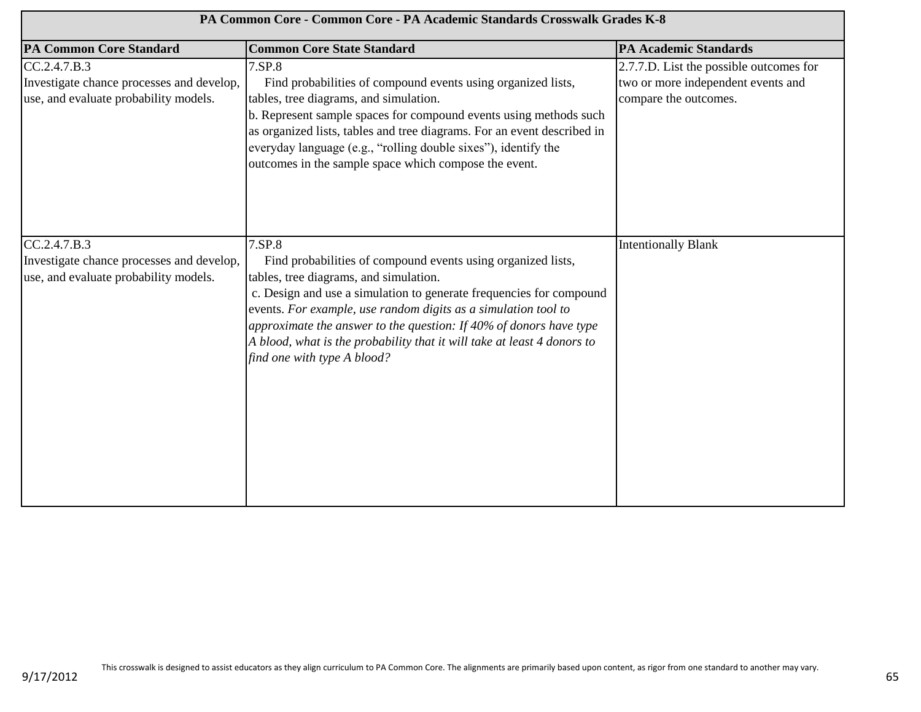| PA Common Core - Common Core - PA Academic Standards Crosswalk Grades K-8                          |                                                                                                                                                                                                                                                                                                                                                                                                                                              |                                                                                                        |
|----------------------------------------------------------------------------------------------------|----------------------------------------------------------------------------------------------------------------------------------------------------------------------------------------------------------------------------------------------------------------------------------------------------------------------------------------------------------------------------------------------------------------------------------------------|--------------------------------------------------------------------------------------------------------|
| <b>PA Common Core Standard</b>                                                                     | <b>Common Core State Standard</b>                                                                                                                                                                                                                                                                                                                                                                                                            | <b>PA Academic Standards</b>                                                                           |
| CC.2.4.7.B.3<br>Investigate chance processes and develop,<br>use, and evaluate probability models. | 7.SP.8<br>Find probabilities of compound events using organized lists,<br>tables, tree diagrams, and simulation.<br>b. Represent sample spaces for compound events using methods such<br>as organized lists, tables and tree diagrams. For an event described in<br>everyday language (e.g., "rolling double sixes"), identify the<br>outcomes in the sample space which compose the event.                                                  | 2.7.7.D. List the possible outcomes for<br>two or more independent events and<br>compare the outcomes. |
| CC.2.4.7.B.3<br>Investigate chance processes and develop,<br>use, and evaluate probability models. | 7.SP.8<br>Find probabilities of compound events using organized lists,<br>tables, tree diagrams, and simulation.<br>c. Design and use a simulation to generate frequencies for compound<br>events. For example, use random digits as a simulation tool to<br>approximate the answer to the question: If $40\%$ of donors have type<br>A blood, what is the probability that it will take at least 4 donors to<br>find one with type A blood? | <b>Intentionally Blank</b>                                                                             |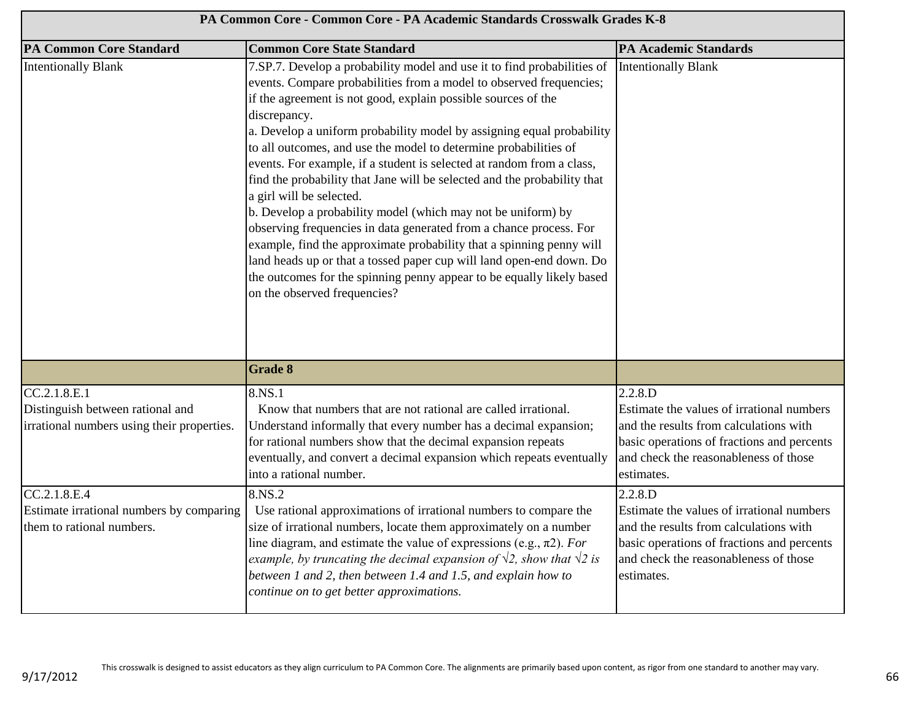| PA Common Core - Common Core - PA Academic Standards Crosswalk Grades K-8                      |                                                                                                                                                                                                                                                                                                                                                                                                                                                                                                                                                                                                                                                                                                                                                                                                                                                                                                                                                              |                                                                                                                                                                                                     |
|------------------------------------------------------------------------------------------------|--------------------------------------------------------------------------------------------------------------------------------------------------------------------------------------------------------------------------------------------------------------------------------------------------------------------------------------------------------------------------------------------------------------------------------------------------------------------------------------------------------------------------------------------------------------------------------------------------------------------------------------------------------------------------------------------------------------------------------------------------------------------------------------------------------------------------------------------------------------------------------------------------------------------------------------------------------------|-----------------------------------------------------------------------------------------------------------------------------------------------------------------------------------------------------|
| <b>PA Common Core Standard</b>                                                                 | <b>Common Core State Standard</b>                                                                                                                                                                                                                                                                                                                                                                                                                                                                                                                                                                                                                                                                                                                                                                                                                                                                                                                            | <b>PA Academic Standards</b>                                                                                                                                                                        |
| <b>Intentionally Blank</b>                                                                     | 7.SP.7. Develop a probability model and use it to find probabilities of<br>events. Compare probabilities from a model to observed frequencies;<br>if the agreement is not good, explain possible sources of the<br>discrepancy.<br>a. Develop a uniform probability model by assigning equal probability<br>to all outcomes, and use the model to determine probabilities of<br>events. For example, if a student is selected at random from a class,<br>find the probability that Jane will be selected and the probability that<br>a girl will be selected.<br>b. Develop a probability model (which may not be uniform) by<br>observing frequencies in data generated from a chance process. For<br>example, find the approximate probability that a spinning penny will<br>land heads up or that a tossed paper cup will land open-end down. Do<br>the outcomes for the spinning penny appear to be equally likely based<br>on the observed frequencies? | <b>Intentionally Blank</b>                                                                                                                                                                          |
|                                                                                                | <b>Grade 8</b>                                                                                                                                                                                                                                                                                                                                                                                                                                                                                                                                                                                                                                                                                                                                                                                                                                                                                                                                               |                                                                                                                                                                                                     |
| CC.2.1.8.E.1<br>Distinguish between rational and<br>irrational numbers using their properties. | 8.NS.1<br>Know that numbers that are not rational are called irrational.<br>Understand informally that every number has a decimal expansion;<br>for rational numbers show that the decimal expansion repeats<br>eventually, and convert a decimal expansion which repeats eventually<br>into a rational number.                                                                                                                                                                                                                                                                                                                                                                                                                                                                                                                                                                                                                                              | 2.2.8.D<br>Estimate the values of irrational numbers<br>and the results from calculations with<br>basic operations of fractions and percents<br>and check the reasonableness of those<br>estimates. |
| CC.2.1.8.E.4<br>Estimate irrational numbers by comparing<br>them to rational numbers.          | 8.NS.2<br>Use rational approximations of irrational numbers to compare the<br>size of irrational numbers, locate them approximately on a number<br>line diagram, and estimate the value of expressions (e.g., $\pi$ 2). For<br>example, by truncating the decimal expansion of $\sqrt{2}$ , show that $\sqrt{2}$ is<br>between 1 and 2, then between 1.4 and 1.5, and explain how to<br>continue on to get better approximations.                                                                                                                                                                                                                                                                                                                                                                                                                                                                                                                            | 2.2.8.D<br>Estimate the values of irrational numbers<br>and the results from calculations with<br>basic operations of fractions and percents<br>and check the reasonableness of those<br>estimates. |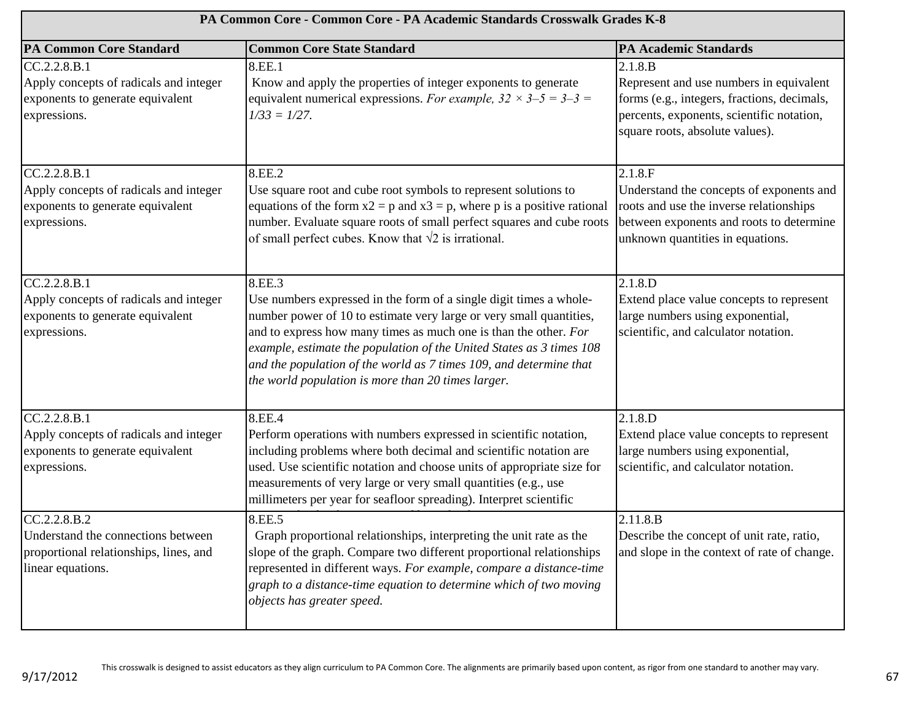| PA Common Core - Common Core - PA Academic Standards Crosswalk Grades K-8                                               |                                                                                                                                                                                                                                                                                                                                                                                                                             |                                                                                                                                                                                   |
|-------------------------------------------------------------------------------------------------------------------------|-----------------------------------------------------------------------------------------------------------------------------------------------------------------------------------------------------------------------------------------------------------------------------------------------------------------------------------------------------------------------------------------------------------------------------|-----------------------------------------------------------------------------------------------------------------------------------------------------------------------------------|
| <b>PA Common Core Standard</b>                                                                                          | <b>Common Core State Standard</b>                                                                                                                                                                                                                                                                                                                                                                                           | <b>PA Academic Standards</b>                                                                                                                                                      |
| CC.2.2.8.B.1<br>Apply concepts of radicals and integer<br>exponents to generate equivalent<br>expressions.              | 8.EE.1<br>Know and apply the properties of integer exponents to generate<br>equivalent numerical expressions. For example, $32 \times 3 - 5 = 3 - 3 =$<br>$1/33 = 1/27$ .                                                                                                                                                                                                                                                   | 2.1.8.B<br>Represent and use numbers in equivalent<br>forms (e.g., integers, fractions, decimals,<br>percents, exponents, scientific notation,<br>square roots, absolute values). |
| $CC.2.2.8.\overline{B.1}$<br>Apply concepts of radicals and integer<br>exponents to generate equivalent<br>expressions. | 8.EE.2<br>Use square root and cube root symbols to represent solutions to<br>equations of the form $x2 = p$ and $x3 = p$ , where p is a positive rational<br>number. Evaluate square roots of small perfect squares and cube roots<br>of small perfect cubes. Know that $\sqrt{2}$ is irrational.                                                                                                                           | 2.1.8.F<br>Understand the concepts of exponents and<br>roots and use the inverse relationships<br>between exponents and roots to determine<br>unknown quantities in equations.    |
| CC.2.2.8.B.1<br>Apply concepts of radicals and integer<br>exponents to generate equivalent<br>expressions.              | 8.EE.3<br>Use numbers expressed in the form of a single digit times a whole-<br>number power of 10 to estimate very large or very small quantities,<br>and to express how many times as much one is than the other. For<br>example, estimate the population of the United States as 3 times 108<br>and the population of the world as 7 times 109, and determine that<br>the world population is more than 20 times larger. | 2.1.8.D<br>Extend place value concepts to represent<br>large numbers using exponential,<br>scientific, and calculator notation.                                                   |
| CC.2.2.8.B.1<br>Apply concepts of radicals and integer<br>exponents to generate equivalent<br>expressions.              | 8.EE.4<br>Perform operations with numbers expressed in scientific notation,<br>including problems where both decimal and scientific notation are<br>used. Use scientific notation and choose units of appropriate size for<br>measurements of very large or very small quantities (e.g., use<br>millimeters per year for seafloor spreading). Interpret scientific                                                          | 2.1.8.D<br>Extend place value concepts to represent<br>large numbers using exponential,<br>scientific, and calculator notation.                                                   |
| CC.2.2.8.B.2<br>Understand the connections between<br>proportional relationships, lines, and<br>linear equations.       | 8.EE.5<br>Graph proportional relationships, interpreting the unit rate as the<br>slope of the graph. Compare two different proportional relationships<br>represented in different ways. For example, compare a distance-time<br>graph to a distance-time equation to determine which of two moving<br>objects has greater speed.                                                                                            | 2.11.8.B<br>Describe the concept of unit rate, ratio,<br>and slope in the context of rate of change.                                                                              |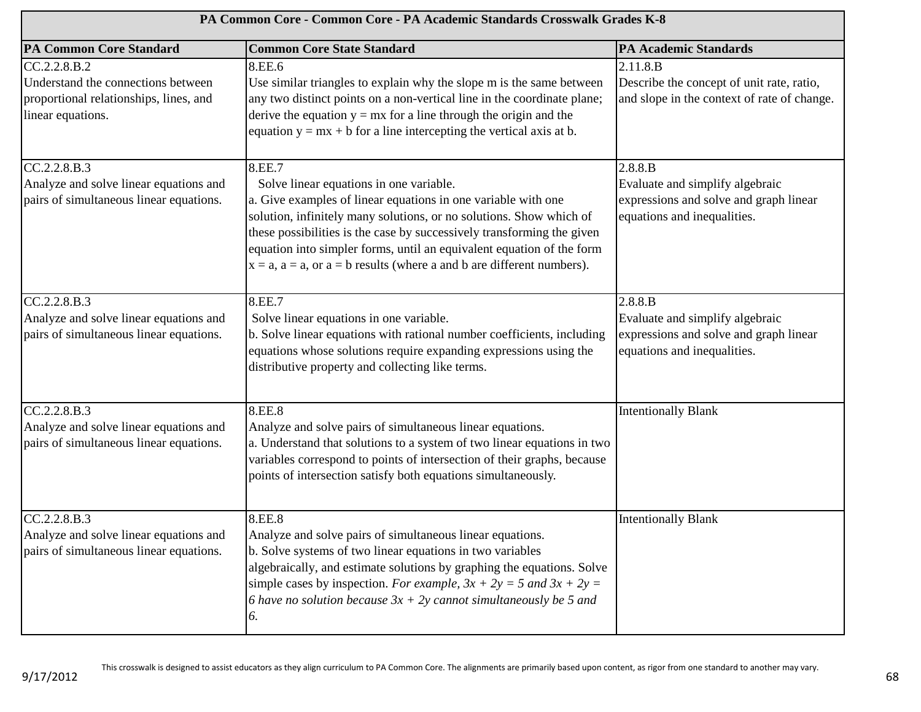| PA Common Core - Common Core - PA Academic Standards Crosswalk Grades K-8                                         |                                                                                                                                                                                                                                                                                                                                                                                                                               |                                                                                                                     |
|-------------------------------------------------------------------------------------------------------------------|-------------------------------------------------------------------------------------------------------------------------------------------------------------------------------------------------------------------------------------------------------------------------------------------------------------------------------------------------------------------------------------------------------------------------------|---------------------------------------------------------------------------------------------------------------------|
| <b>PA Common Core Standard</b>                                                                                    | <b>Common Core State Standard</b>                                                                                                                                                                                                                                                                                                                                                                                             | <b>PA Academic Standards</b>                                                                                        |
| CC.2.2.8.B.2<br>Understand the connections between<br>proportional relationships, lines, and<br>linear equations. | 8.EE.6<br>Use similar triangles to explain why the slope m is the same between<br>any two distinct points on a non-vertical line in the coordinate plane;<br>derive the equation $y = mx$ for a line through the origin and the<br>equation $y = mx + b$ for a line intercepting the vertical axis at b.                                                                                                                      | 2.11.8.B<br>Describe the concept of unit rate, ratio,<br>and slope in the context of rate of change.                |
| CC.2.2.8.B.3<br>Analyze and solve linear equations and<br>pairs of simultaneous linear equations.                 | 8.EE.7<br>Solve linear equations in one variable.<br>a. Give examples of linear equations in one variable with one<br>solution, infinitely many solutions, or no solutions. Show which of<br>these possibilities is the case by successively transforming the given<br>equation into simpler forms, until an equivalent equation of the form<br>$x = a$ , $a = a$ , or $a = b$ results (where a and b are different numbers). | 2.8.8.B<br>Evaluate and simplify algebraic<br>expressions and solve and graph linear<br>equations and inequalities. |
| CC.2.2.8.B.3<br>Analyze and solve linear equations and<br>pairs of simultaneous linear equations.                 | 8.EE.7<br>Solve linear equations in one variable.<br>b. Solve linear equations with rational number coefficients, including<br>equations whose solutions require expanding expressions using the<br>distributive property and collecting like terms.                                                                                                                                                                          | 2.8.8.B<br>Evaluate and simplify algebraic<br>expressions and solve and graph linear<br>equations and inequalities. |
| CC.2.2.8.B.3<br>Analyze and solve linear equations and<br>pairs of simultaneous linear equations.                 | 8.EE.8<br>Analyze and solve pairs of simultaneous linear equations.<br>a. Understand that solutions to a system of two linear equations in two<br>variables correspond to points of intersection of their graphs, because<br>points of intersection satisfy both equations simultaneously.                                                                                                                                    | <b>Intentionally Blank</b>                                                                                          |
| CC.2.2.8.B.3<br>Analyze and solve linear equations and<br>pairs of simultaneous linear equations.                 | 8.EE.8<br>Analyze and solve pairs of simultaneous linear equations.<br>b. Solve systems of two linear equations in two variables<br>algebraically, and estimate solutions by graphing the equations. Solve<br>simple cases by inspection. For example, $3x + 2y = 5$ and $3x + 2y = 5$<br>6 have no solution because $3x + 2y$ cannot simultaneously be 5 and<br>6.                                                           | <b>Intentionally Blank</b>                                                                                          |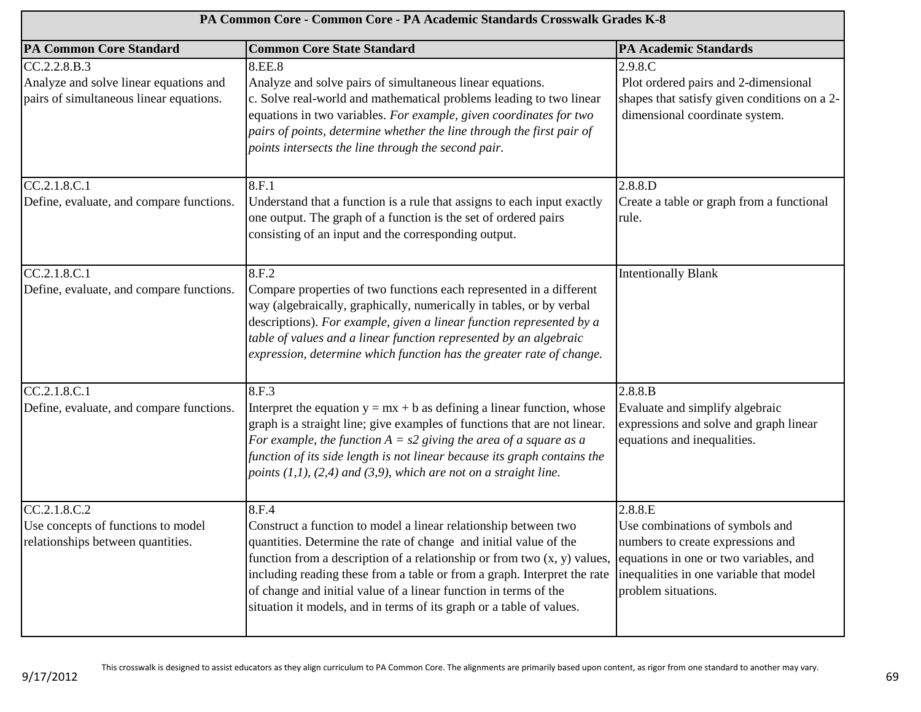| PA Common Core - Common Core - PA Academic Standards Crosswalk Grades K-8                                                                                     |                                                                                                                                                                                                                                                                                                                                                                                                                                                   |                                                                                                                                                                                             |
|---------------------------------------------------------------------------------------------------------------------------------------------------------------|---------------------------------------------------------------------------------------------------------------------------------------------------------------------------------------------------------------------------------------------------------------------------------------------------------------------------------------------------------------------------------------------------------------------------------------------------|---------------------------------------------------------------------------------------------------------------------------------------------------------------------------------------------|
| <b>PA Common Core Standard</b>                                                                                                                                | <b>Common Core State Standard</b>                                                                                                                                                                                                                                                                                                                                                                                                                 | <b>PA Academic Standards</b>                                                                                                                                                                |
| CC.2.2.8.B.3<br>Analyze and solve linear equations and<br>pairs of simultaneous linear equations.<br>CC.2.1.8.C.1<br>Define, evaluate, and compare functions. | 8.EE.8<br>Analyze and solve pairs of simultaneous linear equations.<br>c. Solve real-world and mathematical problems leading to two linear<br>equations in two variables. For example, given coordinates for two<br>pairs of points, determine whether the line through the first pair of<br>points intersects the line through the second pair.<br>8.F.1<br>Understand that a function is a rule that assigns to each input exactly              | 2.9.8.C<br>Plot ordered pairs and 2-dimensional<br>shapes that satisfy given conditions on a 2-<br>dimensional coordinate system.<br>2.8.8.D<br>Create a table or graph from a functional   |
|                                                                                                                                                               | one output. The graph of a function is the set of ordered pairs<br>consisting of an input and the corresponding output.                                                                                                                                                                                                                                                                                                                           | rule.                                                                                                                                                                                       |
| CC.2.1.8.C.1<br>Define, evaluate, and compare functions.                                                                                                      | 8.F.2<br>Compare properties of two functions each represented in a different<br>way (algebraically, graphically, numerically in tables, or by verbal<br>descriptions). For example, given a linear function represented by a<br>table of values and a linear function represented by an algebraic<br>expression, determine which function has the greater rate of change.                                                                         | <b>Intentionally Blank</b>                                                                                                                                                                  |
| CC.2.1.8.C.1<br>Define, evaluate, and compare functions.                                                                                                      | 8.F.3<br>Interpret the equation $y = mx + b$ as defining a linear function, whose<br>graph is a straight line; give examples of functions that are not linear.<br>For example, the function $A = s2$ giving the area of a square as a<br>function of its side length is not linear because its graph contains the<br>points $(1,1)$ , $(2,4)$ and $(3,9)$ , which are not on a straight line.                                                     | 2.8.8.B<br>Evaluate and simplify algebraic<br>expressions and solve and graph linear<br>equations and inequalities.                                                                         |
| CC.2.1.8.C.2<br>Use concepts of functions to model<br>relationships between quantities.                                                                       | 8.F.4<br>Construct a function to model a linear relationship between two<br>quantities. Determine the rate of change and initial value of the<br>function from a description of a relationship or from two (x, y) values,<br>including reading these from a table or from a graph. Interpret the rate<br>of change and initial value of a linear function in terms of the<br>situation it models, and in terms of its graph or a table of values. | 2.8.8.E<br>Use combinations of symbols and<br>numbers to create expressions and<br>equations in one or two variables, and<br>inequalities in one variable that model<br>problem situations. |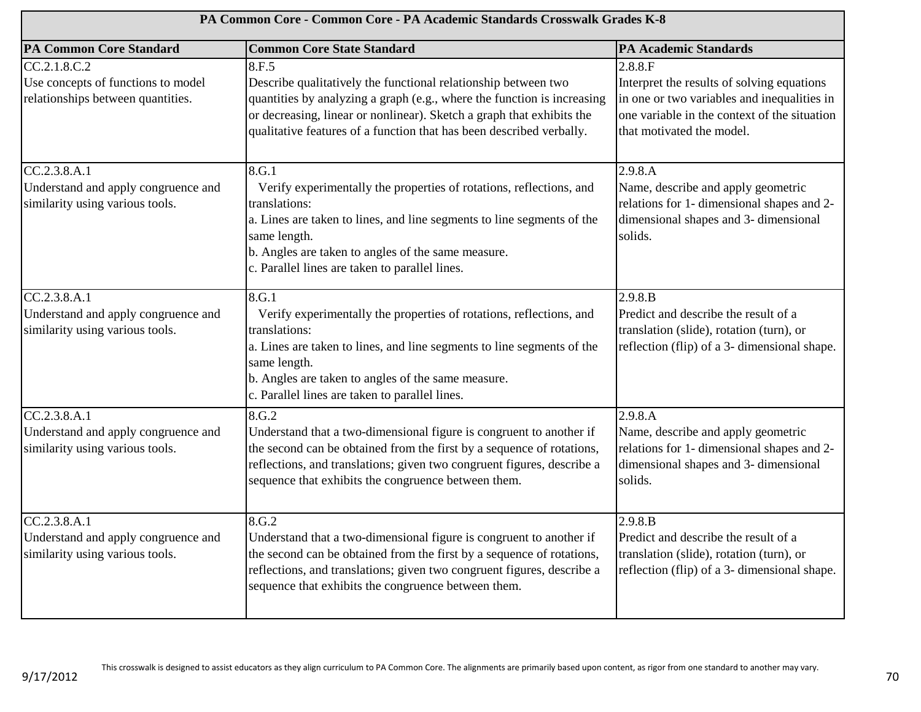| PA Common Core - Common Core - PA Academic Standards Crosswalk Grades K-8               |                                                                                                                                                                                                                                                                                                     |                                                                                                                                                                                   |
|-----------------------------------------------------------------------------------------|-----------------------------------------------------------------------------------------------------------------------------------------------------------------------------------------------------------------------------------------------------------------------------------------------------|-----------------------------------------------------------------------------------------------------------------------------------------------------------------------------------|
| <b>PA Common Core Standard</b>                                                          | <b>Common Core State Standard</b>                                                                                                                                                                                                                                                                   | <b>PA Academic Standards</b>                                                                                                                                                      |
| CC.2.1.8.C.2<br>Use concepts of functions to model<br>relationships between quantities. | 8.F.5<br>Describe qualitatively the functional relationship between two<br>quantities by analyzing a graph (e.g., where the function is increasing<br>or decreasing, linear or nonlinear). Sketch a graph that exhibits the<br>qualitative features of a function that has been described verbally. | 2.8.8.F<br>Interpret the results of solving equations<br>in one or two variables and inequalities in<br>one variable in the context of the situation<br>that motivated the model. |
| CC.2.3.8.A.1<br>Understand and apply congruence and<br>similarity using various tools.  | 8.G.1<br>Verify experimentally the properties of rotations, reflections, and<br>translations:<br>a. Lines are taken to lines, and line segments to line segments of the<br>same length.<br>b. Angles are taken to angles of the same measure.<br>c. Parallel lines are taken to parallel lines.     | 2.9.8.A<br>Name, describe and apply geometric<br>relations for 1- dimensional shapes and 2-<br>dimensional shapes and 3- dimensional<br>solids.                                   |
| CC.2.3.8.A.1<br>Understand and apply congruence and<br>similarity using various tools.  | 8.G.1<br>Verify experimentally the properties of rotations, reflections, and<br>translations:<br>a. Lines are taken to lines, and line segments to line segments of the<br>same length.<br>b. Angles are taken to angles of the same measure.<br>c. Parallel lines are taken to parallel lines.     | 2.9.8.B<br>Predict and describe the result of a<br>translation (slide), rotation (turn), or<br>reflection (flip) of a 3- dimensional shape.                                       |
| CC.2.3.8.A.1<br>Understand and apply congruence and<br>similarity using various tools.  | 8.G.2<br>Understand that a two-dimensional figure is congruent to another if<br>the second can be obtained from the first by a sequence of rotations,<br>reflections, and translations; given two congruent figures, describe a<br>sequence that exhibits the congruence between them.              | 2.9.8.A<br>Name, describe and apply geometric<br>relations for 1- dimensional shapes and 2-<br>dimensional shapes and 3- dimensional<br>solids.                                   |
| CC.2.3.8.A.1<br>Understand and apply congruence and<br>similarity using various tools.  | 8.G.2<br>Understand that a two-dimensional figure is congruent to another if<br>the second can be obtained from the first by a sequence of rotations,<br>reflections, and translations; given two congruent figures, describe a<br>sequence that exhibits the congruence between them.              | 2.9.8.B<br>Predict and describe the result of a<br>translation (slide), rotation (turn), or<br>reflection (flip) of a 3- dimensional shape.                                       |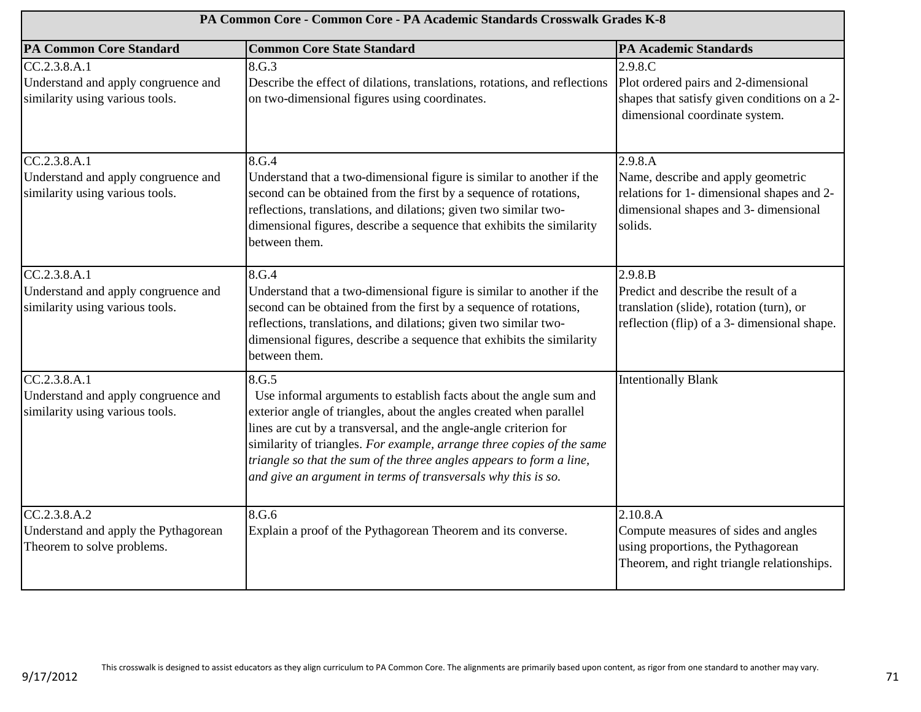| PA Common Core - Common Core - PA Academic Standards Crosswalk Grades K-8              |                                                                                                                                                                                                                                                                                                                                                                                                                                           |                                                                                                                                                 |
|----------------------------------------------------------------------------------------|-------------------------------------------------------------------------------------------------------------------------------------------------------------------------------------------------------------------------------------------------------------------------------------------------------------------------------------------------------------------------------------------------------------------------------------------|-------------------------------------------------------------------------------------------------------------------------------------------------|
| <b>PA Common Core Standard</b>                                                         | <b>Common Core State Standard</b>                                                                                                                                                                                                                                                                                                                                                                                                         | <b>PA Academic Standards</b>                                                                                                                    |
| CC.2.3.8.A.1<br>Understand and apply congruence and<br>similarity using various tools. | 8.G.3<br>Describe the effect of dilations, translations, rotations, and reflections<br>on two-dimensional figures using coordinates.                                                                                                                                                                                                                                                                                                      | 2.9.8.C<br>Plot ordered pairs and 2-dimensional<br>shapes that satisfy given conditions on a 2-<br>dimensional coordinate system.               |
| CC.2.3.8.A.1<br>Understand and apply congruence and<br>similarity using various tools. | 8.G.4<br>Understand that a two-dimensional figure is similar to another if the<br>second can be obtained from the first by a sequence of rotations,<br>reflections, translations, and dilations; given two similar two-<br>dimensional figures, describe a sequence that exhibits the similarity<br>between them.                                                                                                                         | 2.9.8.A<br>Name, describe and apply geometric<br>relations for 1- dimensional shapes and 2-<br>dimensional shapes and 3- dimensional<br>solids. |
| CC.2.3.8.A.1<br>Understand and apply congruence and<br>similarity using various tools. | 8.G.4<br>Understand that a two-dimensional figure is similar to another if the<br>second can be obtained from the first by a sequence of rotations,<br>reflections, translations, and dilations; given two similar two-<br>dimensional figures, describe a sequence that exhibits the similarity<br>between them.                                                                                                                         | 2.9.8.B<br>Predict and describe the result of a<br>translation (slide), rotation (turn), or<br>reflection (flip) of a 3- dimensional shape.     |
| CC.2.3.8.A.1<br>Understand and apply congruence and<br>similarity using various tools. | 8.G.5<br>Use informal arguments to establish facts about the angle sum and<br>exterior angle of triangles, about the angles created when parallel<br>lines are cut by a transversal, and the angle-angle criterion for<br>similarity of triangles. For example, arrange three copies of the same<br>triangle so that the sum of the three angles appears to form a line,<br>and give an argument in terms of transversals why this is so. | <b>Intentionally Blank</b>                                                                                                                      |
| CC.2.3.8.A.2<br>Understand and apply the Pythagorean<br>Theorem to solve problems.     | 8.G.6<br>Explain a proof of the Pythagorean Theorem and its converse.                                                                                                                                                                                                                                                                                                                                                                     | 2.10.8.A<br>Compute measures of sides and angles<br>using proportions, the Pythagorean<br>Theorem, and right triangle relationships.            |

9/17/2012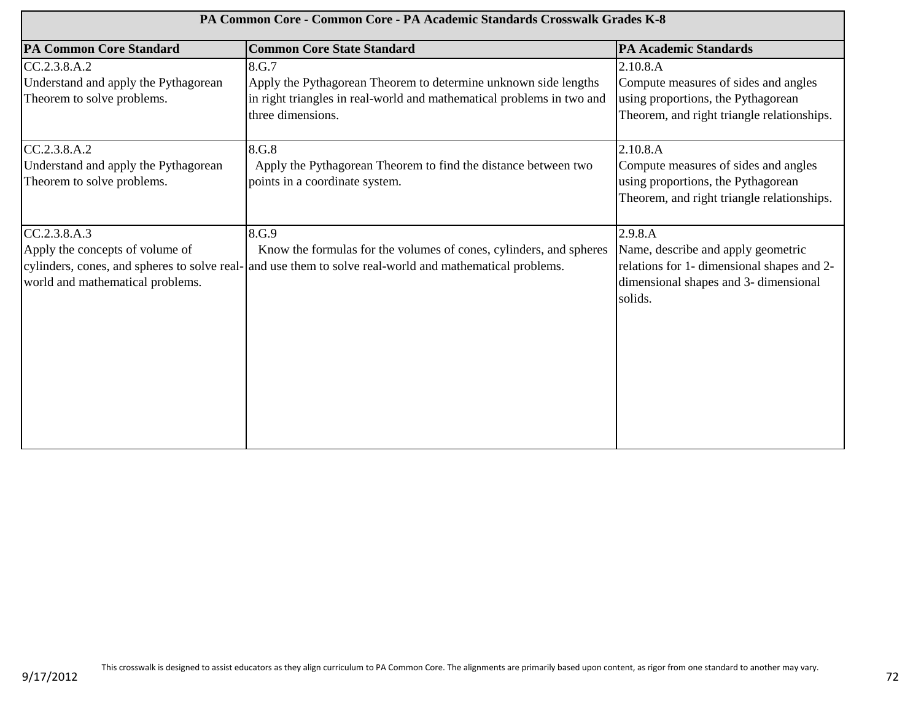| PA Common Core - Common Core - PA Academic Standards Crosswalk Grades K-8           |                                                                                                                                                                                         |                                                                                                                                                 |  |
|-------------------------------------------------------------------------------------|-----------------------------------------------------------------------------------------------------------------------------------------------------------------------------------------|-------------------------------------------------------------------------------------------------------------------------------------------------|--|
| <b>PA Common Core Standard</b>                                                      | <b>Common Core State Standard</b>                                                                                                                                                       | <b>PA Academic Standards</b>                                                                                                                    |  |
| CC.2.3.8.A.2<br>Understand and apply the Pythagorean<br>Theorem to solve problems.  | 8.G.7<br>Apply the Pythagorean Theorem to determine unknown side lengths<br>in right triangles in real-world and mathematical problems in two and<br>three dimensions.                  | 2.10.8.A<br>Compute measures of sides and angles<br>using proportions, the Pythagorean<br>Theorem, and right triangle relationships.            |  |
| CC.2.3.8.A.2<br>Understand and apply the Pythagorean<br>Theorem to solve problems.  | 8.G.8<br>Apply the Pythagorean Theorem to find the distance between two<br>points in a coordinate system.                                                                               | 2.10.8.A<br>Compute measures of sides and angles<br>using proportions, the Pythagorean<br>Theorem, and right triangle relationships.            |  |
| CC.2.3.8.A.3<br>Apply the concepts of volume of<br>world and mathematical problems. | 8.G.9<br>Know the formulas for the volumes of cones, cylinders, and spheres<br>cylinders, cones, and spheres to solve real- and use them to solve real-world and mathematical problems. | 2.9.8.A<br>Name, describe and apply geometric<br>relations for 1- dimensional shapes and 2-<br>dimensional shapes and 3- dimensional<br>solids. |  |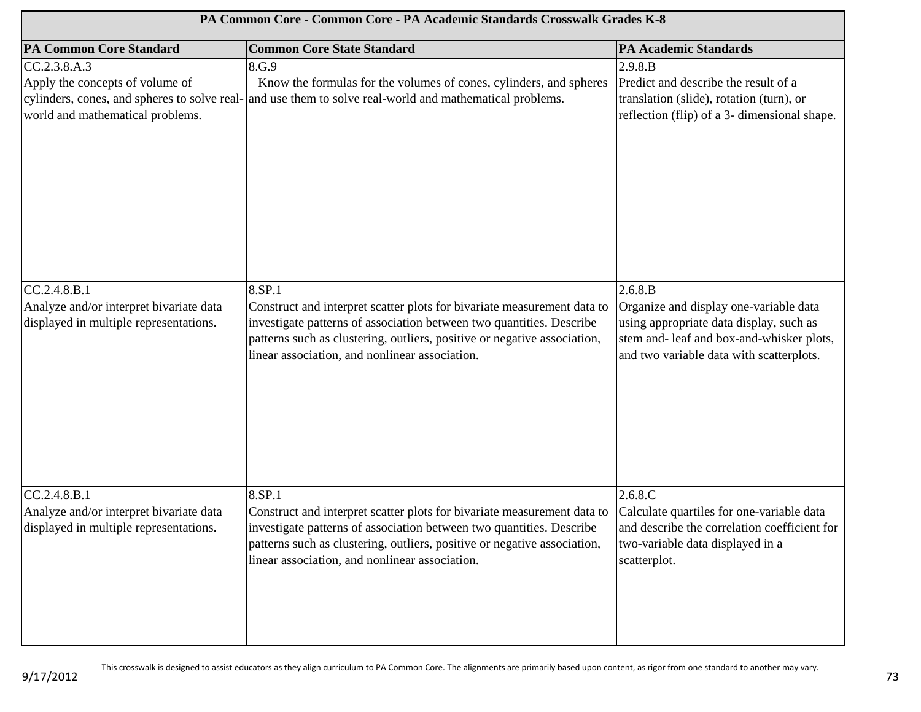| PA Common Core - Common Core - PA Academic Standards Crosswalk Grades K-8                         |                                                                                                                                                                                                                                                                                         |                                                                                                                                                                                       |  |
|---------------------------------------------------------------------------------------------------|-----------------------------------------------------------------------------------------------------------------------------------------------------------------------------------------------------------------------------------------------------------------------------------------|---------------------------------------------------------------------------------------------------------------------------------------------------------------------------------------|--|
| <b>PA Common Core Standard</b>                                                                    | <b>Common Core State Standard</b>                                                                                                                                                                                                                                                       | <b>PA Academic Standards</b>                                                                                                                                                          |  |
| CC.2.3.8.A.3<br>Apply the concepts of volume of<br>world and mathematical problems.               | 8.G.9<br>Know the formulas for the volumes of cones, cylinders, and spheres<br>cylinders, cones, and spheres to solve real- and use them to solve real-world and mathematical problems.                                                                                                 | 2.9.8.B<br>Predict and describe the result of a<br>translation (slide), rotation (turn), or<br>reflection (flip) of a 3- dimensional shape.                                           |  |
| CC.2.4.8.B.1<br>Analyze and/or interpret bivariate data<br>displayed in multiple representations. | 8.SP.1<br>Construct and interpret scatter plots for bivariate measurement data to<br>investigate patterns of association between two quantities. Describe<br>patterns such as clustering, outliers, positive or negative association,<br>linear association, and nonlinear association. | 2.6.8.B<br>Organize and display one-variable data<br>using appropriate data display, such as<br>stem and- leaf and box-and-whisker plots,<br>and two variable data with scatterplots. |  |
| CC.2.4.8.B.1<br>Analyze and/or interpret bivariate data<br>displayed in multiple representations. | 8.SP.1<br>Construct and interpret scatter plots for bivariate measurement data to<br>investigate patterns of association between two quantities. Describe<br>patterns such as clustering, outliers, positive or negative association,<br>linear association, and nonlinear association. | 2.6.8.C<br>Calculate quartiles for one-variable data<br>and describe the correlation coefficient for<br>two-variable data displayed in a<br>scatterplot.                              |  |